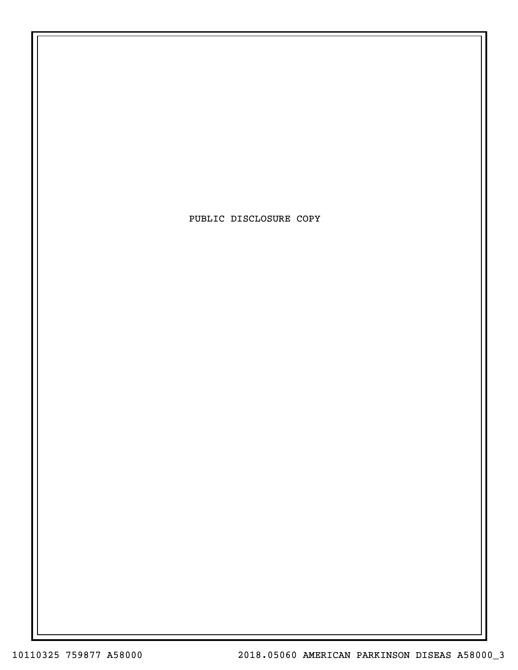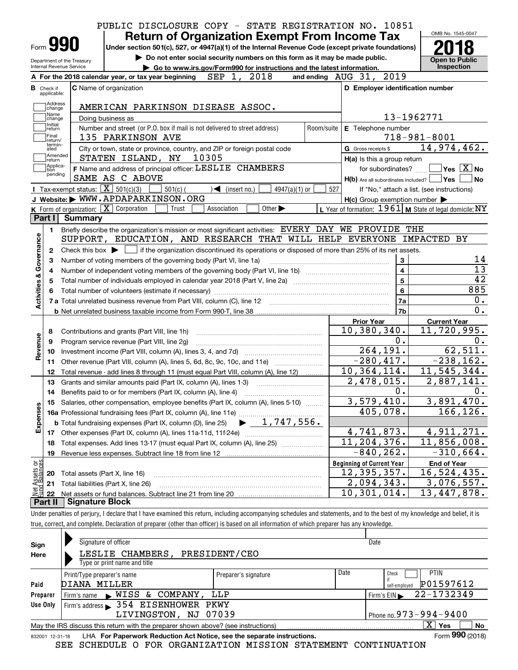|                                                                            |                          |                            | PUBLIC DISCLOSURE COPY - STATE REGISTRATION NO. 10851                      |                                                      |                                   |                                                                                                                                                          |                 |            |                                           |                                                         |                    |                                                           |
|----------------------------------------------------------------------------|--------------------------|----------------------------|----------------------------------------------------------------------------|------------------------------------------------------|-----------------------------------|----------------------------------------------------------------------------------------------------------------------------------------------------------|-----------------|------------|-------------------------------------------|---------------------------------------------------------|--------------------|-----------------------------------------------------------|
|                                                                            |                          |                            |                                                                            | <b>Return of Organization Exempt From Income Tax</b> |                                   |                                                                                                                                                          |                 |            |                                           |                                                         |                    | OMB No. 1545-0047                                         |
|                                                                            | Form <b>990</b>          |                            |                                                                            |                                                      |                                   | Under section 501(c), 527, or 4947(a)(1) of the Internal Revenue Code (except private foundations)                                                       |                 |            |                                           |                                                         |                    |                                                           |
|                                                                            |                          | Department of the Treasury |                                                                            |                                                      |                                   | Do not enter social security numbers on this form as it may be made public.                                                                              |                 |            |                                           |                                                         |                    | <b>Open to Public</b>                                     |
|                                                                            | Internal Revenue Service |                            |                                                                            |                                                      |                                   | Go to www.irs.gov/Form990 for instructions and the latest information.                                                                                   |                 |            |                                           |                                                         |                    | Inspection                                                |
|                                                                            |                          |                            | A For the 2018 calendar year, or tax year beginning $SEP$ 1, 2018          |                                                      |                                   |                                                                                                                                                          |                 |            | and ending AUG 31, 2019                   |                                                         |                    |                                                           |
| <b>B</b> Check if                                                          | applicable:              |                            | C Name of organization                                                     |                                                      |                                   |                                                                                                                                                          |                 |            |                                           | D Employer identification number                        |                    |                                                           |
|                                                                            | Address                  |                            |                                                                            |                                                      |                                   |                                                                                                                                                          |                 |            |                                           |                                                         |                    |                                                           |
|                                                                            | change<br>Name           |                            | AMERICAN PARKINSON DISEASE ASSOC.                                          |                                                      |                                   |                                                                                                                                                          |                 |            |                                           |                                                         |                    |                                                           |
|                                                                            | change<br>Initial        |                            | Doing business as                                                          |                                                      |                                   |                                                                                                                                                          |                 |            |                                           |                                                         | 13-1962771         |                                                           |
|                                                                            | return<br>Final          |                            | Number and street (or P.O. box if mail is not delivered to street address) |                                                      |                                   |                                                                                                                                                          |                 | Room/suite | E Telephone number                        |                                                         | $718 - 981 - 8001$ |                                                           |
|                                                                            | return/<br>termin-       |                            | 135 PARKINSON AVE                                                          |                                                      |                                   |                                                                                                                                                          |                 |            |                                           |                                                         |                    | 14,974,462.                                               |
|                                                                            | ated<br>Amended          |                            | STATEN ISLAND, NY 10305                                                    |                                                      |                                   | City or town, state or province, country, and ZIP or foreign postal code                                                                                 |                 |            | G Gross receipts \$                       |                                                         |                    |                                                           |
|                                                                            | return<br>Applica-       |                            | F Name and address of principal officer: LESLIE CHAMBERS                   |                                                      |                                   |                                                                                                                                                          |                 |            |                                           | H(a) Is this a group return                             |                    | for subordinates? $\Box$ Yes $\boxed{X}$ No               |
|                                                                            | tion<br>pending          |                            | SAME AS C ABOVE                                                            |                                                      |                                   |                                                                                                                                                          |                 |            |                                           | $H(b)$ Are all subordinates included? $\Box$ Yes $\Box$ |                    | No                                                        |
|                                                                            |                          |                            | <b>I</b> Tax-exempt status: $\overline{X}$ 501(c)(3)                       | $501(c)$ (                                           | $\blacktriangleleft$ (insert no.) |                                                                                                                                                          | $4947(a)(1)$ or | 527        |                                           | If "No," attach a list. (see instructions)              |                    |                                                           |
|                                                                            |                          |                            | J Website: WWW.APDAPARKINSON.ORG                                           |                                                      |                                   |                                                                                                                                                          |                 |            |                                           | $H(c)$ Group exemption number $\blacktriangleright$     |                    |                                                           |
|                                                                            |                          |                            | K Form of organization: $\boxed{\mathbf{X}}$ Corporation                   | Trust                                                | Association                       | Other $\blacktriangleright$                                                                                                                              |                 |            |                                           |                                                         |                    | L Year of formation: $1961$ M State of legal domicile: NY |
|                                                                            |                          | Part I Summary             |                                                                            |                                                      |                                   |                                                                                                                                                          |                 |            |                                           |                                                         |                    |                                                           |
|                                                                            | $\mathbf 1$              |                            |                                                                            |                                                      |                                   | Briefly describe the organization's mission or most significant activities: EVERY DAY WE PROVIDE THE                                                     |                 |            |                                           |                                                         |                    |                                                           |
|                                                                            |                          |                            |                                                                            |                                                      |                                   | SUPPORT, EDUCATION, AND RESEARCH THAT WILL HELP EVERYONE IMPACTED BY                                                                                     |                 |            |                                           |                                                         |                    |                                                           |
|                                                                            | $\mathbf{2}$             |                            |                                                                            |                                                      |                                   |                                                                                                                                                          |                 |            |                                           |                                                         |                    |                                                           |
|                                                                            |                          |                            |                                                                            |                                                      |                                   |                                                                                                                                                          |                 |            |                                           |                                                         |                    |                                                           |
|                                                                            |                          |                            |                                                                            |                                                      |                                   | Check this box $\blacktriangleright$ $\blacksquare$ if the organization discontinued its operations or disposed of more than 25% of its net assets.      |                 |            |                                           | 3                                                       |                    | 14                                                        |
|                                                                            |                          |                            | Number of voting members of the governing body (Part VI, line 1a)          |                                                      |                                   |                                                                                                                                                          |                 |            |                                           | $\overline{4}$                                          |                    | $\overline{13}$                                           |
|                                                                            |                          |                            |                                                                            |                                                      |                                   | Total number of individuals employed in calendar year 2018 (Part V, line 2a) manufacture of individuals employed in calendar year 2018 (Part V, line 2a) |                 |            |                                           | $\overline{5}$                                          |                    | $\overline{42}$                                           |
|                                                                            |                          |                            |                                                                            |                                                      |                                   |                                                                                                                                                          |                 |            |                                           | $6\phantom{a}$                                          |                    | 885                                                       |
|                                                                            |                          |                            |                                                                            |                                                      |                                   |                                                                                                                                                          |                 |            |                                           | 7a                                                      |                    | 0.                                                        |
|                                                                            |                          |                            |                                                                            |                                                      |                                   |                                                                                                                                                          |                 |            |                                           | 7b                                                      |                    | 0.                                                        |
|                                                                            |                          |                            |                                                                            |                                                      |                                   |                                                                                                                                                          |                 |            | <b>Prior Year</b>                         |                                                         |                    | <b>Current Year</b>                                       |
|                                                                            | 8                        |                            | Contributions and grants (Part VIII, line 1h)                              |                                                      |                                   |                                                                                                                                                          |                 |            | 10,380,340.                               |                                                         |                    | 11,720,995.                                               |
| 9                                                                          |                          |                            | Program service revenue (Part VIII, line 2g)                               |                                                      |                                   |                                                                                                                                                          |                 |            |                                           | 0.                                                      |                    | 0.                                                        |
|                                                                            | 10                       |                            |                                                                            |                                                      |                                   |                                                                                                                                                          |                 |            |                                           | 264, 191.                                               |                    | 62,511.                                                   |
|                                                                            | 11                       |                            |                                                                            |                                                      |                                   | Other revenue (Part VIII, column (A), lines 5, 6d, 8c, 9c, 10c, and 11e)                                                                                 |                 |            |                                           | $-280, 417.$                                            |                    | $-238, 162.$                                              |
|                                                                            | 12                       |                            |                                                                            |                                                      |                                   | Total revenue - add lines 8 through 11 (must equal Part VIII, column (A), line 12)                                                                       |                 |            | 10, 364, 114.                             |                                                         |                    | 11, 545, 344.                                             |
|                                                                            | 13                       |                            | Grants and similar amounts paid (Part IX, column (A), lines 1-3)           |                                                      |                                   |                                                                                                                                                          |                 |            | 2,478,015.                                |                                                         |                    | 2,887,141.                                                |
|                                                                            |                          |                            | 14 Benefits paid to or for members (Part IX, column (A), line 4)           |                                                      |                                   |                                                                                                                                                          |                 |            |                                           | 0.                                                      |                    | 0.                                                        |
|                                                                            |                          |                            |                                                                            |                                                      |                                   | 15 Salaries, other compensation, employee benefits (Part IX, column (A), lines 5-10)                                                                     |                 |            |                                           | 3,579,410.                                              |                    | 3,891,470.                                                |
|                                                                            |                          |                            |                                                                            |                                                      |                                   |                                                                                                                                                          |                 |            |                                           | 405,078.                                                |                    | 166, 126.                                                 |
|                                                                            |                          |                            |                                                                            |                                                      |                                   |                                                                                                                                                          |                 |            |                                           |                                                         |                    |                                                           |
|                                                                            |                          |                            |                                                                            |                                                      |                                   |                                                                                                                                                          |                 |            | 4,741,873.                                |                                                         |                    | 4,911,271.                                                |
|                                                                            | 18                       |                            |                                                                            |                                                      |                                   | Total expenses. Add lines 13-17 (must equal Part IX, column (A), line 25)                                                                                |                 |            | 11, 204, 376.                             |                                                         |                    | 11,856,008.                                               |
|                                                                            | 19                       |                            |                                                                            |                                                      |                                   |                                                                                                                                                          |                 |            |                                           | $-840, 262.$                                            |                    | $-310,664.$                                               |
|                                                                            |                          |                            |                                                                            |                                                      |                                   |                                                                                                                                                          |                 |            | <b>Beginning of Current Year</b>          |                                                         |                    | <b>End of Year</b>                                        |
|                                                                            | 20                       |                            | Total assets (Part X, line 16)                                             |                                                      |                                   |                                                                                                                                                          |                 |            | 12,395,357.                               |                                                         |                    | 16,524,435.                                               |
| Activities & Governance<br>Revenue<br>Expenses<br>: Assets or<br>dBalances | 21<br>22                 |                            | Total liabilities (Part X, line 26)                                        |                                                      |                                   |                                                                                                                                                          |                 |            | 2,094,343.<br>$\overline{10}$ , 301, 014. |                                                         |                    | 3,076,557.<br>13,447,878.                                 |

true, correct, and complete. Declaration of preparer (other than officer) is based on all information of which preparer has any knowledge.

| Sign            | Signature of officer                                                              |                      |      | Date                             |
|-----------------|-----------------------------------------------------------------------------------|----------------------|------|----------------------------------|
| Here            | LESLIE CHAMBERS,<br>Type or print name and title                                  | PRESIDENT/CEO        |      |                                  |
|                 | Print/Type preparer's name                                                        | Preparer's signature | Date | <b>PTIN</b><br>Check             |
| Paid            | DIANA MILLER                                                                      |                      |      | P01597612<br>self-emploved       |
| Preparer        | NISS & COMPANY,<br>Firm's name                                                    | LLP                  |      | 22-1732349<br>Firm's $EIN$       |
| Use Only        | Firm's address > 354 EISENHOWER PKWY                                              |                      |      |                                  |
|                 | LIVINGSTON, NJ 07039                                                              |                      |      | Phone no. $973 - 994 - 9400$     |
|                 | May the IRS discuss this return with the preparer shown above? (see instructions) |                      |      | $\mathbf{X}$<br>Yes<br><b>No</b> |
| 832001 12-31-18 | LHA For Paperwork Reduction Act Notice, see the separate instructions.            |                      |      | Form 990 (2018)                  |

SEE SCHEDULE O FOR ORGANIZATION MISSION STATEMENT CONTINUATION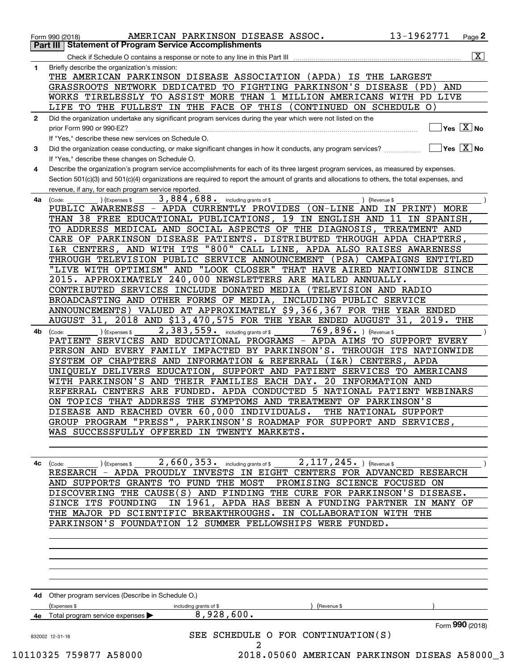|                                                                                                                                                                                                                                                                                                                                                                                                                                                                                                                                                                                                                                                                                                                                                                                                                                                                                                                                                                                                                                                                                                                                                                                                                                                                                                                                                                                                                                                                                                                                                                                                                                                                                                                                                                                                                                                                                                                                                                                                                                                                                                                                                                                                                                                                                                                                                                                                                                                                                                                                                                                                                   | AND                                                                                                                                           |  |
|-------------------------------------------------------------------------------------------------------------------------------------------------------------------------------------------------------------------------------------------------------------------------------------------------------------------------------------------------------------------------------------------------------------------------------------------------------------------------------------------------------------------------------------------------------------------------------------------------------------------------------------------------------------------------------------------------------------------------------------------------------------------------------------------------------------------------------------------------------------------------------------------------------------------------------------------------------------------------------------------------------------------------------------------------------------------------------------------------------------------------------------------------------------------------------------------------------------------------------------------------------------------------------------------------------------------------------------------------------------------------------------------------------------------------------------------------------------------------------------------------------------------------------------------------------------------------------------------------------------------------------------------------------------------------------------------------------------------------------------------------------------------------------------------------------------------------------------------------------------------------------------------------------------------------------------------------------------------------------------------------------------------------------------------------------------------------------------------------------------------------------------------------------------------------------------------------------------------------------------------------------------------------------------------------------------------------------------------------------------------------------------------------------------------------------------------------------------------------------------------------------------------------------------------------------------------------------------------------------------------|-----------------------------------------------------------------------------------------------------------------------------------------------|--|
| 13-1962771<br>AMERICAN PARKINSON DISEASE ASSOC.<br>Form 990 (2018)<br><b>Part III   Statement of Program Service Accomplishments</b><br>Check if Schedule O contains a response or note to any line in this Part III<br>Briefly describe the organization's mission:<br>1<br>THE AMERICAN PARKINSON DISEASE ASSOCIATION (APDA)<br>IS THE LARGEST<br>GRASSROOTS NETWORK DEDICATED TO FIGHTING PARKINSON'S DISEASE<br>(PD)<br>WORKS TIRELESSLY TO ASSIST MORE THAN 1 MILLION AMERICANS WITH PD LIVE<br>LIFE TO THE FULLEST IN THE FACE OF THIS (CONTINUED ON SCHEDULE O)<br>Did the organization undertake any significant program services during the year which were not listed on the<br>prior Form 990 or 990-EZ?<br>If "Yes," describe these new services on Schedule O.<br>If "Yes," describe these changes on Schedule O.<br>revenue, if any, for each program service reported.<br>3,884,688. including grants of \$<br>) (Revenue \$<br>(Expenses \$<br>(Code:<br>PUBLIC AWARENESS - APDA CURRENTLY PROVIDES (ON-LINE AND IN PRINT) MORE<br>THAN 38 FREE EDUCATIONAL PUBLICATIONS, 19 IN ENGLISH AND 11 IN SPANISH,<br>TO ADDRESS MEDICAL AND SOCIAL ASPECTS OF THE DIAGNOSIS,<br>TREATMENT AND<br>CARE OF PARKINSON DISEASE PATIENTS. DISTRIBUTED THROUGH APDA CHAPTERS,<br>I&R CENTERS, AND WITH ITS "800" CALL LINE, APDA ALSO RAISES AWARENESS<br>THROUGH TELEVISION PUBLIC SERVICE ANNOUNCEMENT<br>(PSA)<br>"LIVE WITH OPTIMISM" AND "LOOK CLOSER" THAT HAVE AIRED NATIONWIDE SINCE<br>2015. APPROXIMATELY 240,000 NEWSLETTERS ARE MAILED ANNUALLY.<br>CONTRIBUTED SERVICES INCLUDE DONATED MEDIA<br>(TELEVISION AND RADIO<br>BROADCASTING AND OTHER FORMS OF MEDIA, INCLUDING PUBLIC SERVICE<br>2018 AND \$13,470,575 FOR THE YEAR ENDED AUGUST 31,<br>AUGUST 31,<br>2,383,559. including grants of \$<br>769,896. ) (Revenue \$<br>) (Expenses \$<br>(Code:<br>PATIENT SERVICES AND EDUCATIONAL PROGRAMS - APDA AIMS TO SUPPORT EVERY<br>PERSON AND EVERY FAMILY IMPACTED BY PARKINSON'S. THROUGH ITS NATIONWIDE<br>SYSTEM OF CHAPTERS AND INFORMATION & REFERRAL<br>$(1\&R)$ CENTERS,<br>APDA<br>UNIQUELY DELIVERS EDUCATION, SUPPORT AND PATIENT SERVICES TO AMERICANS<br>20<br>WITH PARKINSON'S AND THEIR FAMILIES EACH DAY.<br>INFORMATION AND<br>REFERRAL CENTERS ARE FUNDED. APDA CONDUCTED 5<br>NATIONAL PATIENT WEBINARS<br>ON TOPICS THAT ADDRESS THE SYMPTOMS AND TREATMENT OF PARKINSON'S<br>DISEASE AND REACHED OVER 60,000 INDIVIDUALS.<br>THE NATIONAL SUPPORT<br>GROUP PROGRAM "PRESS", PARKINSON'S ROADMAP FOR SUPPORT AND SERVICES,<br>WAS SUCCESSFULLY OFFERED IN TWENTY MARKETS. |                                                                                                                                               |  |
|                                                                                                                                                                                                                                                                                                                                                                                                                                                                                                                                                                                                                                                                                                                                                                                                                                                                                                                                                                                                                                                                                                                                                                                                                                                                                                                                                                                                                                                                                                                                                                                                                                                                                                                                                                                                                                                                                                                                                                                                                                                                                                                                                                                                                                                                                                                                                                                                                                                                                                                                                                                                                   |                                                                                                                                               |  |
| $\mathbf{2}$                                                                                                                                                                                                                                                                                                                                                                                                                                                                                                                                                                                                                                                                                                                                                                                                                                                                                                                                                                                                                                                                                                                                                                                                                                                                                                                                                                                                                                                                                                                                                                                                                                                                                                                                                                                                                                                                                                                                                                                                                                                                                                                                                                                                                                                                                                                                                                                                                                                                                                                                                                                                      |                                                                                                                                               |  |
|                                                                                                                                                                                                                                                                                                                                                                                                                                                                                                                                                                                                                                                                                                                                                                                                                                                                                                                                                                                                                                                                                                                                                                                                                                                                                                                                                                                                                                                                                                                                                                                                                                                                                                                                                                                                                                                                                                                                                                                                                                                                                                                                                                                                                                                                                                                                                                                                                                                                                                                                                                                                                   | $Yes \quad X$ No                                                                                                                              |  |
|                                                                                                                                                                                                                                                                                                                                                                                                                                                                                                                                                                                                                                                                                                                                                                                                                                                                                                                                                                                                                                                                                                                                                                                                                                                                                                                                                                                                                                                                                                                                                                                                                                                                                                                                                                                                                                                                                                                                                                                                                                                                                                                                                                                                                                                                                                                                                                                                                                                                                                                                                                                                                   |                                                                                                                                               |  |
| 3                                                                                                                                                                                                                                                                                                                                                                                                                                                                                                                                                                                                                                                                                                                                                                                                                                                                                                                                                                                                                                                                                                                                                                                                                                                                                                                                                                                                                                                                                                                                                                                                                                                                                                                                                                                                                                                                                                                                                                                                                                                                                                                                                                                                                                                                                                                                                                                                                                                                                                                                                                                                                 | $\overline{\mathsf{Yes}\mathord{\;\;[\mathbf{X}\mathord{\;\;}\mathsf{No}\mathord{\;\;}}$                                                      |  |
|                                                                                                                                                                                                                                                                                                                                                                                                                                                                                                                                                                                                                                                                                                                                                                                                                                                                                                                                                                                                                                                                                                                                                                                                                                                                                                                                                                                                                                                                                                                                                                                                                                                                                                                                                                                                                                                                                                                                                                                                                                                                                                                                                                                                                                                                                                                                                                                                                                                                                                                                                                                                                   |                                                                                                                                               |  |
| 4                                                                                                                                                                                                                                                                                                                                                                                                                                                                                                                                                                                                                                                                                                                                                                                                                                                                                                                                                                                                                                                                                                                                                                                                                                                                                                                                                                                                                                                                                                                                                                                                                                                                                                                                                                                                                                                                                                                                                                                                                                                                                                                                                                                                                                                                                                                                                                                                                                                                                                                                                                                                                 | Describe the organization's program service accomplishments for each of its three largest program services, as measured by expenses.          |  |
|                                                                                                                                                                                                                                                                                                                                                                                                                                                                                                                                                                                                                                                                                                                                                                                                                                                                                                                                                                                                                                                                                                                                                                                                                                                                                                                                                                                                                                                                                                                                                                                                                                                                                                                                                                                                                                                                                                                                                                                                                                                                                                                                                                                                                                                                                                                                                                                                                                                                                                                                                                                                                   | Section 501(c)(3) and 501(c)(4) organizations are required to report the amount of grants and allocations to others, the total expenses, and  |  |
|                                                                                                                                                                                                                                                                                                                                                                                                                                                                                                                                                                                                                                                                                                                                                                                                                                                                                                                                                                                                                                                                                                                                                                                                                                                                                                                                                                                                                                                                                                                                                                                                                                                                                                                                                                                                                                                                                                                                                                                                                                                                                                                                                                                                                                                                                                                                                                                                                                                                                                                                                                                                                   |                                                                                                                                               |  |
| 4a                                                                                                                                                                                                                                                                                                                                                                                                                                                                                                                                                                                                                                                                                                                                                                                                                                                                                                                                                                                                                                                                                                                                                                                                                                                                                                                                                                                                                                                                                                                                                                                                                                                                                                                                                                                                                                                                                                                                                                                                                                                                                                                                                                                                                                                                                                                                                                                                                                                                                                                                                                                                                |                                                                                                                                               |  |
|                                                                                                                                                                                                                                                                                                                                                                                                                                                                                                                                                                                                                                                                                                                                                                                                                                                                                                                                                                                                                                                                                                                                                                                                                                                                                                                                                                                                                                                                                                                                                                                                                                                                                                                                                                                                                                                                                                                                                                                                                                                                                                                                                                                                                                                                                                                                                                                                                                                                                                                                                                                                                   |                                                                                                                                               |  |
|                                                                                                                                                                                                                                                                                                                                                                                                                                                                                                                                                                                                                                                                                                                                                                                                                                                                                                                                                                                                                                                                                                                                                                                                                                                                                                                                                                                                                                                                                                                                                                                                                                                                                                                                                                                                                                                                                                                                                                                                                                                                                                                                                                                                                                                                                                                                                                                                                                                                                                                                                                                                                   |                                                                                                                                               |  |
|                                                                                                                                                                                                                                                                                                                                                                                                                                                                                                                                                                                                                                                                                                                                                                                                                                                                                                                                                                                                                                                                                                                                                                                                                                                                                                                                                                                                                                                                                                                                                                                                                                                                                                                                                                                                                                                                                                                                                                                                                                                                                                                                                                                                                                                                                                                                                                                                                                                                                                                                                                                                                   |                                                                                                                                               |  |
|                                                                                                                                                                                                                                                                                                                                                                                                                                                                                                                                                                                                                                                                                                                                                                                                                                                                                                                                                                                                                                                                                                                                                                                                                                                                                                                                                                                                                                                                                                                                                                                                                                                                                                                                                                                                                                                                                                                                                                                                                                                                                                                                                                                                                                                                                                                                                                                                                                                                                                                                                                                                                   |                                                                                                                                               |  |
|                                                                                                                                                                                                                                                                                                                                                                                                                                                                                                                                                                                                                                                                                                                                                                                                                                                                                                                                                                                                                                                                                                                                                                                                                                                                                                                                                                                                                                                                                                                                                                                                                                                                                                                                                                                                                                                                                                                                                                                                                                                                                                                                                                                                                                                                                                                                                                                                                                                                                                                                                                                                                   | CAMPAIGNS ENTITLED                                                                                                                            |  |
|                                                                                                                                                                                                                                                                                                                                                                                                                                                                                                                                                                                                                                                                                                                                                                                                                                                                                                                                                                                                                                                                                                                                                                                                                                                                                                                                                                                                                                                                                                                                                                                                                                                                                                                                                                                                                                                                                                                                                                                                                                                                                                                                                                                                                                                                                                                                                                                                                                                                                                                                                                                                                   |                                                                                                                                               |  |
|                                                                                                                                                                                                                                                                                                                                                                                                                                                                                                                                                                                                                                                                                                                                                                                                                                                                                                                                                                                                                                                                                                                                                                                                                                                                                                                                                                                                                                                                                                                                                                                                                                                                                                                                                                                                                                                                                                                                                                                                                                                                                                                                                                                                                                                                                                                                                                                                                                                                                                                                                                                                                   |                                                                                                                                               |  |
|                                                                                                                                                                                                                                                                                                                                                                                                                                                                                                                                                                                                                                                                                                                                                                                                                                                                                                                                                                                                                                                                                                                                                                                                                                                                                                                                                                                                                                                                                                                                                                                                                                                                                                                                                                                                                                                                                                                                                                                                                                                                                                                                                                                                                                                                                                                                                                                                                                                                                                                                                                                                                   |                                                                                                                                               |  |
|                                                                                                                                                                                                                                                                                                                                                                                                                                                                                                                                                                                                                                                                                                                                                                                                                                                                                                                                                                                                                                                                                                                                                                                                                                                                                                                                                                                                                                                                                                                                                                                                                                                                                                                                                                                                                                                                                                                                                                                                                                                                                                                                                                                                                                                                                                                                                                                                                                                                                                                                                                                                                   |                                                                                                                                               |  |
|                                                                                                                                                                                                                                                                                                                                                                                                                                                                                                                                                                                                                                                                                                                                                                                                                                                                                                                                                                                                                                                                                                                                                                                                                                                                                                                                                                                                                                                                                                                                                                                                                                                                                                                                                                                                                                                                                                                                                                                                                                                                                                                                                                                                                                                                                                                                                                                                                                                                                                                                                                                                                   | ANNOUNCEMENTS) VALUED AT APPROXIMATELY \$9,366,367 FOR THE YEAR ENDED                                                                         |  |
|                                                                                                                                                                                                                                                                                                                                                                                                                                                                                                                                                                                                                                                                                                                                                                                                                                                                                                                                                                                                                                                                                                                                                                                                                                                                                                                                                                                                                                                                                                                                                                                                                                                                                                                                                                                                                                                                                                                                                                                                                                                                                                                                                                                                                                                                                                                                                                                                                                                                                                                                                                                                                   | $2019.$ THE                                                                                                                                   |  |
| 4b                                                                                                                                                                                                                                                                                                                                                                                                                                                                                                                                                                                                                                                                                                                                                                                                                                                                                                                                                                                                                                                                                                                                                                                                                                                                                                                                                                                                                                                                                                                                                                                                                                                                                                                                                                                                                                                                                                                                                                                                                                                                                                                                                                                                                                                                                                                                                                                                                                                                                                                                                                                                                |                                                                                                                                               |  |
|                                                                                                                                                                                                                                                                                                                                                                                                                                                                                                                                                                                                                                                                                                                                                                                                                                                                                                                                                                                                                                                                                                                                                                                                                                                                                                                                                                                                                                                                                                                                                                                                                                                                                                                                                                                                                                                                                                                                                                                                                                                                                                                                                                                                                                                                                                                                                                                                                                                                                                                                                                                                                   |                                                                                                                                               |  |
|                                                                                                                                                                                                                                                                                                                                                                                                                                                                                                                                                                                                                                                                                                                                                                                                                                                                                                                                                                                                                                                                                                                                                                                                                                                                                                                                                                                                                                                                                                                                                                                                                                                                                                                                                                                                                                                                                                                                                                                                                                                                                                                                                                                                                                                                                                                                                                                                                                                                                                                                                                                                                   |                                                                                                                                               |  |
|                                                                                                                                                                                                                                                                                                                                                                                                                                                                                                                                                                                                                                                                                                                                                                                                                                                                                                                                                                                                                                                                                                                                                                                                                                                                                                                                                                                                                                                                                                                                                                                                                                                                                                                                                                                                                                                                                                                                                                                                                                                                                                                                                                                                                                                                                                                                                                                                                                                                                                                                                                                                                   |                                                                                                                                               |  |
|                                                                                                                                                                                                                                                                                                                                                                                                                                                                                                                                                                                                                                                                                                                                                                                                                                                                                                                                                                                                                                                                                                                                                                                                                                                                                                                                                                                                                                                                                                                                                                                                                                                                                                                                                                                                                                                                                                                                                                                                                                                                                                                                                                                                                                                                                                                                                                                                                                                                                                                                                                                                                   |                                                                                                                                               |  |
|                                                                                                                                                                                                                                                                                                                                                                                                                                                                                                                                                                                                                                                                                                                                                                                                                                                                                                                                                                                                                                                                                                                                                                                                                                                                                                                                                                                                                                                                                                                                                                                                                                                                                                                                                                                                                                                                                                                                                                                                                                                                                                                                                                                                                                                                                                                                                                                                                                                                                                                                                                                                                   |                                                                                                                                               |  |
|                                                                                                                                                                                                                                                                                                                                                                                                                                                                                                                                                                                                                                                                                                                                                                                                                                                                                                                                                                                                                                                                                                                                                                                                                                                                                                                                                                                                                                                                                                                                                                                                                                                                                                                                                                                                                                                                                                                                                                                                                                                                                                                                                                                                                                                                                                                                                                                                                                                                                                                                                                                                                   |                                                                                                                                               |  |
|                                                                                                                                                                                                                                                                                                                                                                                                                                                                                                                                                                                                                                                                                                                                                                                                                                                                                                                                                                                                                                                                                                                                                                                                                                                                                                                                                                                                                                                                                                                                                                                                                                                                                                                                                                                                                                                                                                                                                                                                                                                                                                                                                                                                                                                                                                                                                                                                                                                                                                                                                                                                                   |                                                                                                                                               |  |
|                                                                                                                                                                                                                                                                                                                                                                                                                                                                                                                                                                                                                                                                                                                                                                                                                                                                                                                                                                                                                                                                                                                                                                                                                                                                                                                                                                                                                                                                                                                                                                                                                                                                                                                                                                                                                                                                                                                                                                                                                                                                                                                                                                                                                                                                                                                                                                                                                                                                                                                                                                                                                   |                                                                                                                                               |  |
|                                                                                                                                                                                                                                                                                                                                                                                                                                                                                                                                                                                                                                                                                                                                                                                                                                                                                                                                                                                                                                                                                                                                                                                                                                                                                                                                                                                                                                                                                                                                                                                                                                                                                                                                                                                                                                                                                                                                                                                                                                                                                                                                                                                                                                                                                                                                                                                                                                                                                                                                                                                                                   |                                                                                                                                               |  |
|                                                                                                                                                                                                                                                                                                                                                                                                                                                                                                                                                                                                                                                                                                                                                                                                                                                                                                                                                                                                                                                                                                                                                                                                                                                                                                                                                                                                                                                                                                                                                                                                                                                                                                                                                                                                                                                                                                                                                                                                                                                                                                                                                                                                                                                                                                                                                                                                                                                                                                                                                                                                                   |                                                                                                                                               |  |
|                                                                                                                                                                                                                                                                                                                                                                                                                                                                                                                                                                                                                                                                                                                                                                                                                                                                                                                                                                                                                                                                                                                                                                                                                                                                                                                                                                                                                                                                                                                                                                                                                                                                                                                                                                                                                                                                                                                                                                                                                                                                                                                                                                                                                                                                                                                                                                                                                                                                                                                                                                                                                   |                                                                                                                                               |  |
| 4c                                                                                                                                                                                                                                                                                                                                                                                                                                                                                                                                                                                                                                                                                                                                                                                                                                                                                                                                                                                                                                                                                                                                                                                                                                                                                                                                                                                                                                                                                                                                                                                                                                                                                                                                                                                                                                                                                                                                                                                                                                                                                                                                                                                                                                                                                                                                                                                                                                                                                                                                                                                                                | 2, 660, 353. including grants of \$2, 117, 245. ) (Revenue \$<br>$($ Expenses \$ $\_\_$<br>(Code:                                             |  |
|                                                                                                                                                                                                                                                                                                                                                                                                                                                                                                                                                                                                                                                                                                                                                                                                                                                                                                                                                                                                                                                                                                                                                                                                                                                                                                                                                                                                                                                                                                                                                                                                                                                                                                                                                                                                                                                                                                                                                                                                                                                                                                                                                                                                                                                                                                                                                                                                                                                                                                                                                                                                                   | RESEARCH - APDA PROUDLY INVESTS IN EIGHT CENTERS FOR ADVANCED RESEARCH                                                                        |  |
|                                                                                                                                                                                                                                                                                                                                                                                                                                                                                                                                                                                                                                                                                                                                                                                                                                                                                                                                                                                                                                                                                                                                                                                                                                                                                                                                                                                                                                                                                                                                                                                                                                                                                                                                                                                                                                                                                                                                                                                                                                                                                                                                                                                                                                                                                                                                                                                                                                                                                                                                                                                                                   | AND SUPPORTS GRANTS TO FUND THE MOST PROMISING SCIENCE FOCUSED ON                                                                             |  |
|                                                                                                                                                                                                                                                                                                                                                                                                                                                                                                                                                                                                                                                                                                                                                                                                                                                                                                                                                                                                                                                                                                                                                                                                                                                                                                                                                                                                                                                                                                                                                                                                                                                                                                                                                                                                                                                                                                                                                                                                                                                                                                                                                                                                                                                                                                                                                                                                                                                                                                                                                                                                                   | DISCOVERING THE CAUSE(S) AND FINDING THE CURE FOR PARKINSON'S DISEASE.                                                                        |  |
|                                                                                                                                                                                                                                                                                                                                                                                                                                                                                                                                                                                                                                                                                                                                                                                                                                                                                                                                                                                                                                                                                                                                                                                                                                                                                                                                                                                                                                                                                                                                                                                                                                                                                                                                                                                                                                                                                                                                                                                                                                                                                                                                                                                                                                                                                                                                                                                                                                                                                                                                                                                                                   | IN 1961, APDA HAS BEEN A FUNDING PARTNER IN MANY OF<br>SINCE ITS FOUNDING<br>THE MAJOR PD SCIENTIFIC BREAKTHROUGHS. IN COLLABORATION WITH THE |  |
|                                                                                                                                                                                                                                                                                                                                                                                                                                                                                                                                                                                                                                                                                                                                                                                                                                                                                                                                                                                                                                                                                                                                                                                                                                                                                                                                                                                                                                                                                                                                                                                                                                                                                                                                                                                                                                                                                                                                                                                                                                                                                                                                                                                                                                                                                                                                                                                                                                                                                                                                                                                                                   | PARKINSON'S FOUNDATION 12 SUMMER FELLOWSHIPS WERE FUNDED.                                                                                     |  |
|                                                                                                                                                                                                                                                                                                                                                                                                                                                                                                                                                                                                                                                                                                                                                                                                                                                                                                                                                                                                                                                                                                                                                                                                                                                                                                                                                                                                                                                                                                                                                                                                                                                                                                                                                                                                                                                                                                                                                                                                                                                                                                                                                                                                                                                                                                                                                                                                                                                                                                                                                                                                                   |                                                                                                                                               |  |
|                                                                                                                                                                                                                                                                                                                                                                                                                                                                                                                                                                                                                                                                                                                                                                                                                                                                                                                                                                                                                                                                                                                                                                                                                                                                                                                                                                                                                                                                                                                                                                                                                                                                                                                                                                                                                                                                                                                                                                                                                                                                                                                                                                                                                                                                                                                                                                                                                                                                                                                                                                                                                   |                                                                                                                                               |  |
|                                                                                                                                                                                                                                                                                                                                                                                                                                                                                                                                                                                                                                                                                                                                                                                                                                                                                                                                                                                                                                                                                                                                                                                                                                                                                                                                                                                                                                                                                                                                                                                                                                                                                                                                                                                                                                                                                                                                                                                                                                                                                                                                                                                                                                                                                                                                                                                                                                                                                                                                                                                                                   |                                                                                                                                               |  |
|                                                                                                                                                                                                                                                                                                                                                                                                                                                                                                                                                                                                                                                                                                                                                                                                                                                                                                                                                                                                                                                                                                                                                                                                                                                                                                                                                                                                                                                                                                                                                                                                                                                                                                                                                                                                                                                                                                                                                                                                                                                                                                                                                                                                                                                                                                                                                                                                                                                                                                                                                                                                                   |                                                                                                                                               |  |
|                                                                                                                                                                                                                                                                                                                                                                                                                                                                                                                                                                                                                                                                                                                                                                                                                                                                                                                                                                                                                                                                                                                                                                                                                                                                                                                                                                                                                                                                                                                                                                                                                                                                                                                                                                                                                                                                                                                                                                                                                                                                                                                                                                                                                                                                                                                                                                                                                                                                                                                                                                                                                   |                                                                                                                                               |  |
|                                                                                                                                                                                                                                                                                                                                                                                                                                                                                                                                                                                                                                                                                                                                                                                                                                                                                                                                                                                                                                                                                                                                                                                                                                                                                                                                                                                                                                                                                                                                                                                                                                                                                                                                                                                                                                                                                                                                                                                                                                                                                                                                                                                                                                                                                                                                                                                                                                                                                                                                                                                                                   |                                                                                                                                               |  |
|                                                                                                                                                                                                                                                                                                                                                                                                                                                                                                                                                                                                                                                                                                                                                                                                                                                                                                                                                                                                                                                                                                                                                                                                                                                                                                                                                                                                                                                                                                                                                                                                                                                                                                                                                                                                                                                                                                                                                                                                                                                                                                                                                                                                                                                                                                                                                                                                                                                                                                                                                                                                                   | 4d Other program services (Describe in Schedule O.)                                                                                           |  |
|                                                                                                                                                                                                                                                                                                                                                                                                                                                                                                                                                                                                                                                                                                                                                                                                                                                                                                                                                                                                                                                                                                                                                                                                                                                                                                                                                                                                                                                                                                                                                                                                                                                                                                                                                                                                                                                                                                                                                                                                                                                                                                                                                                                                                                                                                                                                                                                                                                                                                                                                                                                                                   | (Expenses \$<br>Revenue \$<br>including grants of \$                                                                                          |  |
|                                                                                                                                                                                                                                                                                                                                                                                                                                                                                                                                                                                                                                                                                                                                                                                                                                                                                                                                                                                                                                                                                                                                                                                                                                                                                                                                                                                                                                                                                                                                                                                                                                                                                                                                                                                                                                                                                                                                                                                                                                                                                                                                                                                                                                                                                                                                                                                                                                                                                                                                                                                                                   | 8,928,600.<br>4e Total program service expenses                                                                                               |  |
|                                                                                                                                                                                                                                                                                                                                                                                                                                                                                                                                                                                                                                                                                                                                                                                                                                                                                                                                                                                                                                                                                                                                                                                                                                                                                                                                                                                                                                                                                                                                                                                                                                                                                                                                                                                                                                                                                                                                                                                                                                                                                                                                                                                                                                                                                                                                                                                                                                                                                                                                                                                                                   | Form 990 (2018)                                                                                                                               |  |
|                                                                                                                                                                                                                                                                                                                                                                                                                                                                                                                                                                                                                                                                                                                                                                                                                                                                                                                                                                                                                                                                                                                                                                                                                                                                                                                                                                                                                                                                                                                                                                                                                                                                                                                                                                                                                                                                                                                                                                                                                                                                                                                                                                                                                                                                                                                                                                                                                                                                                                                                                                                                                   | SEE SCHEDULE O FOR CONTINUATION(S)                                                                                                            |  |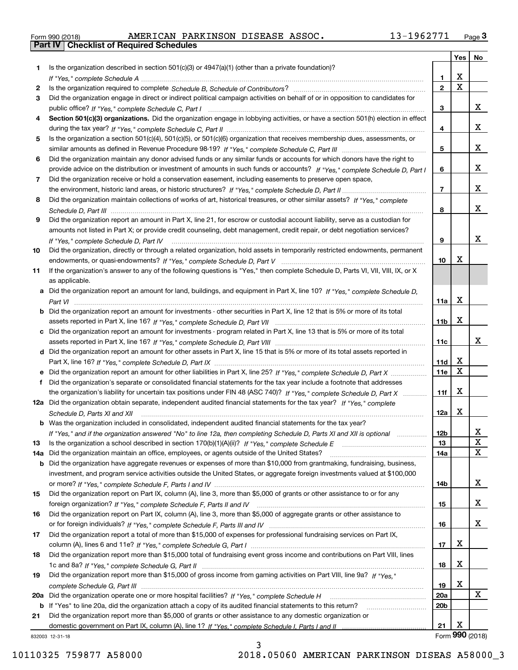| Form 990 (2018) |  |  |
|-----------------|--|--|

|     |                                                                                                                                                                                                                                                   |                 | Yes                          | No                      |
|-----|---------------------------------------------------------------------------------------------------------------------------------------------------------------------------------------------------------------------------------------------------|-----------------|------------------------------|-------------------------|
| 1   | Is the organization described in section $501(c)(3)$ or $4947(a)(1)$ (other than a private foundation)?                                                                                                                                           |                 |                              |                         |
|     |                                                                                                                                                                                                                                                   | 1               | X                            |                         |
| 2   |                                                                                                                                                                                                                                                   | $\mathbf{2}$    | $\overline{\mathbf{x}}$      |                         |
| 3   | Did the organization engage in direct or indirect political campaign activities on behalf of or in opposition to candidates for                                                                                                                   |                 |                              |                         |
|     |                                                                                                                                                                                                                                                   | з               |                              | X                       |
| 4   | Section 501(c)(3) organizations. Did the organization engage in lobbying activities, or have a section 501(h) election in effect                                                                                                                  |                 |                              |                         |
|     |                                                                                                                                                                                                                                                   | 4               |                              | x                       |
| 5   | Is the organization a section 501(c)(4), 501(c)(5), or 501(c)(6) organization that receives membership dues, assessments, or                                                                                                                      |                 |                              |                         |
|     |                                                                                                                                                                                                                                                   | 5               |                              | x                       |
| 6   | Did the organization maintain any donor advised funds or any similar funds or accounts for which donors have the right to                                                                                                                         |                 |                              | x                       |
| 7   | provide advice on the distribution or investment of amounts in such funds or accounts? If "Yes," complete Schedule D, Part I                                                                                                                      | 6               |                              |                         |
|     | Did the organization receive or hold a conservation easement, including easements to preserve open space,                                                                                                                                         | $\overline{7}$  |                              | x                       |
| 8   | Did the organization maintain collections of works of art, historical treasures, or other similar assets? If "Yes," complete                                                                                                                      |                 |                              |                         |
|     |                                                                                                                                                                                                                                                   | 8               |                              | x                       |
| 9   | Did the organization report an amount in Part X, line 21, for escrow or custodial account liability, serve as a custodian for                                                                                                                     |                 |                              |                         |
|     | amounts not listed in Part X; or provide credit counseling, debt management, credit repair, or debt negotiation services?                                                                                                                         |                 |                              |                         |
|     | If "Yes," complete Schedule D, Part IV                                                                                                                                                                                                            | 9               |                              | x                       |
| 10  | Did the organization, directly or through a related organization, hold assets in temporarily restricted endowments, permanent                                                                                                                     |                 |                              |                         |
|     |                                                                                                                                                                                                                                                   | 10              | Х                            |                         |
| 11  | If the organization's answer to any of the following questions is "Yes," then complete Schedule D, Parts VI, VIII, VIII, IX, or X                                                                                                                 |                 |                              |                         |
|     | as applicable.                                                                                                                                                                                                                                    |                 |                              |                         |
|     | a Did the organization report an amount for land, buildings, and equipment in Part X, line 10? If "Yes," complete Schedule D,                                                                                                                     |                 |                              |                         |
|     |                                                                                                                                                                                                                                                   | 11a             | X                            |                         |
|     | <b>b</b> Did the organization report an amount for investments - other securities in Part X, line 12 that is 5% or more of its total                                                                                                              |                 |                              |                         |
|     |                                                                                                                                                                                                                                                   | 11 <sub>b</sub> | X                            |                         |
|     | c Did the organization report an amount for investments - program related in Part X, line 13 that is 5% or more of its total                                                                                                                      |                 |                              |                         |
|     |                                                                                                                                                                                                                                                   | 11c             |                              | x                       |
|     | d Did the organization report an amount for other assets in Part X, line 15 that is 5% or more of its total assets reported in                                                                                                                    |                 |                              |                         |
|     |                                                                                                                                                                                                                                                   | 11d             | х<br>$\overline{\textbf{X}}$ |                         |
|     |                                                                                                                                                                                                                                                   | 11e             |                              |                         |
| f   | Did the organization's separate or consolidated financial statements for the tax year include a footnote that addresses<br>the organization's liability for uncertain tax positions under FIN 48 (ASC 740)? If "Yes," complete Schedule D, Part X | 11f             | X                            |                         |
|     | 12a Did the organization obtain separate, independent audited financial statements for the tax year? If "Yes," complete                                                                                                                           |                 |                              |                         |
|     | Schedule D, Parts XI and XII                                                                                                                                                                                                                      | 12a             | X                            |                         |
|     | <b>b</b> Was the organization included in consolidated, independent audited financial statements for the tax year?                                                                                                                                |                 |                              |                         |
|     | If "Yes," and if the organization answered "No" to line 12a, then completing Schedule D, Parts XI and XII is optional                                                                                                                             | 12b             |                              | X,                      |
| 13  |                                                                                                                                                                                                                                                   | 13              |                              | X                       |
| 14a | Did the organization maintain an office, employees, or agents outside of the United States?                                                                                                                                                       | 14a             |                              | $\overline{\mathbf{x}}$ |
| b   | Did the organization have aggregate revenues or expenses of more than \$10,000 from grantmaking, fundraising, business,                                                                                                                           |                 |                              |                         |
|     | investment, and program service activities outside the United States, or aggregate foreign investments valued at \$100,000                                                                                                                        |                 |                              |                         |
|     |                                                                                                                                                                                                                                                   | 14b             |                              | x                       |
| 15  | Did the organization report on Part IX, column (A), line 3, more than \$5,000 of grants or other assistance to or for any                                                                                                                         |                 |                              |                         |
|     |                                                                                                                                                                                                                                                   | 15              |                              | x                       |
| 16  | Did the organization report on Part IX, column (A), line 3, more than \$5,000 of aggregate grants or other assistance to                                                                                                                          |                 |                              |                         |
|     |                                                                                                                                                                                                                                                   | 16              |                              | x                       |
| 17  | Did the organization report a total of more than \$15,000 of expenses for professional fundraising services on Part IX,                                                                                                                           |                 |                              |                         |
|     |                                                                                                                                                                                                                                                   | 17              | х                            |                         |
| 18  | Did the organization report more than \$15,000 total of fundraising event gross income and contributions on Part VIII, lines                                                                                                                      |                 | х                            |                         |
|     | Did the organization report more than \$15,000 of gross income from gaming activities on Part VIII, line 9a? If "Yes."                                                                                                                            | 18              |                              |                         |
| 19  |                                                                                                                                                                                                                                                   | 19              | х                            |                         |
| 20a |                                                                                                                                                                                                                                                   | 20a             |                              | x                       |
| b   | If "Yes" to line 20a, did the organization attach a copy of its audited financial statements to this return?                                                                                                                                      | 20 <sub>b</sub> |                              |                         |
| 21  | Did the organization report more than \$5,000 of grants or other assistance to any domestic organization or                                                                                                                                       |                 |                              |                         |
|     |                                                                                                                                                                                                                                                   | 21              | х                            |                         |
|     | 832003 12-31-18                                                                                                                                                                                                                                   |                 |                              | Form 990 (2018)         |

3

832003 12-31-18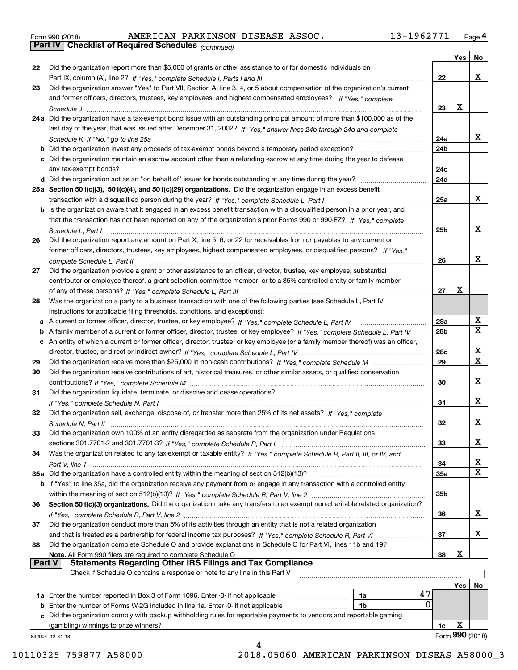|  | Form 990 (2018) |  |
|--|-----------------|--|
|  |                 |  |

|               |                                                                                                                                                                                       |                 | Yes | No                           |
|---------------|---------------------------------------------------------------------------------------------------------------------------------------------------------------------------------------|-----------------|-----|------------------------------|
| 22            | Did the organization report more than \$5,000 of grants or other assistance to or for domestic individuals on                                                                         |                 |     |                              |
|               | Part IX, column (A), line 2? If "Yes," complete Schedule I, Parts I and III [11] [12] [12] [13] [14] [15] Part IX, column (A), line 2? If "Yes," complete Schedule I, Parts I and III | 22              |     | x                            |
| 23            | Did the organization answer "Yes" to Part VII, Section A, line 3, 4, or 5 about compensation of the organization's current                                                            |                 |     |                              |
|               | and former officers, directors, trustees, key employees, and highest compensated employees? If "Yes," complete                                                                        |                 |     |                              |
|               |                                                                                                                                                                                       | 23              | х   |                              |
|               | 24a Did the organization have a tax-exempt bond issue with an outstanding principal amount of more than \$100,000 as of the                                                           |                 |     |                              |
|               | last day of the year, that was issued after December 31, 2002? If "Yes," answer lines 24b through 24d and complete                                                                    |                 |     |                              |
|               |                                                                                                                                                                                       | 24a             |     | x                            |
|               | <b>b</b> Did the organization invest any proceeds of tax-exempt bonds beyond a temporary period exception?                                                                            | 24 <sub>b</sub> |     |                              |
|               | c Did the organization maintain an escrow account other than a refunding escrow at any time during the year to defease                                                                |                 |     |                              |
|               | any tax-exempt bonds?                                                                                                                                                                 | 24c             |     |                              |
|               |                                                                                                                                                                                       | 24d             |     |                              |
|               | 25a Section 501(c)(3), 501(c)(4), and 501(c)(29) organizations. Did the organization engage in an excess benefit                                                                      |                 |     |                              |
|               |                                                                                                                                                                                       | 25a             |     | x                            |
|               | b Is the organization aware that it engaged in an excess benefit transaction with a disqualified person in a prior year, and                                                          |                 |     |                              |
|               | that the transaction has not been reported on any of the organization's prior Forms 990 or 990-EZ? If "Yes," complete                                                                 |                 |     |                              |
|               | Schedule L. Part I                                                                                                                                                                    | 25 <sub>b</sub> |     | x                            |
| 26            | Did the organization report any amount on Part X, line 5, 6, or 22 for receivables from or payables to any current or                                                                 |                 |     |                              |
|               | former officers, directors, trustees, key employees, highest compensated employees, or disqualified persons? If "Yes."                                                                |                 |     |                              |
|               | complete Schedule L, Part II                                                                                                                                                          | 26              |     | x                            |
| 27            | Did the organization provide a grant or other assistance to an officer, director, trustee, key employee, substantial                                                                  |                 |     |                              |
|               | contributor or employee thereof, a grant selection committee member, or to a 35% controlled entity or family member                                                                   |                 |     |                              |
|               |                                                                                                                                                                                       | 27              | х   |                              |
| 28            | Was the organization a party to a business transaction with one of the following parties (see Schedule L, Part IV                                                                     |                 |     |                              |
|               |                                                                                                                                                                                       |                 |     |                              |
|               | instructions for applicable filing thresholds, conditions, and exceptions):                                                                                                           | 28a             |     | X                            |
|               | a A current or former officer, director, trustee, or key employee? If "Yes," complete Schedule L, Part IV                                                                             |                 |     | $\overline{\text{x}}$        |
|               | b A family member of a current or former officer, director, trustee, or key employee? If "Yes," complete Schedule L, Part IV                                                          | 28 <sub>b</sub> |     |                              |
|               | c An entity of which a current or former officer, director, trustee, or key employee (or a family member thereof) was an officer,                                                     |                 |     |                              |
|               |                                                                                                                                                                                       | 28c             |     | x<br>$\overline{\mathbf{x}}$ |
| 29            |                                                                                                                                                                                       | 29              |     |                              |
| 30            | Did the organization receive contributions of art, historical treasures, or other similar assets, or qualified conservation                                                           |                 |     |                              |
|               |                                                                                                                                                                                       | 30              |     | x                            |
| 31            | Did the organization liquidate, terminate, or dissolve and cease operations?                                                                                                          |                 |     |                              |
|               |                                                                                                                                                                                       | 31              |     | x                            |
| 32            | Did the organization sell, exchange, dispose of, or transfer more than 25% of its net assets? If "Yes," complete                                                                      |                 |     |                              |
|               |                                                                                                                                                                                       | 32              |     | x                            |
|               | Did the organization own 100% of an entity disregarded as separate from the organization under Regulations                                                                            |                 |     |                              |
|               |                                                                                                                                                                                       | 33              |     | x                            |
| 34            | Was the organization related to any tax-exempt or taxable entity? If "Yes," complete Schedule R, Part II, III, or IV, and                                                             |                 |     |                              |
|               |                                                                                                                                                                                       | 34              |     | X                            |
|               | 35a Did the organization have a controlled entity within the meaning of section 512(b)(13)?                                                                                           | 35a             |     | X                            |
|               | b If "Yes" to line 35a, did the organization receive any payment from or engage in any transaction with a controlled entity                                                           |                 |     |                              |
|               |                                                                                                                                                                                       | 35b             |     |                              |
| 36            | Section 501(c)(3) organizations. Did the organization make any transfers to an exempt non-charitable related organization?                                                            |                 |     |                              |
|               |                                                                                                                                                                                       | 36              |     | X.                           |
| 37            | Did the organization conduct more than 5% of its activities through an entity that is not a related organization                                                                      |                 |     |                              |
|               |                                                                                                                                                                                       | 37              |     | X.                           |
| 38            | Did the organization complete Schedule O and provide explanations in Schedule O for Part VI, lines 11b and 19?                                                                        |                 |     |                              |
|               | Note. All Form 990 filers are required to complete Schedule O                                                                                                                         | 38              | x   |                              |
| <b>Part V</b> | <b>Statements Regarding Other IRS Filings and Tax Compliance</b>                                                                                                                      |                 |     |                              |
|               | Check if Schedule O contains a response or note to any line in this Part V                                                                                                            |                 |     |                              |
|               |                                                                                                                                                                                       |                 | Yes | No                           |
|               | 47<br>1a                                                                                                                                                                              |                 |     |                              |
| b             | $\Omega$<br>Enter the number of Forms W-2G included in line 1a. Enter -0- if not applicable<br>1b                                                                                     |                 |     |                              |
| c             | Did the organization comply with backup withholding rules for reportable payments to vendors and reportable gaming                                                                    |                 |     |                              |
|               | (gambling) winnings to prize winners?                                                                                                                                                 | 1c              | х   |                              |
|               | 832004 12-31-18                                                                                                                                                                       |                 |     | Form 990 (2018)              |
|               |                                                                                                                                                                                       |                 |     |                              |

10110325 759877 A58000 2018.05060 AMERICAN PARKINSON DISEAS A58000\_3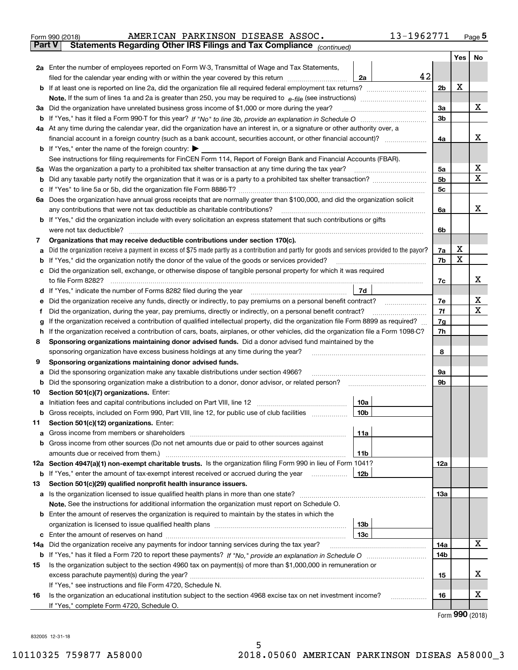| Form 990 (2018) |  | AMERICAN PARKINSON DISEASE ASSOC. |                                                                                                | 13-1962771 | Page 5 |
|-----------------|--|-----------------------------------|------------------------------------------------------------------------------------------------|------------|--------|
|                 |  |                                   | <b>Part V</b> Statements Regarding Other IRS Filings and Tax Compliance <sub>(continued)</sub> |            |        |
|                 |  |                                   |                                                                                                |            |        |

|     |                                                                                                                                                 |                | Yes | No               |  |  |  |  |  |  |
|-----|-------------------------------------------------------------------------------------------------------------------------------------------------|----------------|-----|------------------|--|--|--|--|--|--|
|     | <b>2a</b> Enter the number of employees reported on Form W-3, Transmittal of Wage and Tax Statements,                                           |                |     |                  |  |  |  |  |  |  |
|     | 42<br>filed for the calendar year ending with or within the year covered by this return <i>manumumumum</i><br>2a                                |                |     |                  |  |  |  |  |  |  |
|     |                                                                                                                                                 | 2b             | х   |                  |  |  |  |  |  |  |
|     |                                                                                                                                                 | За             |     | х                |  |  |  |  |  |  |
|     | 3a Did the organization have unrelated business gross income of \$1,000 or more during the year?                                                |                |     |                  |  |  |  |  |  |  |
|     |                                                                                                                                                 |                |     |                  |  |  |  |  |  |  |
|     | 4a At any time during the calendar year, did the organization have an interest in, or a signature or other authority over, a                    |                |     | х                |  |  |  |  |  |  |
|     | <b>b</b> If "Yes," enter the name of the foreign country: $\blacktriangleright$                                                                 | 4a             |     |                  |  |  |  |  |  |  |
|     | See instructions for filing requirements for FinCEN Form 114, Report of Foreign Bank and Financial Accounts (FBAR).                             |                |     |                  |  |  |  |  |  |  |
|     | 5a Was the organization a party to a prohibited tax shelter transaction at any time during the tax year?                                        | 5a             |     | х                |  |  |  |  |  |  |
|     |                                                                                                                                                 | 5 <sub>b</sub> |     | х                |  |  |  |  |  |  |
|     |                                                                                                                                                 | 5c             |     |                  |  |  |  |  |  |  |
|     | 6a Does the organization have annual gross receipts that are normally greater than \$100,000, and did the organization solicit                  |                |     |                  |  |  |  |  |  |  |
|     | any contributions that were not tax deductible as charitable contributions?                                                                     | 6a             |     | x                |  |  |  |  |  |  |
|     | <b>b</b> If "Yes," did the organization include with every solicitation an express statement that such contributions or gifts                   |                |     |                  |  |  |  |  |  |  |
|     | were not tax deductible?                                                                                                                        | 6b             |     |                  |  |  |  |  |  |  |
| 7   | Organizations that may receive deductible contributions under section 170(c).                                                                   |                |     |                  |  |  |  |  |  |  |
| а   | Did the organization receive a payment in excess of \$75 made partly as a contribution and partly for goods and services provided to the payor? | 7a             | х   |                  |  |  |  |  |  |  |
|     | <b>b</b> If "Yes," did the organization notify the donor of the value of the goods or services provided?                                        | 7b             | X   |                  |  |  |  |  |  |  |
|     | c Did the organization sell, exchange, or otherwise dispose of tangible personal property for which it was required                             |                |     |                  |  |  |  |  |  |  |
|     | to file Form 8282?                                                                                                                              | 7с             |     | х                |  |  |  |  |  |  |
|     | 7d<br><b>d</b> If "Yes," indicate the number of Forms 8282 filed during the year                                                                |                |     |                  |  |  |  |  |  |  |
| е   | Did the organization receive any funds, directly or indirectly, to pay premiums on a personal benefit contract?                                 | 7e<br>7f       |     | х<br>х           |  |  |  |  |  |  |
| Ť   | Did the organization, during the year, pay premiums, directly or indirectly, on a personal benefit contract?                                    |                |     |                  |  |  |  |  |  |  |
| g   | If the organization received a contribution of qualified intellectual property, did the organization file Form 8899 as required?                | 7g             |     |                  |  |  |  |  |  |  |
|     | h If the organization received a contribution of cars, boats, airplanes, or other vehicles, did the organization file a Form 1098-C?            | 7h             |     |                  |  |  |  |  |  |  |
| 8   | Sponsoring organizations maintaining donor advised funds. Did a donor advised fund maintained by the                                            |                |     |                  |  |  |  |  |  |  |
| 9   | sponsoring organization have excess business holdings at any time during the year?<br>Sponsoring organizations maintaining donor advised funds. | 8              |     |                  |  |  |  |  |  |  |
| а   | Did the sponsoring organization make any taxable distributions under section 4966?                                                              | 9а             |     |                  |  |  |  |  |  |  |
|     | <b>b</b> Did the sponsoring organization make a distribution to a donor, donor advisor, or related person?                                      | 9b             |     |                  |  |  |  |  |  |  |
| 10  | Section 501(c)(7) organizations. Enter:                                                                                                         |                |     |                  |  |  |  |  |  |  |
| а   | 10a                                                                                                                                             |                |     |                  |  |  |  |  |  |  |
|     | 10 <sub>b</sub><br>b Gross receipts, included on Form 990, Part VIII, line 12, for public use of club facilities                                |                |     |                  |  |  |  |  |  |  |
| 11  | Section 501(c)(12) organizations. Enter:                                                                                                        |                |     |                  |  |  |  |  |  |  |
| a   | 11a<br>Gross income from members or shareholders                                                                                                |                |     |                  |  |  |  |  |  |  |
|     | <b>b</b> Gross income from other sources (Do not net amounts due or paid to other sources against                                               |                |     |                  |  |  |  |  |  |  |
|     | 11b                                                                                                                                             |                |     |                  |  |  |  |  |  |  |
|     | 12a Section 4947(a)(1) non-exempt charitable trusts. Is the organization filing Form 990 in lieu of Form 1041?                                  | 12a            |     |                  |  |  |  |  |  |  |
|     | 12b<br><b>b</b> If "Yes," enter the amount of tax-exempt interest received or accrued during the year                                           |                |     |                  |  |  |  |  |  |  |
| 13  | Section 501(c)(29) qualified nonprofit health insurance issuers.                                                                                |                |     |                  |  |  |  |  |  |  |
|     | a Is the organization licensed to issue qualified health plans in more than one state?                                                          | 13a            |     |                  |  |  |  |  |  |  |
|     | Note. See the instructions for additional information the organization must report on Schedule O.                                               |                |     |                  |  |  |  |  |  |  |
|     | <b>b</b> Enter the amount of reserves the organization is required to maintain by the states in which the                                       |                |     |                  |  |  |  |  |  |  |
|     | 13 <sub>b</sub>                                                                                                                                 |                |     |                  |  |  |  |  |  |  |
|     | 13с                                                                                                                                             |                |     | х                |  |  |  |  |  |  |
| 14a |                                                                                                                                                 | 14a            |     |                  |  |  |  |  |  |  |
|     |                                                                                                                                                 | 14b            |     |                  |  |  |  |  |  |  |
| 15  | Is the organization subject to the section 4960 tax on payment(s) of more than \$1,000,000 in remuneration or                                   | 15             |     | х                |  |  |  |  |  |  |
|     | If "Yes," see instructions and file Form 4720, Schedule N.                                                                                      |                |     |                  |  |  |  |  |  |  |
| 16  | Is the organization an educational institution subject to the section 4968 excise tax on net investment income?                                 | 16             |     | х                |  |  |  |  |  |  |
|     | If "Yes," complete Form 4720, Schedule O.                                                                                                       |                |     |                  |  |  |  |  |  |  |
|     |                                                                                                                                                 |                |     | $000$ ( $0010$ ) |  |  |  |  |  |  |

Form (2018) **990**

832005 12-31-18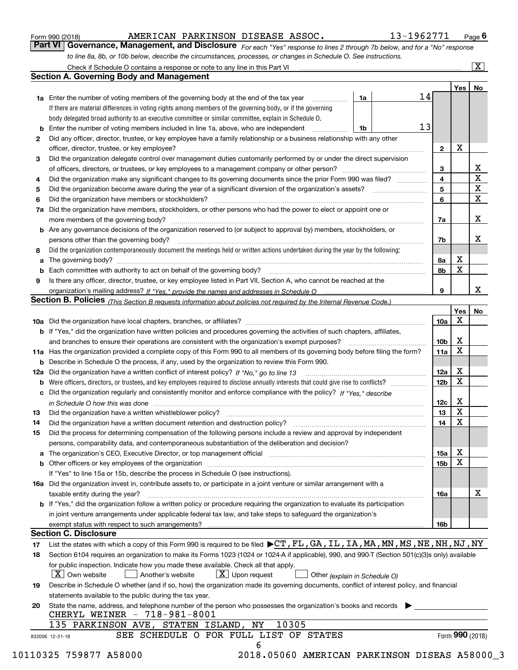| Form 990 (2018) |  |  |
|-----------------|--|--|
|                 |  |  |

### AMERICAN PARKINSON DISEASE ASSOC. 13-1962771

*For each "Yes" response to lines 2 through 7b below, and for a "No" response to line 8a, 8b, or 10b below, describe the circumstances, processes, or changes in Schedule O. See instructions.* Form 990 (2018) **COMBART ANGERIGAN PARKINSON DISEASE ASSOC.** 13-1962771 <sub>Page</sub> 6<br>**Part VI Governance, Management, and Disclosure** For each "Yes" response to lines 2 through 7b below, and for a "No" response

|    |                                                                                                                                                                               |    |    |                 | Yes   No    |                         |
|----|-------------------------------------------------------------------------------------------------------------------------------------------------------------------------------|----|----|-----------------|-------------|-------------------------|
|    | <b>1a</b> Enter the number of voting members of the governing body at the end of the tax year                                                                                 | 1a | 14 |                 |             |                         |
|    | If there are material differences in voting rights among members of the governing body, or if the governing                                                                   |    |    |                 |             |                         |
|    | body delegated broad authority to an executive committee or similar committee, explain in Schedule O.                                                                         |    |    |                 |             |                         |
|    | <b>b</b> Enter the number of voting members included in line 1a, above, who are independent <i>manumum</i>                                                                    | 1b | 13 |                 |             |                         |
| 2  | Did any officer, director, trustee, or key employee have a family relationship or a business relationship with any other                                                      |    |    |                 |             |                         |
|    | officer, director, trustee, or key employee?                                                                                                                                  |    |    | $\mathbf{2}$    | X           |                         |
| 3  | Did the organization delegate control over management duties customarily performed by or under the direct supervision                                                         |    |    |                 |             |                         |
|    |                                                                                                                                                                               |    |    | 3               |             | X                       |
| 4  | Did the organization make any significant changes to its governing documents since the prior Form 990 was filed?                                                              |    |    | $\overline{4}$  |             | $\overline{\mathbf{x}}$ |
| 5  |                                                                                                                                                                               |    |    | 5               |             | X                       |
| 6  |                                                                                                                                                                               |    |    | 6               |             | $\mathbf X$             |
| 7a | Did the organization have members, stockholders, or other persons who had the power to elect or appoint one or                                                                |    |    |                 |             |                         |
|    |                                                                                                                                                                               |    |    | 7a              |             | x                       |
|    | <b>b</b> Are any governance decisions of the organization reserved to (or subject to approval by) members, stockholders, or                                                   |    |    |                 |             |                         |
|    | persons other than the governing body?                                                                                                                                        |    |    | 7b              |             | х                       |
| 8  | Did the organization contemporaneously document the meetings held or written actions undertaken during the year by the following:                                             |    |    |                 |             |                         |
| a  |                                                                                                                                                                               |    |    | 8a              | X           |                         |
|    |                                                                                                                                                                               |    |    | 8b              | X           |                         |
| 9  | Is there any officer, director, trustee, or key employee listed in Part VII, Section A, who cannot be reached at the                                                          |    |    |                 |             |                         |
|    |                                                                                                                                                                               |    |    | 9               |             | x                       |
|    | Section B. Policies (This Section B requests information about policies not required by the Internal Revenue Code.)                                                           |    |    |                 |             |                         |
|    |                                                                                                                                                                               |    |    |                 | Yes         | No                      |
|    |                                                                                                                                                                               |    |    | 10a             | Х           |                         |
|    | <b>b</b> If "Yes," did the organization have written policies and procedures governing the activities of such chapters, affiliates,                                           |    |    |                 |             |                         |
|    |                                                                                                                                                                               |    |    |                 | х           |                         |
|    |                                                                                                                                                                               |    |    | 10 <sub>b</sub> | $\mathbf X$ |                         |
|    | 11a Has the organization provided a complete copy of this Form 990 to all members of its governing body before filing the form?                                               |    |    | 11a             |             |                         |
|    | <b>b</b> Describe in Schedule O the process, if any, used by the organization to review this Form 990.                                                                        |    |    |                 |             |                         |
|    |                                                                                                                                                                               |    |    | 12a             | X           |                         |
| b  |                                                                                                                                                                               |    |    | 12 <sub>b</sub> | X           |                         |
|    | c Did the organization regularly and consistently monitor and enforce compliance with the policy? If "Yes." describe                                                          |    |    |                 |             |                         |
|    | in Schedule O how this was done manufactured and continuum control of the Schedule O how this was done manufactured and continuum control of the Schedule O how this was done |    |    | 12c             | X           |                         |
| 13 |                                                                                                                                                                               |    |    | 13              | X           |                         |
| 14 | Did the organization have a written document retention and destruction policy? manufactured and the organization have a written document retention and destruction policy?    |    |    | 14              | X           |                         |
| 15 | Did the process for determining compensation of the following persons include a review and approval by independent                                                            |    |    |                 |             |                         |
|    | persons, comparability data, and contemporaneous substantiation of the deliberation and decision?                                                                             |    |    |                 |             |                         |
|    |                                                                                                                                                                               |    |    | 15a             | X           |                         |
|    |                                                                                                                                                                               |    |    | 15 <sub>b</sub> | X           |                         |
|    | If "Yes" to line 15a or 15b, describe the process in Schedule O (see instructions).                                                                                           |    |    |                 |             |                         |
|    | 16a Did the organization invest in, contribute assets to, or participate in a joint venture or similar arrangement with a                                                     |    |    |                 |             |                         |
|    | taxable entity during the year?                                                                                                                                               |    |    | 16a             |             | X                       |
|    | b If "Yes," did the organization follow a written policy or procedure requiring the organization to evaluate its participation                                                |    |    |                 |             |                         |
|    | in joint venture arrangements under applicable federal tax law, and take steps to safeguard the organization's                                                                |    |    |                 |             |                         |
|    | exempt status with respect to such arrangements?                                                                                                                              |    |    | <b>16b</b>      |             |                         |
|    | <b>Section C. Disclosure</b>                                                                                                                                                  |    |    |                 |             |                         |
| 17 | List the states with which a copy of this Form 990 is required to be filed $\blacktriangleright$ CT, FL, GA, IL, IA, MA, MN, MS, NE, NH, NJ, NY                               |    |    |                 |             |                         |
| 18 | Section 6104 requires an organization to make its Forms 1023 (1024 or 1024 A if applicable), 990, and 990-T (Section 501(c)(3)s only) available                               |    |    |                 |             |                         |
|    | for public inspection. Indicate how you made these available. Check all that apply.                                                                                           |    |    |                 |             |                         |
|    | $\lfloor x \rfloor$ Own website<br>$\lfloor x \rfloor$ Upon request<br>Another's website<br>Other (explain in Schedule O)                                                     |    |    |                 |             |                         |
| 19 | Describe in Schedule O whether (and if so, how) the organization made its governing documents, conflict of interest policy, and financial                                     |    |    |                 |             |                         |
|    | statements available to the public during the tax year.                                                                                                                       |    |    |                 |             |                         |
| 20 | State the name, address, and telephone number of the person who possesses the organization's books and records                                                                |    |    |                 |             |                         |
|    | CHERYL WEINER - 718-981-8001                                                                                                                                                  |    |    |                 |             |                         |
|    | 135 PARKINSON AVE, STATEN ISLAND, NY<br>10305                                                                                                                                 |    |    |                 |             |                         |
|    | SEE SCHEDULE O FOR FULL LIST OF STATES                                                                                                                                        |    |    |                 |             | Form 990 (2018)         |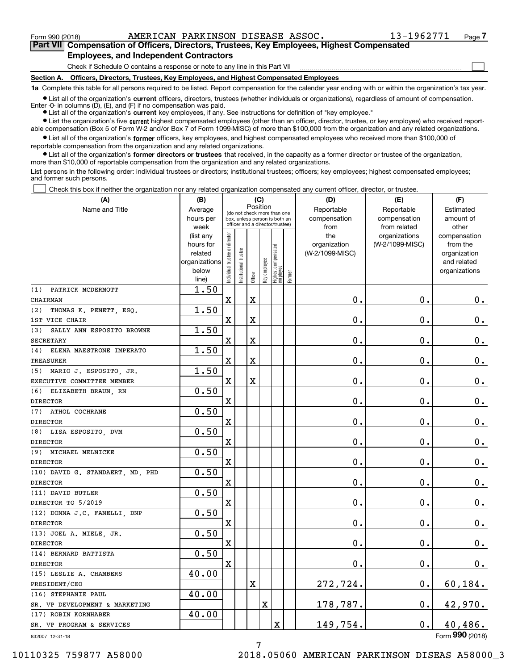$\mathcal{L}^{\text{max}}$ 

**7Part VII Compensation of Officers, Directors, Trustees, Key Employees, Highest Compensated Employees, and Independent Contractors**

Check if Schedule O contains a response or note to any line in this Part VII

**Section A. Officers, Directors, Trustees, Key Employees, and Highest Compensated Employees**

**1a**  Complete this table for all persons required to be listed. Report compensation for the calendar year ending with or within the organization's tax year.

**•** List all of the organization's current officers, directors, trustees (whether individuals or organizations), regardless of amount of compensation. Enter -0- in columns  $(D)$ ,  $(E)$ , and  $(F)$  if no compensation was paid.

● List all of the organization's **current** key employees, if any. See instructions for definition of "key employee."

**•** List the organization's five current highest compensated employees (other than an officer, director, trustee, or key employee) who received reportable compensation (Box 5 of Form W-2 and/or Box 7 of Form 1099-MISC) of more than \$100,000 from the organization and any related organizations.

 $\bullet$  List all of the organization's **former** officers, key employees, and highest compensated employees who received more than \$100,000 of reportable compensation from the organization and any related organizations.

**•** List all of the organization's former directors or trustees that received, in the capacity as a former director or trustee of the organization, more than \$10,000 of reportable compensation from the organization and any related organizations.

List persons in the following order: individual trustees or directors; institutional trustees; officers; key employees; highest compensated employees; and former such persons.

Check this box if neither the organization nor any related organization compensated any current officer, director, or trustee.  $\mathcal{L}^{\text{max}}$ 

| (A)                              | (C)<br>(B)                                         |                                |                 |                                 |              |                                  |        | (D)             | (E)             | (F)                         |
|----------------------------------|----------------------------------------------------|--------------------------------|-----------------|---------------------------------|--------------|----------------------------------|--------|-----------------|-----------------|-----------------------------|
| Name and Title                   | Position<br>Average<br>(do not check more than one |                                |                 |                                 |              |                                  |        | Reportable      | Reportable      | Estimated                   |
|                                  | hours per                                          |                                |                 | box, unless person is both an   |              |                                  |        | compensation    | compensation    | amount of                   |
|                                  | week                                               |                                |                 | officer and a director/trustee) |              |                                  |        | from            | from related    | other                       |
|                                  | (list any                                          |                                |                 |                                 |              |                                  |        | the             | organizations   | compensation                |
|                                  | hours for                                          |                                |                 |                                 |              |                                  |        | organization    | (W-2/1099-MISC) | from the                    |
|                                  | related                                            |                                | trustee         |                                 |              |                                  |        | (W-2/1099-MISC) |                 | organization<br>and related |
|                                  | organizations<br>below                             |                                |                 |                                 |              |                                  |        |                 |                 | organizations               |
|                                  | line)                                              | Individual trustee or director | Institutional t | Officer                         | Key employee | Highest compensated<br> employee | Former |                 |                 |                             |
| PATRICK MCDERMOTT<br>(1)         | 1.50                                               |                                |                 |                                 |              |                                  |        |                 |                 |                             |
| CHAIRMAN                         |                                                    | $\mathbf x$                    |                 | $\mathbf X$                     |              |                                  |        | $\mathbf 0$ .   | $\mathbf 0$ .   | $0_{.}$                     |
| THOMAS K. PENETT, ESQ.<br>(2)    | 1.50                                               |                                |                 |                                 |              |                                  |        |                 |                 |                             |
| 1ST VICE CHAIR                   |                                                    | $\mathbf X$                    |                 | Χ                               |              |                                  |        | $\mathbf 0$ .   | $\mathbf 0$ .   | $\mathbf 0$ .               |
| SALLY ANN ESPOSITO BROWNE<br>(3) | 1.50                                               |                                |                 |                                 |              |                                  |        |                 |                 |                             |
| <b>SECRETARY</b>                 |                                                    | $\mathbf X$                    |                 | X                               |              |                                  |        | $\mathbf 0$ .   | $\mathbf 0$ .   | $\mathbf 0$ .               |
| ELENA MAESTRONE IMPERATO<br>(4)  | 1.50                                               |                                |                 |                                 |              |                                  |        |                 |                 |                             |
| TREASURER                        |                                                    | $\mathbf X$                    |                 | X                               |              |                                  |        | $\mathbf 0$ .   | 0.              | $\mathbf 0$ .               |
| (5) MARIO J. ESPOSITO, JR.       | 1.50                                               |                                |                 |                                 |              |                                  |        |                 |                 |                             |
| EXECUTIVE COMMITTEE MEMBER       |                                                    | $\mathbf X$                    |                 | X                               |              |                                  |        | $\mathbf 0$ .   | $\mathbf 0$ .   | $\pmb{0}$ .                 |
| (6) ELIZABETH BRAUN, RN          | 0.50                                               |                                |                 |                                 |              |                                  |        |                 |                 |                             |
| <b>DIRECTOR</b>                  |                                                    | $\mathbf X$                    |                 |                                 |              |                                  |        | $\mathbf 0$ .   | $\mathbf 0$ .   | $\mathbf 0$ .               |
| (7) ATHOL COCHRANE               | 0.50                                               |                                |                 |                                 |              |                                  |        |                 |                 |                             |
| <b>DIRECTOR</b>                  |                                                    | $\mathbf X$                    |                 |                                 |              |                                  |        | $\mathbf 0$ .   | $\mathbf 0$ .   | $0_{.}$                     |
| (8) LISA ESPOSITO, DVM           | 0.50                                               |                                |                 |                                 |              |                                  |        |                 |                 |                             |
| <b>DIRECTOR</b>                  |                                                    | $\mathbf X$                    |                 |                                 |              |                                  |        | $\mathbf 0$ .   | 0.              | 0.                          |
| (9) MICHAEL MELNICKE             | 0.50                                               |                                |                 |                                 |              |                                  |        |                 |                 |                             |
| <b>DIRECTOR</b>                  |                                                    | X                              |                 |                                 |              |                                  |        | 0.              | 0.              | $\mathbf 0$ .               |
| (10) DAVID G. STANDAERT, MD, PHD | 0.50                                               |                                |                 |                                 |              |                                  |        |                 |                 |                             |
| <b>DIRECTOR</b>                  |                                                    | $\mathbf X$                    |                 |                                 |              |                                  |        | 0.              | $\mathbf 0$ .   | $\mathbf 0$ .               |
| (11) DAVID BUTLER                | 0.50                                               |                                |                 |                                 |              |                                  |        |                 |                 |                             |
| DIRECTOR TO 5/2019               |                                                    | $\mathbf x$                    |                 |                                 |              |                                  |        | $\mathbf 0$ .   | 0.              | $0_{.}$                     |
| (12) DONNA J.C. FANELLI, DNP     | 0.50                                               |                                |                 |                                 |              |                                  |        |                 |                 |                             |
| <b>DIRECTOR</b>                  |                                                    | $\mathbf x$                    |                 |                                 |              |                                  |        | $\mathbf 0$ .   | $\mathbf 0$ .   | $0_{.}$                     |
| (13) JOEL A. MIELE, JR.          | 0.50                                               |                                |                 |                                 |              |                                  |        |                 |                 |                             |
| <b>DIRECTOR</b>                  |                                                    | $\mathbf x$                    |                 |                                 |              |                                  |        | $\mathbf 0$ .   | 0.              | $0_{.}$                     |
| (14) BERNARD BATTISTA            | 0.50                                               |                                |                 |                                 |              |                                  |        |                 |                 |                             |
| <b>DIRECTOR</b>                  |                                                    | $\mathbf X$                    |                 |                                 |              |                                  |        | $\mathbf 0$ .   | $\mathbf 0$ .   | $\mathbf 0$ .               |
| (15) LESLIE A. CHAMBERS          | 40.00                                              |                                |                 |                                 |              |                                  |        |                 |                 |                             |
| PRESIDENT/CEO                    |                                                    |                                |                 | X                               |              |                                  |        | <u>272,724.</u> | 0.              | 60, 184.                    |
| (16) STEPHANIE PAUL              | 40.00                                              |                                |                 |                                 |              |                                  |        |                 |                 |                             |
| SR. VP DEVELOPMENT & MARKETING   |                                                    |                                |                 |                                 | X            |                                  |        | 178,787.        | 0.              | 42,970.                     |
| (17) ROBIN KORNHABER             | 40.00                                              |                                |                 |                                 |              |                                  |        |                 |                 |                             |
| SR. VP PROGRAM & SERVICES        |                                                    |                                |                 |                                 |              | $\overline{\textbf{X}}$          |        | 149,754.        | 0.              | 40,486.                     |

832007 12-31-18

Form (2018) **990**

10110325 759877 A58000 2018.05060 AMERICAN PARKINSON DISEAS A58000\_3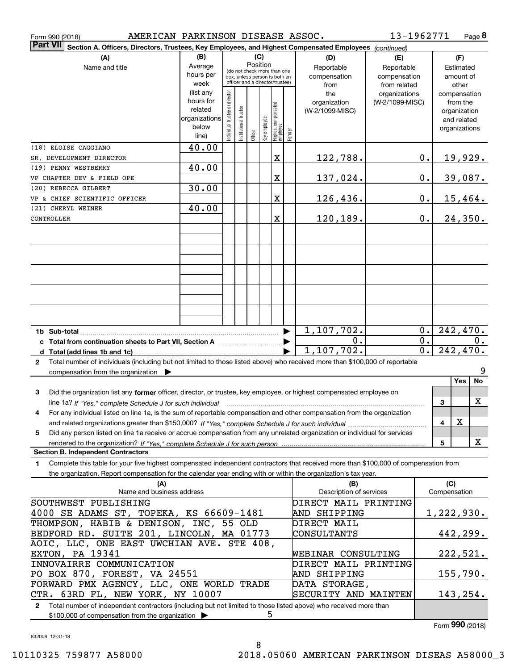| AMERICAN PARKINSON DISEASE ASSOC.<br>Form 990 (2018)                                                                                         |                                                                      |                                |                       |         |              |                                                                                                 |                       |                                           | 13-1962771                                        |                  |                                                                          | Page 8         |
|----------------------------------------------------------------------------------------------------------------------------------------------|----------------------------------------------------------------------|--------------------------------|-----------------------|---------|--------------|-------------------------------------------------------------------------------------------------|-----------------------|-------------------------------------------|---------------------------------------------------|------------------|--------------------------------------------------------------------------|----------------|
| <b>Part VII</b><br>Section A. Officers, Directors, Trustees, Key Employees, and Highest Compensated Employees (continued)                    |                                                                      |                                |                       |         |              |                                                                                                 |                       |                                           |                                                   |                  |                                                                          |                |
| (A)<br>Name and title                                                                                                                        | (B)<br>Average<br>hours per<br>week                                  |                                |                       | (C)     | Position     | (do not check more than one<br>box, unless person is both an<br>officer and a director/trustee) |                       | (D)<br>Reportable<br>compensation<br>from | (E)<br>Reportable<br>compensation<br>from related |                  | (F)<br>Estimated<br>amount of<br>other                                   |                |
|                                                                                                                                              | (list any<br>hours for<br>related<br>organizations<br>below<br>line) | Individual trustee or director | Institutional trustee | Officer | key employee | Highest compensated<br>employee                                                                 | Former                | the<br>organization<br>(W-2/1099-MISC)    | organizations<br>(W-2/1099-MISC)                  |                  | compensation<br>from the<br>organization<br>and related<br>organizations |                |
| (18) ELOISE CAGGIANO                                                                                                                         | 40.00                                                                |                                |                       |         |              |                                                                                                 |                       |                                           |                                                   |                  |                                                                          |                |
| SR. DEVELOPMENT DIRECTOR<br>(19) PENNY WESTBERRY                                                                                             | 40.00                                                                |                                |                       |         |              | Χ                                                                                               |                       | 122,788.                                  |                                                   | $0$ .            |                                                                          | 19,929.        |
| VP CHAPTER DEV & FIELD OPE                                                                                                                   |                                                                      |                                |                       |         |              | X                                                                                               |                       | 137,024.                                  |                                                   | 0.               |                                                                          | 39,087.        |
| (20) REBECCA GILBERT                                                                                                                         | 30.00                                                                |                                |                       |         |              |                                                                                                 |                       |                                           |                                                   |                  |                                                                          |                |
| VP & CHIEF SCIENTIFIC OFFICER                                                                                                                |                                                                      |                                |                       |         |              | X                                                                                               |                       | 126,436.                                  |                                                   | 0.               |                                                                          | <u>15,464.</u> |
| (21) CHERYL WEINER                                                                                                                           | 40.00                                                                |                                |                       |         |              |                                                                                                 |                       |                                           |                                                   |                  |                                                                          |                |
| CONTROLLER                                                                                                                                   |                                                                      |                                |                       |         |              | X                                                                                               |                       | 120,189.                                  |                                                   | 0.               |                                                                          | 24,350.        |
|                                                                                                                                              |                                                                      |                                |                       |         |              |                                                                                                 |                       |                                           |                                                   |                  |                                                                          |                |
|                                                                                                                                              |                                                                      |                                |                       |         |              |                                                                                                 |                       |                                           |                                                   |                  |                                                                          |                |
|                                                                                                                                              |                                                                      |                                |                       |         |              |                                                                                                 |                       |                                           |                                                   |                  |                                                                          |                |
|                                                                                                                                              |                                                                      |                                |                       |         |              |                                                                                                 |                       |                                           |                                                   |                  |                                                                          |                |
|                                                                                                                                              |                                                                      |                                |                       |         |              |                                                                                                 |                       |                                           |                                                   |                  |                                                                          |                |
|                                                                                                                                              |                                                                      |                                |                       |         |              |                                                                                                 |                       |                                           |                                                   |                  |                                                                          |                |
|                                                                                                                                              |                                                                      |                                |                       |         |              |                                                                                                 |                       |                                           |                                                   |                  |                                                                          |                |
|                                                                                                                                              |                                                                      |                                |                       |         |              |                                                                                                 |                       |                                           |                                                   |                  |                                                                          |                |
|                                                                                                                                              |                                                                      |                                |                       |         |              |                                                                                                 |                       |                                           |                                                   |                  |                                                                          |                |
|                                                                                                                                              |                                                                      |                                |                       |         |              |                                                                                                 | $\blacktriangleright$ | 1,107,702.                                |                                                   | 0.               |                                                                          | 242, 470.      |
|                                                                                                                                              |                                                                      |                                |                       |         |              |                                                                                                 |                       | 0.                                        |                                                   | 0.               |                                                                          | 0.             |
|                                                                                                                                              |                                                                      |                                |                       |         |              |                                                                                                 |                       | 1,107,702.                                |                                                   | $\overline{0}$ . |                                                                          | 242,470.       |
| Total number of individuals (including but not limited to those listed above) who received more than \$100,000 of reportable<br>$\mathbf{2}$ |                                                                      |                                |                       |         |              |                                                                                                 |                       |                                           |                                                   |                  |                                                                          |                |
| compensation from the organization $\blacktriangleright$                                                                                     |                                                                      |                                |                       |         |              |                                                                                                 |                       |                                           |                                                   |                  | Yes                                                                      | 9<br>No        |
| 3<br>Did the organization list any former officer, director, or trustee, key employee, or highest compensated employee on                    |                                                                      |                                |                       |         |              |                                                                                                 |                       |                                           |                                                   |                  |                                                                          |                |
| line 1a? If "Yes," complete Schedule J for such individual manufactured contained and the Ves," complete Schedule J for such individual      |                                                                      |                                |                       |         |              |                                                                                                 |                       |                                           |                                                   |                  | 3                                                                        | X              |
| For any individual listed on line 1a, is the sum of reportable compensation and other compensation from the organization<br>4                |                                                                      |                                |                       |         |              |                                                                                                 |                       |                                           |                                                   |                  |                                                                          |                |
|                                                                                                                                              |                                                                      |                                |                       |         |              |                                                                                                 |                       |                                           |                                                   |                  | X<br>4                                                                   |                |
| Did any person listed on line 1a receive or accrue compensation from any unrelated organization or individual for services<br>5              |                                                                      |                                |                       |         |              |                                                                                                 |                       |                                           |                                                   |                  |                                                                          |                |
| <b>Section B. Independent Contractors</b>                                                                                                    |                                                                      |                                |                       |         |              |                                                                                                 |                       |                                           |                                                   |                  | 5                                                                        | X              |
| Complete this table for your five highest compensated independent contractors that received more than \$100,000 of compensation from<br>1.   |                                                                      |                                |                       |         |              |                                                                                                 |                       |                                           |                                                   |                  |                                                                          |                |
| the organization. Report compensation for the calendar year ending with or within the organization's tax year.                               |                                                                      |                                |                       |         |              |                                                                                                 |                       |                                           |                                                   |                  |                                                                          |                |
| (A)                                                                                                                                          |                                                                      |                                |                       |         |              |                                                                                                 |                       | (B)                                       |                                                   |                  | (C)                                                                      |                |
| Name and business address                                                                                                                    |                                                                      |                                |                       |         |              |                                                                                                 |                       | Description of services                   |                                                   |                  | Compensation                                                             |                |
| SOUTHWEST PUBLISHING                                                                                                                         |                                                                      |                                |                       |         |              |                                                                                                 |                       | DIRECT MAIL PRINTING                      |                                                   |                  |                                                                          |                |
| 4000 SE ADAMS ST, TOPEKA, KS 66609-1481                                                                                                      |                                                                      |                                |                       |         |              |                                                                                                 |                       | AND SHIPPING                              |                                                   |                  | 1,222,930.                                                               |                |
| THOMPSON, HABIB & DENISON, INC, 55 OLD<br>BEDFORD RD. SUITE 201, LINCOLN, MA 01773                                                           |                                                                      |                                |                       |         |              |                                                                                                 |                       | DIRECT MAIL<br>CONSULTANTS                |                                                   |                  |                                                                          |                |
| AOIC, LLC, ONE EAST UWCHIAN AVE. STE 408,                                                                                                    |                                                                      |                                |                       |         |              |                                                                                                 |                       |                                           |                                                   |                  |                                                                          | 442,299.       |
| EXTON, PA 19341                                                                                                                              |                                                                      |                                |                       |         |              |                                                                                                 |                       | WEBINAR CONSULTING                        |                                                   |                  |                                                                          | 222,521.       |
| INNOVAIRRE COMMUNICATION                                                                                                                     |                                                                      |                                |                       |         |              |                                                                                                 |                       | DIRECT MAIL PRINTING                      |                                                   |                  |                                                                          |                |
| PO BOX 870, FOREST, VA 24551                                                                                                                 |                                                                      |                                |                       |         |              |                                                                                                 |                       | AND SHIPPING                              |                                                   |                  |                                                                          | 155,790.       |
| FORWARD PMX AGENCY, LLC, ONE WORLD TRADE                                                                                                     |                                                                      |                                |                       |         |              |                                                                                                 |                       | DATA STORAGE,                             |                                                   |                  |                                                                          |                |
| CTR. 63RD FL, NEW YORK, NY 10007                                                                                                             |                                                                      |                                |                       |         |              |                                                                                                 |                       | SECURITY AND MAINTEN                      |                                                   |                  |                                                                          | 143,254.       |
| 2 Total number of independent contractors (including but not limited to those listed above) who received mere than                           |                                                                      |                                |                       |         |              |                                                                                                 |                       |                                           |                                                   |                  |                                                                          |                |

**2**Total number of independent contractors (including but not limit $\epsilon$ \$100,000 of compensation from the organization ose listed abo<br><mark>5</mark>

Form (2018) **990**

832008 12-31-18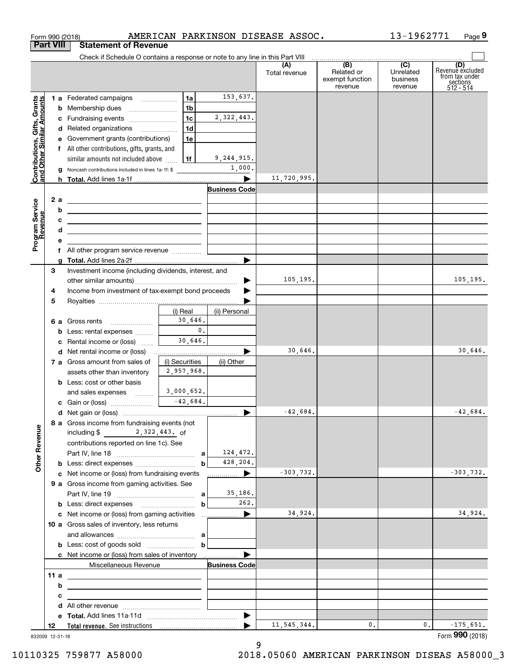| <b>Part VIII</b><br><b>Statement of Revenue</b><br>Check if Schedule O contains a response or note to any line in this Part VIII<br>(B)<br>$\overline{C}$<br>(D)<br>(A)<br>Related or<br>Unrelated<br>Total revenue<br>exempt function<br>business<br>sections<br>512 - 514<br>revenue<br>revenue<br>153,637.<br>1a<br>1 a Federated campaigns<br>Contributions, Gifts, Grants<br>and Other Similar Amounts<br>1 <sub>b</sub><br>1 <sub>c</sub><br>2,322,443.<br>c Fundraising events<br>1 <sub>d</sub><br>d Related organizations<br>e Government grants (contributions)<br>1e<br>f All other contributions, gifts, grants, and<br>9,244,915.<br>similar amounts not included above $\frac{1}{2}$   1f<br>1,000.<br><b>g</b> Noncash contributions included in lines 1a-1f: \$<br>11,720,995.<br><b>Business Code</b><br>2 a<br><u>and the state of the state of the state of the state of the state of the state of the state of the state of the state of the state of the state of the state of the state of the state of the state of the state of the state</u><br>Program Service<br>Revenue<br>b<br><u> 1989 - Johann Stoff, amerikansk politiker (</u><br>c<br><u> 1989 - Jan Sterling and Sterling and Sterling and Sterling and Sterling and Sterling and Sterling and Sterling</u><br>d<br>the control of the control of the control of the control of the control of<br>е<br>▶<br>Investment income (including dividends, interest, and<br>З<br>105,195.<br>▶<br>Income from investment of tax-exempt bond proceeds<br>4<br>5<br>(i) Real<br>(ii) Personal<br>30,646.<br>6 a Gross rents<br>0.<br><b>b</b> Less: rental expenses<br>30,646.<br>c Rental income or (loss)<br>30,646.<br><b>d</b> Net rental income or (loss)<br>(i) Securities<br>7 a Gross amount from sales of<br>(ii) Other<br>2,957,968.<br>assets other than inventory<br><b>b</b> Less: cost or other basis<br>3,000,652.<br>and sales expenses<br>$-42,684.$<br>$-42,684.$<br>8 a Gross income from fundraising events (not<br><b>Other Revenue</b><br>including \$ 2, 322, 443. of<br>contributions reported on line 1c). See<br>124,472.<br>428,204.<br>$-303,732.$<br>$\blacktriangleright$<br>c Net income or (loss) from fundraising events<br>9 a Gross income from gaming activities. See<br>35,186.<br>262.<br>34,924.<br>$\blacktriangleright$<br>10 a Gross sales of inventory, less returns<br>c Net income or (loss) from sales of inventory<br>Miscellaneous Revenue<br><b>Business Code</b><br>11 a<br>b<br>с<br>d |  | Form 990 (2018) |  | AMERICAN PARKINSON DISEASE ASSOC. | 13-1962771 | Page 9                             |
|---------------------------------------------------------------------------------------------------------------------------------------------------------------------------------------------------------------------------------------------------------------------------------------------------------------------------------------------------------------------------------------------------------------------------------------------------------------------------------------------------------------------------------------------------------------------------------------------------------------------------------------------------------------------------------------------------------------------------------------------------------------------------------------------------------------------------------------------------------------------------------------------------------------------------------------------------------------------------------------------------------------------------------------------------------------------------------------------------------------------------------------------------------------------------------------------------------------------------------------------------------------------------------------------------------------------------------------------------------------------------------------------------------------------------------------------------------------------------------------------------------------------------------------------------------------------------------------------------------------------------------------------------------------------------------------------------------------------------------------------------------------------------------------------------------------------------------------------------------------------------------------------------------------------------------------------------------------------------------------------------------------------------------------------------------------------------------------------------------------------------------------------------------------------------------------------------------------------------------------------------------------------------------------------------------------------------------------------------------------------------------------------------------------------------------------------------------------------------------------------------------------------|--|-----------------|--|-----------------------------------|------------|------------------------------------|
|                                                                                                                                                                                                                                                                                                                                                                                                                                                                                                                                                                                                                                                                                                                                                                                                                                                                                                                                                                                                                                                                                                                                                                                                                                                                                                                                                                                                                                                                                                                                                                                                                                                                                                                                                                                                                                                                                                                                                                                                                                                                                                                                                                                                                                                                                                                                                                                                                                                                                                                     |  |                 |  |                                   |            |                                    |
|                                                                                                                                                                                                                                                                                                                                                                                                                                                                                                                                                                                                                                                                                                                                                                                                                                                                                                                                                                                                                                                                                                                                                                                                                                                                                                                                                                                                                                                                                                                                                                                                                                                                                                                                                                                                                                                                                                                                                                                                                                                                                                                                                                                                                                                                                                                                                                                                                                                                                                                     |  |                 |  |                                   |            |                                    |
|                                                                                                                                                                                                                                                                                                                                                                                                                                                                                                                                                                                                                                                                                                                                                                                                                                                                                                                                                                                                                                                                                                                                                                                                                                                                                                                                                                                                                                                                                                                                                                                                                                                                                                                                                                                                                                                                                                                                                                                                                                                                                                                                                                                                                                                                                                                                                                                                                                                                                                                     |  |                 |  |                                   |            | Revenue excluded<br>from tax under |
|                                                                                                                                                                                                                                                                                                                                                                                                                                                                                                                                                                                                                                                                                                                                                                                                                                                                                                                                                                                                                                                                                                                                                                                                                                                                                                                                                                                                                                                                                                                                                                                                                                                                                                                                                                                                                                                                                                                                                                                                                                                                                                                                                                                                                                                                                                                                                                                                                                                                                                                     |  |                 |  |                                   |            |                                    |
|                                                                                                                                                                                                                                                                                                                                                                                                                                                                                                                                                                                                                                                                                                                                                                                                                                                                                                                                                                                                                                                                                                                                                                                                                                                                                                                                                                                                                                                                                                                                                                                                                                                                                                                                                                                                                                                                                                                                                                                                                                                                                                                                                                                                                                                                                                                                                                                                                                                                                                                     |  |                 |  |                                   |            |                                    |
|                                                                                                                                                                                                                                                                                                                                                                                                                                                                                                                                                                                                                                                                                                                                                                                                                                                                                                                                                                                                                                                                                                                                                                                                                                                                                                                                                                                                                                                                                                                                                                                                                                                                                                                                                                                                                                                                                                                                                                                                                                                                                                                                                                                                                                                                                                                                                                                                                                                                                                                     |  |                 |  |                                   |            |                                    |
|                                                                                                                                                                                                                                                                                                                                                                                                                                                                                                                                                                                                                                                                                                                                                                                                                                                                                                                                                                                                                                                                                                                                                                                                                                                                                                                                                                                                                                                                                                                                                                                                                                                                                                                                                                                                                                                                                                                                                                                                                                                                                                                                                                                                                                                                                                                                                                                                                                                                                                                     |  |                 |  |                                   |            |                                    |
|                                                                                                                                                                                                                                                                                                                                                                                                                                                                                                                                                                                                                                                                                                                                                                                                                                                                                                                                                                                                                                                                                                                                                                                                                                                                                                                                                                                                                                                                                                                                                                                                                                                                                                                                                                                                                                                                                                                                                                                                                                                                                                                                                                                                                                                                                                                                                                                                                                                                                                                     |  |                 |  |                                   |            |                                    |
|                                                                                                                                                                                                                                                                                                                                                                                                                                                                                                                                                                                                                                                                                                                                                                                                                                                                                                                                                                                                                                                                                                                                                                                                                                                                                                                                                                                                                                                                                                                                                                                                                                                                                                                                                                                                                                                                                                                                                                                                                                                                                                                                                                                                                                                                                                                                                                                                                                                                                                                     |  |                 |  |                                   |            |                                    |
|                                                                                                                                                                                                                                                                                                                                                                                                                                                                                                                                                                                                                                                                                                                                                                                                                                                                                                                                                                                                                                                                                                                                                                                                                                                                                                                                                                                                                                                                                                                                                                                                                                                                                                                                                                                                                                                                                                                                                                                                                                                                                                                                                                                                                                                                                                                                                                                                                                                                                                                     |  |                 |  |                                   |            |                                    |
|                                                                                                                                                                                                                                                                                                                                                                                                                                                                                                                                                                                                                                                                                                                                                                                                                                                                                                                                                                                                                                                                                                                                                                                                                                                                                                                                                                                                                                                                                                                                                                                                                                                                                                                                                                                                                                                                                                                                                                                                                                                                                                                                                                                                                                                                                                                                                                                                                                                                                                                     |  |                 |  |                                   |            |                                    |
|                                                                                                                                                                                                                                                                                                                                                                                                                                                                                                                                                                                                                                                                                                                                                                                                                                                                                                                                                                                                                                                                                                                                                                                                                                                                                                                                                                                                                                                                                                                                                                                                                                                                                                                                                                                                                                                                                                                                                                                                                                                                                                                                                                                                                                                                                                                                                                                                                                                                                                                     |  |                 |  |                                   |            |                                    |
|                                                                                                                                                                                                                                                                                                                                                                                                                                                                                                                                                                                                                                                                                                                                                                                                                                                                                                                                                                                                                                                                                                                                                                                                                                                                                                                                                                                                                                                                                                                                                                                                                                                                                                                                                                                                                                                                                                                                                                                                                                                                                                                                                                                                                                                                                                                                                                                                                                                                                                                     |  |                 |  |                                   |            |                                    |
|                                                                                                                                                                                                                                                                                                                                                                                                                                                                                                                                                                                                                                                                                                                                                                                                                                                                                                                                                                                                                                                                                                                                                                                                                                                                                                                                                                                                                                                                                                                                                                                                                                                                                                                                                                                                                                                                                                                                                                                                                                                                                                                                                                                                                                                                                                                                                                                                                                                                                                                     |  |                 |  |                                   |            |                                    |
|                                                                                                                                                                                                                                                                                                                                                                                                                                                                                                                                                                                                                                                                                                                                                                                                                                                                                                                                                                                                                                                                                                                                                                                                                                                                                                                                                                                                                                                                                                                                                                                                                                                                                                                                                                                                                                                                                                                                                                                                                                                                                                                                                                                                                                                                                                                                                                                                                                                                                                                     |  |                 |  |                                   |            |                                    |
|                                                                                                                                                                                                                                                                                                                                                                                                                                                                                                                                                                                                                                                                                                                                                                                                                                                                                                                                                                                                                                                                                                                                                                                                                                                                                                                                                                                                                                                                                                                                                                                                                                                                                                                                                                                                                                                                                                                                                                                                                                                                                                                                                                                                                                                                                                                                                                                                                                                                                                                     |  |                 |  |                                   |            |                                    |
|                                                                                                                                                                                                                                                                                                                                                                                                                                                                                                                                                                                                                                                                                                                                                                                                                                                                                                                                                                                                                                                                                                                                                                                                                                                                                                                                                                                                                                                                                                                                                                                                                                                                                                                                                                                                                                                                                                                                                                                                                                                                                                                                                                                                                                                                                                                                                                                                                                                                                                                     |  |                 |  |                                   |            |                                    |
|                                                                                                                                                                                                                                                                                                                                                                                                                                                                                                                                                                                                                                                                                                                                                                                                                                                                                                                                                                                                                                                                                                                                                                                                                                                                                                                                                                                                                                                                                                                                                                                                                                                                                                                                                                                                                                                                                                                                                                                                                                                                                                                                                                                                                                                                                                                                                                                                                                                                                                                     |  |                 |  |                                   |            |                                    |
|                                                                                                                                                                                                                                                                                                                                                                                                                                                                                                                                                                                                                                                                                                                                                                                                                                                                                                                                                                                                                                                                                                                                                                                                                                                                                                                                                                                                                                                                                                                                                                                                                                                                                                                                                                                                                                                                                                                                                                                                                                                                                                                                                                                                                                                                                                                                                                                                                                                                                                                     |  |                 |  |                                   |            |                                    |
|                                                                                                                                                                                                                                                                                                                                                                                                                                                                                                                                                                                                                                                                                                                                                                                                                                                                                                                                                                                                                                                                                                                                                                                                                                                                                                                                                                                                                                                                                                                                                                                                                                                                                                                                                                                                                                                                                                                                                                                                                                                                                                                                                                                                                                                                                                                                                                                                                                                                                                                     |  |                 |  |                                   |            |                                    |
|                                                                                                                                                                                                                                                                                                                                                                                                                                                                                                                                                                                                                                                                                                                                                                                                                                                                                                                                                                                                                                                                                                                                                                                                                                                                                                                                                                                                                                                                                                                                                                                                                                                                                                                                                                                                                                                                                                                                                                                                                                                                                                                                                                                                                                                                                                                                                                                                                                                                                                                     |  |                 |  |                                   |            | 105, 195.                          |
|                                                                                                                                                                                                                                                                                                                                                                                                                                                                                                                                                                                                                                                                                                                                                                                                                                                                                                                                                                                                                                                                                                                                                                                                                                                                                                                                                                                                                                                                                                                                                                                                                                                                                                                                                                                                                                                                                                                                                                                                                                                                                                                                                                                                                                                                                                                                                                                                                                                                                                                     |  |                 |  |                                   |            |                                    |
|                                                                                                                                                                                                                                                                                                                                                                                                                                                                                                                                                                                                                                                                                                                                                                                                                                                                                                                                                                                                                                                                                                                                                                                                                                                                                                                                                                                                                                                                                                                                                                                                                                                                                                                                                                                                                                                                                                                                                                                                                                                                                                                                                                                                                                                                                                                                                                                                                                                                                                                     |  |                 |  |                                   |            |                                    |
|                                                                                                                                                                                                                                                                                                                                                                                                                                                                                                                                                                                                                                                                                                                                                                                                                                                                                                                                                                                                                                                                                                                                                                                                                                                                                                                                                                                                                                                                                                                                                                                                                                                                                                                                                                                                                                                                                                                                                                                                                                                                                                                                                                                                                                                                                                                                                                                                                                                                                                                     |  |                 |  |                                   |            |                                    |
|                                                                                                                                                                                                                                                                                                                                                                                                                                                                                                                                                                                                                                                                                                                                                                                                                                                                                                                                                                                                                                                                                                                                                                                                                                                                                                                                                                                                                                                                                                                                                                                                                                                                                                                                                                                                                                                                                                                                                                                                                                                                                                                                                                                                                                                                                                                                                                                                                                                                                                                     |  |                 |  |                                   |            |                                    |
|                                                                                                                                                                                                                                                                                                                                                                                                                                                                                                                                                                                                                                                                                                                                                                                                                                                                                                                                                                                                                                                                                                                                                                                                                                                                                                                                                                                                                                                                                                                                                                                                                                                                                                                                                                                                                                                                                                                                                                                                                                                                                                                                                                                                                                                                                                                                                                                                                                                                                                                     |  |                 |  |                                   |            |                                    |
|                                                                                                                                                                                                                                                                                                                                                                                                                                                                                                                                                                                                                                                                                                                                                                                                                                                                                                                                                                                                                                                                                                                                                                                                                                                                                                                                                                                                                                                                                                                                                                                                                                                                                                                                                                                                                                                                                                                                                                                                                                                                                                                                                                                                                                                                                                                                                                                                                                                                                                                     |  |                 |  |                                   |            | 30,646.                            |
|                                                                                                                                                                                                                                                                                                                                                                                                                                                                                                                                                                                                                                                                                                                                                                                                                                                                                                                                                                                                                                                                                                                                                                                                                                                                                                                                                                                                                                                                                                                                                                                                                                                                                                                                                                                                                                                                                                                                                                                                                                                                                                                                                                                                                                                                                                                                                                                                                                                                                                                     |  |                 |  |                                   |            |                                    |
|                                                                                                                                                                                                                                                                                                                                                                                                                                                                                                                                                                                                                                                                                                                                                                                                                                                                                                                                                                                                                                                                                                                                                                                                                                                                                                                                                                                                                                                                                                                                                                                                                                                                                                                                                                                                                                                                                                                                                                                                                                                                                                                                                                                                                                                                                                                                                                                                                                                                                                                     |  |                 |  |                                   |            |                                    |
|                                                                                                                                                                                                                                                                                                                                                                                                                                                                                                                                                                                                                                                                                                                                                                                                                                                                                                                                                                                                                                                                                                                                                                                                                                                                                                                                                                                                                                                                                                                                                                                                                                                                                                                                                                                                                                                                                                                                                                                                                                                                                                                                                                                                                                                                                                                                                                                                                                                                                                                     |  |                 |  |                                   |            |                                    |
|                                                                                                                                                                                                                                                                                                                                                                                                                                                                                                                                                                                                                                                                                                                                                                                                                                                                                                                                                                                                                                                                                                                                                                                                                                                                                                                                                                                                                                                                                                                                                                                                                                                                                                                                                                                                                                                                                                                                                                                                                                                                                                                                                                                                                                                                                                                                                                                                                                                                                                                     |  |                 |  |                                   |            |                                    |
|                                                                                                                                                                                                                                                                                                                                                                                                                                                                                                                                                                                                                                                                                                                                                                                                                                                                                                                                                                                                                                                                                                                                                                                                                                                                                                                                                                                                                                                                                                                                                                                                                                                                                                                                                                                                                                                                                                                                                                                                                                                                                                                                                                                                                                                                                                                                                                                                                                                                                                                     |  |                 |  |                                   |            |                                    |
|                                                                                                                                                                                                                                                                                                                                                                                                                                                                                                                                                                                                                                                                                                                                                                                                                                                                                                                                                                                                                                                                                                                                                                                                                                                                                                                                                                                                                                                                                                                                                                                                                                                                                                                                                                                                                                                                                                                                                                                                                                                                                                                                                                                                                                                                                                                                                                                                                                                                                                                     |  |                 |  |                                   |            | $-42,684.$                         |
|                                                                                                                                                                                                                                                                                                                                                                                                                                                                                                                                                                                                                                                                                                                                                                                                                                                                                                                                                                                                                                                                                                                                                                                                                                                                                                                                                                                                                                                                                                                                                                                                                                                                                                                                                                                                                                                                                                                                                                                                                                                                                                                                                                                                                                                                                                                                                                                                                                                                                                                     |  |                 |  |                                   |            |                                    |
|                                                                                                                                                                                                                                                                                                                                                                                                                                                                                                                                                                                                                                                                                                                                                                                                                                                                                                                                                                                                                                                                                                                                                                                                                                                                                                                                                                                                                                                                                                                                                                                                                                                                                                                                                                                                                                                                                                                                                                                                                                                                                                                                                                                                                                                                                                                                                                                                                                                                                                                     |  |                 |  |                                   |            |                                    |
|                                                                                                                                                                                                                                                                                                                                                                                                                                                                                                                                                                                                                                                                                                                                                                                                                                                                                                                                                                                                                                                                                                                                                                                                                                                                                                                                                                                                                                                                                                                                                                                                                                                                                                                                                                                                                                                                                                                                                                                                                                                                                                                                                                                                                                                                                                                                                                                                                                                                                                                     |  |                 |  |                                   |            |                                    |
|                                                                                                                                                                                                                                                                                                                                                                                                                                                                                                                                                                                                                                                                                                                                                                                                                                                                                                                                                                                                                                                                                                                                                                                                                                                                                                                                                                                                                                                                                                                                                                                                                                                                                                                                                                                                                                                                                                                                                                                                                                                                                                                                                                                                                                                                                                                                                                                                                                                                                                                     |  |                 |  |                                   |            | $-303,732.$                        |
|                                                                                                                                                                                                                                                                                                                                                                                                                                                                                                                                                                                                                                                                                                                                                                                                                                                                                                                                                                                                                                                                                                                                                                                                                                                                                                                                                                                                                                                                                                                                                                                                                                                                                                                                                                                                                                                                                                                                                                                                                                                                                                                                                                                                                                                                                                                                                                                                                                                                                                                     |  |                 |  |                                   |            |                                    |
|                                                                                                                                                                                                                                                                                                                                                                                                                                                                                                                                                                                                                                                                                                                                                                                                                                                                                                                                                                                                                                                                                                                                                                                                                                                                                                                                                                                                                                                                                                                                                                                                                                                                                                                                                                                                                                                                                                                                                                                                                                                                                                                                                                                                                                                                                                                                                                                                                                                                                                                     |  |                 |  |                                   |            |                                    |
|                                                                                                                                                                                                                                                                                                                                                                                                                                                                                                                                                                                                                                                                                                                                                                                                                                                                                                                                                                                                                                                                                                                                                                                                                                                                                                                                                                                                                                                                                                                                                                                                                                                                                                                                                                                                                                                                                                                                                                                                                                                                                                                                                                                                                                                                                                                                                                                                                                                                                                                     |  |                 |  |                                   |            |                                    |
|                                                                                                                                                                                                                                                                                                                                                                                                                                                                                                                                                                                                                                                                                                                                                                                                                                                                                                                                                                                                                                                                                                                                                                                                                                                                                                                                                                                                                                                                                                                                                                                                                                                                                                                                                                                                                                                                                                                                                                                                                                                                                                                                                                                                                                                                                                                                                                                                                                                                                                                     |  |                 |  |                                   |            | 34,924.                            |
|                                                                                                                                                                                                                                                                                                                                                                                                                                                                                                                                                                                                                                                                                                                                                                                                                                                                                                                                                                                                                                                                                                                                                                                                                                                                                                                                                                                                                                                                                                                                                                                                                                                                                                                                                                                                                                                                                                                                                                                                                                                                                                                                                                                                                                                                                                                                                                                                                                                                                                                     |  |                 |  |                                   |            |                                    |
|                                                                                                                                                                                                                                                                                                                                                                                                                                                                                                                                                                                                                                                                                                                                                                                                                                                                                                                                                                                                                                                                                                                                                                                                                                                                                                                                                                                                                                                                                                                                                                                                                                                                                                                                                                                                                                                                                                                                                                                                                                                                                                                                                                                                                                                                                                                                                                                                                                                                                                                     |  |                 |  |                                   |            |                                    |
|                                                                                                                                                                                                                                                                                                                                                                                                                                                                                                                                                                                                                                                                                                                                                                                                                                                                                                                                                                                                                                                                                                                                                                                                                                                                                                                                                                                                                                                                                                                                                                                                                                                                                                                                                                                                                                                                                                                                                                                                                                                                                                                                                                                                                                                                                                                                                                                                                                                                                                                     |  |                 |  |                                   |            |                                    |
|                                                                                                                                                                                                                                                                                                                                                                                                                                                                                                                                                                                                                                                                                                                                                                                                                                                                                                                                                                                                                                                                                                                                                                                                                                                                                                                                                                                                                                                                                                                                                                                                                                                                                                                                                                                                                                                                                                                                                                                                                                                                                                                                                                                                                                                                                                                                                                                                                                                                                                                     |  |                 |  |                                   |            |                                    |
|                                                                                                                                                                                                                                                                                                                                                                                                                                                                                                                                                                                                                                                                                                                                                                                                                                                                                                                                                                                                                                                                                                                                                                                                                                                                                                                                                                                                                                                                                                                                                                                                                                                                                                                                                                                                                                                                                                                                                                                                                                                                                                                                                                                                                                                                                                                                                                                                                                                                                                                     |  |                 |  |                                   |            |                                    |
|                                                                                                                                                                                                                                                                                                                                                                                                                                                                                                                                                                                                                                                                                                                                                                                                                                                                                                                                                                                                                                                                                                                                                                                                                                                                                                                                                                                                                                                                                                                                                                                                                                                                                                                                                                                                                                                                                                                                                                                                                                                                                                                                                                                                                                                                                                                                                                                                                                                                                                                     |  |                 |  |                                   |            |                                    |
|                                                                                                                                                                                                                                                                                                                                                                                                                                                                                                                                                                                                                                                                                                                                                                                                                                                                                                                                                                                                                                                                                                                                                                                                                                                                                                                                                                                                                                                                                                                                                                                                                                                                                                                                                                                                                                                                                                                                                                                                                                                                                                                                                                                                                                                                                                                                                                                                                                                                                                                     |  |                 |  |                                   |            |                                    |
|                                                                                                                                                                                                                                                                                                                                                                                                                                                                                                                                                                                                                                                                                                                                                                                                                                                                                                                                                                                                                                                                                                                                                                                                                                                                                                                                                                                                                                                                                                                                                                                                                                                                                                                                                                                                                                                                                                                                                                                                                                                                                                                                                                                                                                                                                                                                                                                                                                                                                                                     |  |                 |  |                                   |            |                                    |
|                                                                                                                                                                                                                                                                                                                                                                                                                                                                                                                                                                                                                                                                                                                                                                                                                                                                                                                                                                                                                                                                                                                                                                                                                                                                                                                                                                                                                                                                                                                                                                                                                                                                                                                                                                                                                                                                                                                                                                                                                                                                                                                                                                                                                                                                                                                                                                                                                                                                                                                     |  |                 |  |                                   |            |                                    |
| $\blacktriangleright$<br>11, 545, 344.<br>0.<br>0.<br>12                                                                                                                                                                                                                                                                                                                                                                                                                                                                                                                                                                                                                                                                                                                                                                                                                                                                                                                                                                                                                                                                                                                                                                                                                                                                                                                                                                                                                                                                                                                                                                                                                                                                                                                                                                                                                                                                                                                                                                                                                                                                                                                                                                                                                                                                                                                                                                                                                                                            |  |                 |  |                                   |            | $-175,651.$                        |
| 832009 12-31-18                                                                                                                                                                                                                                                                                                                                                                                                                                                                                                                                                                                                                                                                                                                                                                                                                                                                                                                                                                                                                                                                                                                                                                                                                                                                                                                                                                                                                                                                                                                                                                                                                                                                                                                                                                                                                                                                                                                                                                                                                                                                                                                                                                                                                                                                                                                                                                                                                                                                                                     |  |                 |  |                                   |            | Form 990 (2018)                    |

832009 12-31-18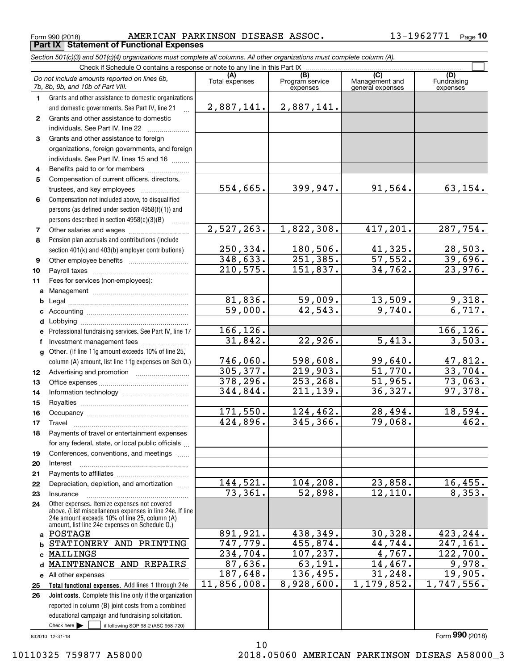Form 990 (2018) AMERICAN PARKINSON DISEASE ASSOC 13-1962771 Page **Part IX Statement of Functional Expenses**

|              | Section 501(c)(3) and 501(c)(4) organizations must complete all columns. All other organizations must complete column (A).                                                                                  |                       |                                    |                                           |                                |  |  |  |  |  |
|--------------|-------------------------------------------------------------------------------------------------------------------------------------------------------------------------------------------------------------|-----------------------|------------------------------------|-------------------------------------------|--------------------------------|--|--|--|--|--|
|              | Check if Schedule O contains a response or note to any line in this Part IX                                                                                                                                 |                       |                                    |                                           |                                |  |  |  |  |  |
|              | Do not include amounts reported on lines 6b,<br>7b, 8b, 9b, and 10b of Part VIII.                                                                                                                           | (A)<br>Total expenses | (B)<br>Program service<br>expenses | (C)<br>Management and<br>general expenses | (D)<br>Fundraising<br>expenses |  |  |  |  |  |
| 1.           | Grants and other assistance to domestic organizations                                                                                                                                                       |                       |                                    |                                           |                                |  |  |  |  |  |
|              | and domestic governments. See Part IV, line 21                                                                                                                                                              | 2,887,141.            | 2,887,141.                         |                                           |                                |  |  |  |  |  |
| $\mathbf{2}$ | Grants and other assistance to domestic                                                                                                                                                                     |                       |                                    |                                           |                                |  |  |  |  |  |
|              | individuals. See Part IV, line 22                                                                                                                                                                           |                       |                                    |                                           |                                |  |  |  |  |  |
| 3            | Grants and other assistance to foreign                                                                                                                                                                      |                       |                                    |                                           |                                |  |  |  |  |  |
|              | organizations, foreign governments, and foreign                                                                                                                                                             |                       |                                    |                                           |                                |  |  |  |  |  |
|              | individuals. See Part IV, lines 15 and 16                                                                                                                                                                   |                       |                                    |                                           |                                |  |  |  |  |  |
| 4            | Benefits paid to or for members                                                                                                                                                                             |                       |                                    |                                           |                                |  |  |  |  |  |
| 5            | Compensation of current officers, directors,                                                                                                                                                                |                       |                                    |                                           |                                |  |  |  |  |  |
|              | trustees, and key employees                                                                                                                                                                                 | 554,665.              | 399,947.                           | 91,564.                                   | 63, 154.                       |  |  |  |  |  |
| 6            | Compensation not included above, to disqualified                                                                                                                                                            |                       |                                    |                                           |                                |  |  |  |  |  |
|              | persons (as defined under section 4958(f)(1)) and                                                                                                                                                           |                       |                                    |                                           |                                |  |  |  |  |  |
|              | persons described in section 4958(c)(3)(B)                                                                                                                                                                  |                       |                                    |                                           |                                |  |  |  |  |  |
| 7            |                                                                                                                                                                                                             | 2,527,263.            | 1,822,308.                         | 417,201.                                  | 287,754.                       |  |  |  |  |  |
| 8            | Pension plan accruals and contributions (include                                                                                                                                                            |                       |                                    |                                           |                                |  |  |  |  |  |
|              | section 401(k) and 403(b) employer contributions)                                                                                                                                                           | 250,334.              | 180,506.                           | 41,325.                                   | 28,503.                        |  |  |  |  |  |
| 9            |                                                                                                                                                                                                             | 348,633.              | 251, 385.                          | $\overline{57,552}$ .                     | 39,696.                        |  |  |  |  |  |
| 10           |                                                                                                                                                                                                             | 210,575.              | 151,837.                           | 34,762.                                   | 23,976.                        |  |  |  |  |  |
| 11           | Fees for services (non-employees):                                                                                                                                                                          |                       |                                    |                                           |                                |  |  |  |  |  |
| a            |                                                                                                                                                                                                             |                       |                                    |                                           |                                |  |  |  |  |  |
| b            |                                                                                                                                                                                                             | 81,836.               | 59,009.                            | 13,509.                                   | 9,318.                         |  |  |  |  |  |
|              |                                                                                                                                                                                                             | 59,000.               | 42,543.                            | 9,740.                                    | 6,717.                         |  |  |  |  |  |
| d            | Lobbying                                                                                                                                                                                                    |                       |                                    |                                           |                                |  |  |  |  |  |
|              | Professional fundraising services. See Part IV, line 17                                                                                                                                                     | 166, 126.             |                                    |                                           | 166, 126.                      |  |  |  |  |  |
|              | Investment management fees                                                                                                                                                                                  | 31,842.               | 22,926.                            | 5,413.                                    | 3,503.                         |  |  |  |  |  |
|              | g Other. (If line 11g amount exceeds 10% of line 25,                                                                                                                                                        |                       |                                    |                                           |                                |  |  |  |  |  |
|              | column (A) amount, list line 11g expenses on Sch O.)                                                                                                                                                        | 746,060.              | 598,608.                           | 99,640.                                   | 47,812.                        |  |  |  |  |  |
| 12           |                                                                                                                                                                                                             | 305, 377.             | 219,903.                           | 51,770.                                   | 33,704.                        |  |  |  |  |  |
| 13           |                                                                                                                                                                                                             | 378,296.              | 253, 268.                          | 51,965.                                   | 73,063.                        |  |  |  |  |  |
| 14           |                                                                                                                                                                                                             | 344,844.              | 211,139.                           | 36,327.                                   | 97,378.                        |  |  |  |  |  |
| 15           |                                                                                                                                                                                                             |                       |                                    |                                           |                                |  |  |  |  |  |
| 16           |                                                                                                                                                                                                             | 171,550.              | 124,462.                           | 28,494.                                   | 18,594.                        |  |  |  |  |  |
| 17           |                                                                                                                                                                                                             | 424,896.              | 345, 366.                          | 79,068.                                   | 462.                           |  |  |  |  |  |
| 18           | Payments of travel or entertainment expenses                                                                                                                                                                |                       |                                    |                                           |                                |  |  |  |  |  |
|              | for any federal, state, or local public officials                                                                                                                                                           |                       |                                    |                                           |                                |  |  |  |  |  |
| 19           | Conferences, conventions, and meetings                                                                                                                                                                      |                       |                                    |                                           |                                |  |  |  |  |  |
| 20           | Interest                                                                                                                                                                                                    |                       |                                    |                                           |                                |  |  |  |  |  |
| 21           |                                                                                                                                                                                                             |                       |                                    |                                           |                                |  |  |  |  |  |
| 22           | Depreciation, depletion, and amortization                                                                                                                                                                   | 144,521.              | 104,208.                           | 23,858.                                   | 16,455.                        |  |  |  |  |  |
| 23           | Insurance                                                                                                                                                                                                   | 73,361.               | 52,898.                            | 12, 110.                                  | 8,353.                         |  |  |  |  |  |
| 24           | Other expenses. Itemize expenses not covered<br>above. (List miscellaneous expenses in line 24e. If line<br>24e amount exceeds 10% of line 25, column (A)<br>amount, list line 24e expenses on Schedule O.) |                       |                                    |                                           |                                |  |  |  |  |  |
| a            | POSTAGE                                                                                                                                                                                                     | 891,921.              | 438,349.                           | 30, 328.                                  | 423, 244.                      |  |  |  |  |  |
| b            | STATIONERY AND PRINTING                                                                                                                                                                                     | 747, 779.             | 455,874.                           | 44,744.                                   | 247,161.                       |  |  |  |  |  |
|              | MAILINGS                                                                                                                                                                                                    | 234,704.              | 107, 237.                          | 4,767.                                    | 122,700.                       |  |  |  |  |  |
| d            | MAINTENANCE AND REPAIRS                                                                                                                                                                                     | 87,636.               | 63,191.                            | 14,467.                                   | 9,978.                         |  |  |  |  |  |
|              | e All other expenses                                                                                                                                                                                        | 187,648.              | 136,495.                           | 31, 248.                                  | 19,905.                        |  |  |  |  |  |
| 25           | Total functional expenses. Add lines 1 through 24e                                                                                                                                                          | 11,856,008.           | 8,928,600.                         | 1,179,852.                                | 1,747,556.                     |  |  |  |  |  |
| 26           | Joint costs. Complete this line only if the organization                                                                                                                                                    |                       |                                    |                                           |                                |  |  |  |  |  |
|              | reported in column (B) joint costs from a combined                                                                                                                                                          |                       |                                    |                                           |                                |  |  |  |  |  |
|              | educational campaign and fundraising solicitation.                                                                                                                                                          |                       |                                    |                                           |                                |  |  |  |  |  |

10

832010 12-31-18

 $Check here$ 

Check here  $\begin{array}{|c|c|c|c|c|}\hline \text{ } & \text{ if following SOP 98-2 (ASC 958-720)} \hline \end{array}$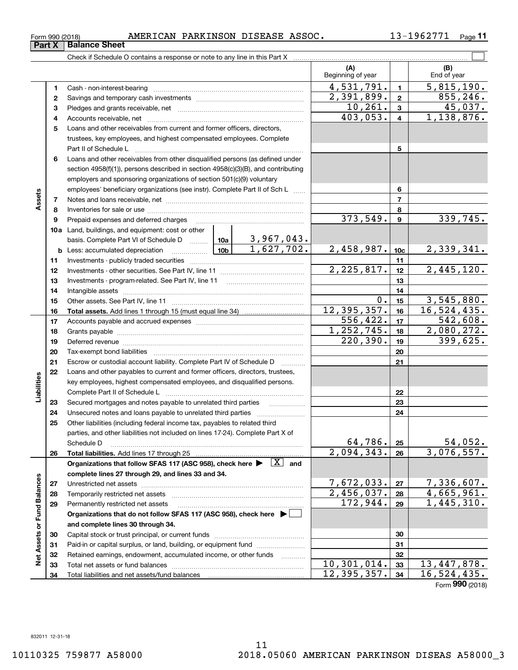# **(A)**Check if Schedule O contains a response or note to any line in this Part X

**Part X Balance Sheet**

|          |                                                                                                                                | (A)<br>Beginning of year |                         | (B)<br>End of year          |
|----------|--------------------------------------------------------------------------------------------------------------------------------|--------------------------|-------------------------|-----------------------------|
| 1        |                                                                                                                                | 4,531,791.               | $\blacksquare$          | 5,815,190.                  |
| 2        |                                                                                                                                | 2,391,899.               | $\overline{2}$          | 855, 246.                   |
| з        |                                                                                                                                | 10, 261.                 | $\overline{\mathbf{3}}$ | 45,037.                     |
| 4        |                                                                                                                                | 403,053.                 | $\overline{4}$          | 1,138,876.                  |
| 5        | Loans and other receivables from current and former officers, directors,                                                       |                          |                         |                             |
|          | trustees, key employees, and highest compensated employees. Complete                                                           |                          |                         |                             |
|          |                                                                                                                                |                          | 5                       |                             |
| 6        | Loans and other receivables from other disqualified persons (as defined under                                                  |                          |                         |                             |
|          | section 4958(f)(1)), persons described in section 4958(c)(3)(B), and contributing                                              |                          |                         |                             |
|          | employers and sponsoring organizations of section 501(c)(9) voluntary                                                          |                          |                         |                             |
|          | employees' beneficiary organizations (see instr). Complete Part II of Sch L                                                    |                          | 6                       |                             |
| 7        |                                                                                                                                |                          | $\overline{7}$          |                             |
| 8        |                                                                                                                                |                          | 8                       |                             |
| 9        | Prepaid expenses and deferred charges                                                                                          | 373,549.                 | $\mathbf{9}$            | 339,745.                    |
|          | 10a Land, buildings, and equipment: cost or other                                                                              |                          |                         |                             |
|          | basis. Complete Part VI of Schedule D    10a   3,967,043.                                                                      |                          |                         |                             |
|          | 1,627,702.<br><b>Label</b> 10b<br><b>b</b> Less: accumulated depreciation                                                      | 2,458,987.               | 10 <sub>c</sub>         | 2,339,341.                  |
| 11       |                                                                                                                                |                          | 11                      |                             |
| 12       |                                                                                                                                | 2, 225, 817.             | 12                      | 2,445,120.                  |
| 13       |                                                                                                                                |                          | 13                      |                             |
| 14       |                                                                                                                                | 0.                       | 14                      |                             |
| 15       |                                                                                                                                | 12, 395, 357.            | 15                      | 3,545,880.<br>16, 524, 435. |
| 16       |                                                                                                                                | 556,422.                 | 16                      | 542,608.                    |
| 17       |                                                                                                                                | 1, 252, 745.             | 17                      | 2,080,272.                  |
| 18<br>19 |                                                                                                                                | 220, 390.                | 18<br>19                | 399,625.                    |
| 20       |                                                                                                                                |                          | 20                      |                             |
| 21       | Escrow or custodial account liability. Complete Part IV of Schedule D                                                          |                          | 21                      |                             |
| 22       | $\mathcal{L}$ . The contract of $\mathcal{L}$<br>Loans and other payables to current and former officers, directors, trustees, |                          |                         |                             |
|          | key employees, highest compensated employees, and disqualified persons.                                                        |                          |                         |                             |
|          | Complete Part II of Schedule L                                                                                                 |                          | 22                      |                             |
| 23       | Secured mortgages and notes payable to unrelated third parties<br>.                                                            |                          | 23                      |                             |
| 24       | Unsecured notes and loans payable to unrelated third parties                                                                   |                          | 24                      |                             |
| 25       | Other liabilities (including federal income tax, payables to related third                                                     |                          |                         |                             |
|          | parties, and other liabilities not included on lines 17-24). Complete Part X of                                                |                          |                         |                             |
|          | Schedule D                                                                                                                     | 64,786.                  | 25                      | 54,052.                     |
| 26       | Total liabilities. Add lines 17 through 25                                                                                     | 2,094,343.               | 26                      | 3,076,557.                  |
|          | Organizations that follow SFAS 117 (ASC 958), check here $\blacktriangleright \quad \boxed{X}$ and                             |                          |                         |                             |
|          | complete lines 27 through 29, and lines 33 and 34.                                                                             |                          |                         |                             |
| 27       |                                                                                                                                | 7,672,033.               | 27                      | 7,336,607.                  |
| 28       | Temporarily restricted net assets                                                                                              | $\overline{2,456,037}$ . | 28                      | 4,665,961.                  |
| 29       | Permanently restricted net assets                                                                                              | 172,944.                 | 29                      | 1,445,310.                  |
|          | Organizations that do not follow SFAS 117 (ASC 958), check here $\blacktriangleright$                                          |                          |                         |                             |
|          | and complete lines 30 through 34.                                                                                              |                          |                         |                             |
| 30       |                                                                                                                                |                          | 30                      |                             |
| 31       | Paid-in or capital surplus, or land, building, or equipment fund                                                               |                          | 31                      |                             |
| 32       | Retained earnings, endowment, accumulated income, or other funds                                                               |                          | 32                      |                             |
| 33       | Total net assets or fund balances                                                                                              | $10, 301, 014$ .         | 33                      | 13,447,878.                 |
| 34       | Total liabilities and net assets/fund balances                                                                                 | 12,395,357.              | 34                      | 16, 524, 435.               |
|          |                                                                                                                                |                          |                         | Form 990 (2018)             |

 $\mathcal{L}^{\text{max}}$ 

**Assets**

**Liabilities**

Liabilities

**Net Assets or Fund Balances**

Net Assets or Fund Balances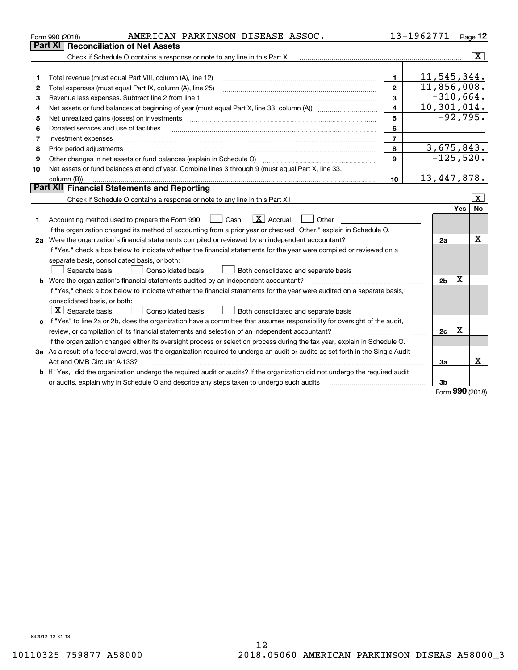|    | AMERICAN PARKINSON DISEASE ASSOC.<br>Form 990 (2018)                                                                            |                         | 13-1962771     |           | Page 12                 |
|----|---------------------------------------------------------------------------------------------------------------------------------|-------------------------|----------------|-----------|-------------------------|
|    | Part XI<br>Reconciliation of Net Assets                                                                                         |                         |                |           |                         |
|    | Check if Schedule O contains a response or note to any line in this Part XI                                                     |                         |                |           | $\overline{\mathtt{x}}$ |
|    |                                                                                                                                 |                         |                |           |                         |
| 1  |                                                                                                                                 | $\mathbf{1}$            | 11,545,344.    |           |                         |
| 2  | Total expenses (must equal Part IX, column (A), line 25)                                                                        | $\mathbf{2}$            | 11,856,008.    |           |                         |
| з  | Revenue less expenses. Subtract line 2 from line 1                                                                              | 3                       | $-310,664.$    |           |                         |
| 4  |                                                                                                                                 | $\overline{\mathbf{4}}$ | 10,301,014.    |           |                         |
| 5  | Net unrealized gains (losses) on investments                                                                                    | 5                       |                |           | $-92,795.$              |
| 6  | Donated services and use of facilities                                                                                          | 6                       |                |           |                         |
| 7  | Investment expenses                                                                                                             | $\overline{7}$          |                |           |                         |
| 8  | Prior period adjustments                                                                                                        | 8                       | 3,675,843.     |           |                         |
| 9  | Other changes in net assets or fund balances (explain in Schedule O)                                                            | 9                       | $-125,520.$    |           |                         |
| 10 | Net assets or fund balances at end of year. Combine lines 3 through 9 (must equal Part X, line 33,                              |                         |                |           |                         |
|    | column (B))                                                                                                                     | 10                      | 13,447,878.    |           |                         |
|    | Part XII Financial Statements and Reporting                                                                                     |                         |                |           |                         |
|    |                                                                                                                                 |                         |                |           | $\vert X \vert$         |
|    |                                                                                                                                 |                         |                | Yes       | No                      |
| 1  | $\boxed{\mathbf{X}}$ Accrual<br>Accounting method used to prepare the Form 990: <u>[16</u> ] Cash<br>Other                      |                         |                |           |                         |
|    | If the organization changed its method of accounting from a prior year or checked "Other," explain in Schedule O.               |                         |                |           |                         |
|    | 2a Were the organization's financial statements compiled or reviewed by an independent accountant?                              |                         | 2a             |           | Χ                       |
|    | If "Yes," check a box below to indicate whether the financial statements for the year were compiled or reviewed on a            |                         |                |           |                         |
|    | separate basis, consolidated basis, or both:                                                                                    |                         |                |           |                         |
|    | Both consolidated and separate basis<br>Separate basis<br><b>Consolidated basis</b>                                             |                         |                |           |                         |
|    | <b>b</b> Were the organization's financial statements audited by an independent accountant?                                     |                         | 2 <sub>b</sub> | х         |                         |
|    | If "Yes," check a box below to indicate whether the financial statements for the year were audited on a separate basis,         |                         |                |           |                         |
|    | consolidated basis, or both:                                                                                                    |                         |                |           |                         |
|    | $X$ Separate basis<br>Consolidated basis<br>Both consolidated and separate basis                                                |                         |                |           |                         |
|    | c If "Yes" to line 2a or 2b, does the organization have a committee that assumes responsibility for oversight of the audit,     |                         |                |           |                         |
|    |                                                                                                                                 |                         | 2c             | х         |                         |
|    | If the organization changed either its oversight process or selection process during the tax year, explain in Schedule O.       |                         |                |           |                         |
|    | 3a As a result of a federal award, was the organization required to undergo an audit or audits as set forth in the Single Audit |                         |                |           |                         |
|    | Act and OMB Circular A-133?                                                                                                     |                         | 3a             |           | x                       |
|    | b If "Yes," did the organization undergo the required audit or audits? If the organization did not undergo the required audit   |                         |                |           |                         |
|    |                                                                                                                                 |                         | 3b             |           |                         |
|    |                                                                                                                                 |                         |                | $000 - 1$ |                         |

Form (2018) **990**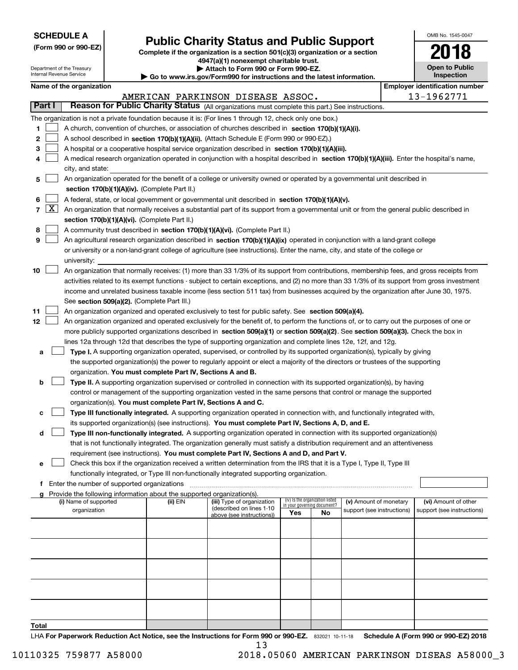| <b>SCHEDULE A</b> |
|-------------------|
|-------------------|

**(Form 990 or 990-EZ)**

### **Public Charity Status and Public Support**

**Complete if the organization is a section 501(c)(3) organization or a section 4947(a)(1) nonexempt charitable trust.**

| OMB No. 1545-0047                   |
|-------------------------------------|
| 2018                                |
| <b>Open to Public</b><br>Inspection |

| Attach to Form 990 or Form 990-EZ.<br>Department of the Treasury<br>Internal Revenue Service<br>Inspection<br>Go to www.irs.gov/Form990 for instructions and the latest information. |                     |                                       |                                                      |                                                                          |                                                                                                                                               |     | <b>Open to Public</b>           |                                                      |  |                                                    |
|--------------------------------------------------------------------------------------------------------------------------------------------------------------------------------------|---------------------|---------------------------------------|------------------------------------------------------|--------------------------------------------------------------------------|-----------------------------------------------------------------------------------------------------------------------------------------------|-----|---------------------------------|------------------------------------------------------|--|----------------------------------------------------|
|                                                                                                                                                                                      |                     | Name of the organization              |                                                      |                                                                          |                                                                                                                                               |     |                                 |                                                      |  | <b>Employer identification number</b>              |
|                                                                                                                                                                                      |                     |                                       |                                                      |                                                                          | AMERICAN PARKINSON DISEASE ASSOC.                                                                                                             |     |                                 |                                                      |  | 13-1962771                                         |
|                                                                                                                                                                                      | Part I              |                                       |                                                      |                                                                          | Reason for Public Charity Status (All organizations must complete this part.) See instructions.                                               |     |                                 |                                                      |  |                                                    |
|                                                                                                                                                                                      |                     |                                       |                                                      |                                                                          | The organization is not a private foundation because it is: (For lines 1 through 12, check only one box.)                                     |     |                                 |                                                      |  |                                                    |
| 1.                                                                                                                                                                                   |                     |                                       |                                                      |                                                                          | A church, convention of churches, or association of churches described in section 170(b)(1)(A)(i).                                            |     |                                 |                                                      |  |                                                    |
| 2                                                                                                                                                                                    |                     |                                       |                                                      |                                                                          | A school described in section 170(b)(1)(A)(ii). (Attach Schedule E (Form 990 or 990-EZ).)                                                     |     |                                 |                                                      |  |                                                    |
| з                                                                                                                                                                                    |                     |                                       |                                                      |                                                                          | A hospital or a cooperative hospital service organization described in section 170(b)(1)(A)(iii).                                             |     |                                 |                                                      |  |                                                    |
| 4                                                                                                                                                                                    |                     |                                       |                                                      |                                                                          | A medical research organization operated in conjunction with a hospital described in section 170(b)(1)(A)(iii). Enter the hospital's name,    |     |                                 |                                                      |  |                                                    |
|                                                                                                                                                                                      |                     | city, and state:                      |                                                      |                                                                          |                                                                                                                                               |     |                                 |                                                      |  |                                                    |
| 5                                                                                                                                                                                    |                     |                                       |                                                      |                                                                          | An organization operated for the benefit of a college or university owned or operated by a governmental unit described in                     |     |                                 |                                                      |  |                                                    |
|                                                                                                                                                                                      |                     |                                       |                                                      | section 170(b)(1)(A)(iv). (Complete Part II.)                            |                                                                                                                                               |     |                                 |                                                      |  |                                                    |
| 6                                                                                                                                                                                    |                     |                                       |                                                      |                                                                          | A federal, state, or local government or governmental unit described in section 170(b)(1)(A)(v).                                              |     |                                 |                                                      |  |                                                    |
| $\mathbf{7}$                                                                                                                                                                         | $\lfloor x \rfloor$ |                                       |                                                      |                                                                          | An organization that normally receives a substantial part of its support from a governmental unit or from the general public described in     |     |                                 |                                                      |  |                                                    |
|                                                                                                                                                                                      |                     |                                       |                                                      | section 170(b)(1)(A)(vi). (Complete Part II.)                            |                                                                                                                                               |     |                                 |                                                      |  |                                                    |
| 8                                                                                                                                                                                    |                     |                                       |                                                      |                                                                          | A community trust described in section 170(b)(1)(A)(vi). (Complete Part II.)                                                                  |     |                                 |                                                      |  |                                                    |
| 9                                                                                                                                                                                    |                     |                                       |                                                      |                                                                          | An agricultural research organization described in section 170(b)(1)(A)(ix) operated in conjunction with a land-grant college                 |     |                                 |                                                      |  |                                                    |
|                                                                                                                                                                                      |                     |                                       |                                                      |                                                                          | or university or a non-land-grant college of agriculture (see instructions). Enter the name, city, and state of the college or                |     |                                 |                                                      |  |                                                    |
|                                                                                                                                                                                      |                     | university:                           |                                                      |                                                                          |                                                                                                                                               |     |                                 |                                                      |  |                                                    |
| 10                                                                                                                                                                                   |                     |                                       |                                                      |                                                                          | An organization that normally receives: (1) more than 33 1/3% of its support from contributions, membership fees, and gross receipts from     |     |                                 |                                                      |  |                                                    |
|                                                                                                                                                                                      |                     |                                       |                                                      |                                                                          | activities related to its exempt functions - subject to certain exceptions, and (2) no more than 33 1/3% of its support from gross investment |     |                                 |                                                      |  |                                                    |
|                                                                                                                                                                                      |                     |                                       |                                                      |                                                                          | income and unrelated business taxable income (less section 511 tax) from businesses acquired by the organization after June 30, 1975.         |     |                                 |                                                      |  |                                                    |
|                                                                                                                                                                                      |                     |                                       |                                                      | See section 509(a)(2). (Complete Part III.)                              |                                                                                                                                               |     |                                 |                                                      |  |                                                    |
| 11                                                                                                                                                                                   |                     |                                       |                                                      |                                                                          | An organization organized and operated exclusively to test for public safety. See section 509(a)(4).                                          |     |                                 |                                                      |  |                                                    |
| 12                                                                                                                                                                                   |                     |                                       |                                                      |                                                                          | An organization organized and operated exclusively for the benefit of, to perform the functions of, or to carry out the purposes of one or    |     |                                 |                                                      |  |                                                    |
|                                                                                                                                                                                      |                     |                                       |                                                      |                                                                          | more publicly supported organizations described in section 509(a)(1) or section 509(a)(2). See section 509(a)(3). Check the box in            |     |                                 |                                                      |  |                                                    |
|                                                                                                                                                                                      |                     |                                       |                                                      |                                                                          | lines 12a through 12d that describes the type of supporting organization and complete lines 12e, 12f, and 12g.                                |     |                                 |                                                      |  |                                                    |
| а                                                                                                                                                                                    |                     |                                       |                                                      |                                                                          | Type I. A supporting organization operated, supervised, or controlled by its supported organization(s), typically by giving                   |     |                                 |                                                      |  |                                                    |
|                                                                                                                                                                                      |                     |                                       |                                                      |                                                                          | the supported organization(s) the power to regularly appoint or elect a majority of the directors or trustees of the supporting               |     |                                 |                                                      |  |                                                    |
|                                                                                                                                                                                      |                     |                                       |                                                      | organization. You must complete Part IV, Sections A and B.               |                                                                                                                                               |     |                                 |                                                      |  |                                                    |
| b                                                                                                                                                                                    |                     |                                       |                                                      |                                                                          | Type II. A supporting organization supervised or controlled in connection with its supported organization(s), by having                       |     |                                 |                                                      |  |                                                    |
|                                                                                                                                                                                      |                     |                                       |                                                      |                                                                          | control or management of the supporting organization vested in the same persons that control or manage the supported                          |     |                                 |                                                      |  |                                                    |
|                                                                                                                                                                                      |                     |                                       |                                                      | organization(s). You must complete Part IV, Sections A and C.            |                                                                                                                                               |     |                                 |                                                      |  |                                                    |
| c                                                                                                                                                                                    |                     |                                       |                                                      |                                                                          | Type III functionally integrated. A supporting organization operated in connection with, and functionally integrated with,                    |     |                                 |                                                      |  |                                                    |
|                                                                                                                                                                                      |                     |                                       |                                                      |                                                                          | its supported organization(s) (see instructions). You must complete Part IV, Sections A, D, and E.                                            |     |                                 |                                                      |  |                                                    |
| d                                                                                                                                                                                    |                     |                                       |                                                      |                                                                          | Type III non-functionally integrated. A supporting organization operated in connection with its supported organization(s)                     |     |                                 |                                                      |  |                                                    |
|                                                                                                                                                                                      |                     |                                       |                                                      |                                                                          | that is not functionally integrated. The organization generally must satisfy a distribution requirement and an attentiveness                  |     |                                 |                                                      |  |                                                    |
|                                                                                                                                                                                      |                     |                                       |                                                      |                                                                          | requirement (see instructions). You must complete Part IV, Sections A and D, and Part V.                                                      |     |                                 |                                                      |  |                                                    |
| е                                                                                                                                                                                    |                     |                                       |                                                      |                                                                          | Check this box if the organization received a written determination from the IRS that it is a Type I, Type II, Type III                       |     |                                 |                                                      |  |                                                    |
|                                                                                                                                                                                      |                     |                                       |                                                      |                                                                          | functionally integrated, or Type III non-functionally integrated supporting organization.                                                     |     |                                 |                                                      |  |                                                    |
|                                                                                                                                                                                      |                     |                                       | <b>f</b> Enter the number of supported organizations |                                                                          |                                                                                                                                               |     |                                 |                                                      |  |                                                    |
|                                                                                                                                                                                      |                     |                                       |                                                      | g Provide the following information about the supported organization(s). |                                                                                                                                               |     | (iv) Is the organization listed |                                                      |  |                                                    |
|                                                                                                                                                                                      |                     | (i) Name of supported<br>organization |                                                      | (ii) EIN                                                                 | (iii) Type of organization<br>(described on lines 1-10                                                                                        |     | in your governing document?     | (v) Amount of monetary<br>support (see instructions) |  | (vi) Amount of other<br>support (see instructions) |
|                                                                                                                                                                                      |                     |                                       |                                                      |                                                                          | above (see instructions))                                                                                                                     | Yes | No                              |                                                      |  |                                                    |
|                                                                                                                                                                                      |                     |                                       |                                                      |                                                                          |                                                                                                                                               |     |                                 |                                                      |  |                                                    |
|                                                                                                                                                                                      |                     |                                       |                                                      |                                                                          |                                                                                                                                               |     |                                 |                                                      |  |                                                    |
|                                                                                                                                                                                      |                     |                                       |                                                      |                                                                          |                                                                                                                                               |     |                                 |                                                      |  |                                                    |
|                                                                                                                                                                                      |                     |                                       |                                                      |                                                                          |                                                                                                                                               |     |                                 |                                                      |  |                                                    |
|                                                                                                                                                                                      |                     |                                       |                                                      |                                                                          |                                                                                                                                               |     |                                 |                                                      |  |                                                    |
|                                                                                                                                                                                      |                     |                                       |                                                      |                                                                          |                                                                                                                                               |     |                                 |                                                      |  |                                                    |
|                                                                                                                                                                                      |                     |                                       |                                                      |                                                                          |                                                                                                                                               |     |                                 |                                                      |  |                                                    |
|                                                                                                                                                                                      |                     |                                       |                                                      |                                                                          |                                                                                                                                               |     |                                 |                                                      |  |                                                    |
|                                                                                                                                                                                      |                     |                                       |                                                      |                                                                          |                                                                                                                                               |     |                                 |                                                      |  |                                                    |
|                                                                                                                                                                                      |                     |                                       |                                                      |                                                                          |                                                                                                                                               |     |                                 |                                                      |  |                                                    |

**Total**

LHA For Paperwork Reduction Act Notice, see the Instructions for Form 990 or 990-EZ. 832021 10-11-18 Schedule A (Form 990 or 990-EZ) 2018 13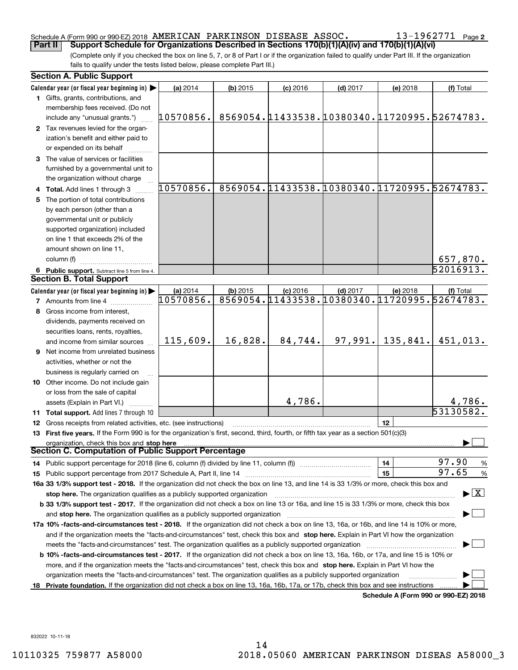### Schedule A (Form 990 or 990-EZ) 2018  $\,$   $\rm AMERICAN$   $\,$   $\rm PARKINSON$   $\,$   $\rm DISEASE$   $\,$   $\rm ASSOC$   $\,$   $\,$   $\,$   $\,$   $\,$   $\rm 13$  –  $\rm 1962771$   $\,$   $\rm Page$

(Complete only if you checked the box on line 5, 7, or 8 of Part I or if the organization failed to qualify under Part III. If the organization fails to qualify under the tests listed below, please complete Part III.) **Part II** | Support Schedule for Organizations Described in Sections 170(b)(1)(A)(iv) and 170(b)(1)(A)(vi)

|   | <b>Section A. Public Support</b>                                                                                                               |                       |            |                                                            |            |                                      |                                |
|---|------------------------------------------------------------------------------------------------------------------------------------------------|-----------------------|------------|------------------------------------------------------------|------------|--------------------------------------|--------------------------------|
|   | Calendar year (or fiscal year beginning in)                                                                                                    | (a) 2014              | $(b)$ 2015 | $(c)$ 2016                                                 | $(d)$ 2017 | (e) 2018                             | (f) Total                      |
|   | 1 Gifts, grants, contributions, and                                                                                                            |                       |            |                                                            |            |                                      |                                |
|   | membership fees received. (Do not                                                                                                              |                       |            |                                                            |            |                                      |                                |
|   | include any "unusual grants.")                                                                                                                 | 10570856.             |            | 8569054.11433538.10380340.11720995.52674783.               |            |                                      |                                |
|   | 2 Tax revenues levied for the organ-                                                                                                           |                       |            |                                                            |            |                                      |                                |
|   | ization's benefit and either paid to                                                                                                           |                       |            |                                                            |            |                                      |                                |
|   | or expended on its behalf                                                                                                                      |                       |            |                                                            |            |                                      |                                |
|   | 3 The value of services or facilities                                                                                                          |                       |            |                                                            |            |                                      |                                |
|   | furnished by a governmental unit to                                                                                                            |                       |            |                                                            |            |                                      |                                |
|   | the organization without charge                                                                                                                |                       |            |                                                            |            |                                      |                                |
|   | 4 Total. Add lines 1 through 3                                                                                                                 | 10570856.             |            | 8569054.11433538.10380340.11720995.52674783.               |            |                                      |                                |
|   | The portion of total contributions                                                                                                             |                       |            |                                                            |            |                                      |                                |
|   | by each person (other than a                                                                                                                   |                       |            |                                                            |            |                                      |                                |
|   | governmental unit or publicly                                                                                                                  |                       |            |                                                            |            |                                      |                                |
|   | supported organization) included                                                                                                               |                       |            |                                                            |            |                                      |                                |
|   | on line 1 that exceeds 2% of the                                                                                                               |                       |            |                                                            |            |                                      |                                |
|   | amount shown on line 11,                                                                                                                       |                       |            |                                                            |            |                                      |                                |
|   | column (f)                                                                                                                                     |                       |            |                                                            |            |                                      | 657,870.                       |
|   |                                                                                                                                                |                       |            |                                                            |            |                                      | 52016913.                      |
|   | 6 Public support. Subtract line 5 from line 4.<br><b>Section B. Total Support</b>                                                              |                       |            |                                                            |            |                                      |                                |
|   |                                                                                                                                                |                       |            |                                                            |            |                                      |                                |
|   | Calendar year (or fiscal year beginning in)                                                                                                    | (a) 2014<br>10570856. | $(b)$ 2015 | $(c)$ 2016<br>8569054.11433538.10380340.11720995.52674783. | $(d)$ 2017 | (e) 2018                             | (f) Total                      |
|   | <b>7</b> Amounts from line 4                                                                                                                   |                       |            |                                                            |            |                                      |                                |
|   | 8 Gross income from interest,                                                                                                                  |                       |            |                                                            |            |                                      |                                |
|   | dividends, payments received on                                                                                                                |                       |            |                                                            |            |                                      |                                |
|   | securities loans, rents, royalties,                                                                                                            |                       |            |                                                            |            |                                      |                                |
|   | and income from similar sources                                                                                                                | 115,609.              | 16,828.    | 84,744.                                                    | 97,991.    | 135,841.                             | 451,013.                       |
| 9 | Net income from unrelated business                                                                                                             |                       |            |                                                            |            |                                      |                                |
|   | activities, whether or not the                                                                                                                 |                       |            |                                                            |            |                                      |                                |
|   | business is regularly carried on                                                                                                               |                       |            |                                                            |            |                                      |                                |
|   | <b>10</b> Other income. Do not include gain                                                                                                    |                       |            |                                                            |            |                                      |                                |
|   | or loss from the sale of capital                                                                                                               |                       |            |                                                            |            |                                      |                                |
|   | assets (Explain in Part VI.)                                                                                                                   |                       |            | 4,786.                                                     |            |                                      | <u>4,786.</u>                  |
|   | 11 Total support. Add lines 7 through 10                                                                                                       |                       |            |                                                            |            |                                      | 53130582.                      |
|   | <b>12</b> Gross receipts from related activities, etc. (see instructions)                                                                      |                       |            |                                                            |            | 12                                   |                                |
|   | 13 First five years. If the Form 990 is for the organization's first, second, third, fourth, or fifth tax year as a section 501(c)(3)          |                       |            |                                                            |            |                                      |                                |
|   | organization, check this box and stop here                                                                                                     |                       |            |                                                            |            |                                      |                                |
|   | <b>Section C. Computation of Public Support Percentage</b>                                                                                     |                       |            |                                                            |            |                                      |                                |
|   | 14 Public support percentage for 2018 (line 6, column (f) divided by line 11, column (f) <i>manumeronoming</i>                                 |                       |            |                                                            |            | 14                                   | 97.90<br>$\frac{9}{6}$         |
|   |                                                                                                                                                |                       |            |                                                            |            | 15                                   | 97.65<br>%                     |
|   | 16a 33 1/3% support test - 2018. If the organization did not check the box on line 13, and line 14 is 33 1/3% or more, check this box and      |                       |            |                                                            |            |                                      |                                |
|   | stop here. The organization qualifies as a publicly supported organization                                                                     |                       |            |                                                            |            |                                      | $\blacktriangleright$ $\mid$ X |
|   | b 33 1/3% support test - 2017. If the organization did not check a box on line 13 or 16a, and line 15 is 33 1/3% or more, check this box       |                       |            |                                                            |            |                                      |                                |
|   | and stop here. The organization qualifies as a publicly supported organization                                                                 |                       |            |                                                            |            |                                      |                                |
|   | 17a 10% -facts-and-circumstances test - 2018. If the organization did not check a box on line 13, 16a, or 16b, and line 14 is 10% or more,     |                       |            |                                                            |            |                                      |                                |
|   | and if the organization meets the "facts-and-circumstances" test, check this box and stop here. Explain in Part VI how the organization        |                       |            |                                                            |            |                                      |                                |
|   | meets the "facts-and-circumstances" test. The organization qualifies as a publicly supported organization                                      |                       |            |                                                            |            |                                      |                                |
|   | <b>b 10% -facts-and-circumstances test - 2017.</b> If the organization did not check a box on line 13, 16a, 16b, or 17a, and line 15 is 10% or |                       |            |                                                            |            |                                      |                                |
|   | more, and if the organization meets the "facts-and-circumstances" test, check this box and stop here. Explain in Part VI how the               |                       |            |                                                            |            |                                      |                                |
|   | organization meets the "facts-and-circumstances" test. The organization qualifies as a publicly supported organization                         |                       |            |                                                            |            |                                      |                                |
|   | 18 Private foundation. If the organization did not check a box on line 13, 16a, 16b, 17a, or 17b, check this box and see instructions          |                       |            |                                                            |            |                                      |                                |
|   |                                                                                                                                                |                       |            |                                                            |            | Schodule A (Form 990 or 990-F7) 2018 |                                |

**Schedule A (Form 990 or 990-EZ) 2018**

832022 10-11-18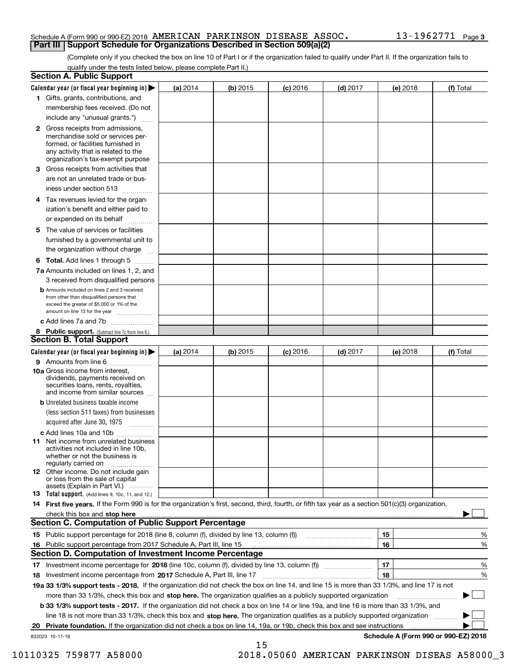#### Schedule A (Form 990 or 990-EZ) 2018  $\,$   $\rm AMERICAN$   $\,$   $\rm PARKINSON$   $\,$   $\rm DISEASE$   $\,$   $\rm ASSOC$   $\,$   $\,$   $\,$   $\,$   $\,$   $\rm 13$  –  $\rm 1962771$   $\,$   $\rm Page$ **Part III Support Schedule for Organizations Described in Section 509(a)(2)**

(Complete only if you checked the box on line 10 of Part I or if the organization failed to qualify under Part II. If the organization fails to qualify under the tests listed below, please complete Part II.)

|     | <b>Section A. Public Support</b>                                                                                                                                                                                                                                   |          |          |            |            |          |                                           |
|-----|--------------------------------------------------------------------------------------------------------------------------------------------------------------------------------------------------------------------------------------------------------------------|----------|----------|------------|------------|----------|-------------------------------------------|
|     | Calendar year (or fiscal year beginning in) $\blacktriangleright$                                                                                                                                                                                                  | (a) 2014 | (b) 2015 | $(c)$ 2016 | $(d)$ 2017 | (e) 2018 | (f) Total                                 |
|     | 1 Gifts, grants, contributions, and                                                                                                                                                                                                                                |          |          |            |            |          |                                           |
|     | membership fees received. (Do not                                                                                                                                                                                                                                  |          |          |            |            |          |                                           |
|     | include any "unusual grants.")                                                                                                                                                                                                                                     |          |          |            |            |          |                                           |
|     | <b>2</b> Gross receipts from admissions,<br>merchandise sold or services per-<br>formed, or facilities furnished in<br>any activity that is related to the<br>organization's tax-exempt purpose                                                                    |          |          |            |            |          |                                           |
|     | 3 Gross receipts from activities that<br>are not an unrelated trade or bus-                                                                                                                                                                                        |          |          |            |            |          |                                           |
|     | iness under section 513                                                                                                                                                                                                                                            |          |          |            |            |          |                                           |
|     | 4 Tax revenues levied for the organ-<br>ization's benefit and either paid to                                                                                                                                                                                       |          |          |            |            |          |                                           |
|     | or expended on its behalf                                                                                                                                                                                                                                          |          |          |            |            |          |                                           |
|     | 5 The value of services or facilities<br>furnished by a governmental unit to                                                                                                                                                                                       |          |          |            |            |          |                                           |
|     | the organization without charge                                                                                                                                                                                                                                    |          |          |            |            |          |                                           |
|     | <b>6 Total.</b> Add lines 1 through 5                                                                                                                                                                                                                              |          |          |            |            |          |                                           |
|     | 7a Amounts included on lines 1, 2, and<br>3 received from disqualified persons                                                                                                                                                                                     |          |          |            |            |          |                                           |
|     | <b>b</b> Amounts included on lines 2 and 3 received<br>from other than disqualified persons that<br>exceed the greater of \$5,000 or 1% of the<br>amount on line 13 for the year                                                                                   |          |          |            |            |          |                                           |
|     | c Add lines 7a and 7b                                                                                                                                                                                                                                              |          |          |            |            |          |                                           |
|     | 8 Public support. (Subtract line 7c from line 6.)<br><b>Section B. Total Support</b>                                                                                                                                                                               |          |          |            |            |          |                                           |
|     | Calendar year (or fiscal year beginning in)                                                                                                                                                                                                                        | (a) 2014 | (b) 2015 | $(c)$ 2016 | $(d)$ 2017 | (e) 2018 | (f) Total                                 |
|     | 9 Amounts from line 6                                                                                                                                                                                                                                              |          |          |            |            |          |                                           |
|     | <b>10a</b> Gross income from interest,<br>dividends, payments received on<br>securities loans, rents, royalties,<br>and income from similar sources                                                                                                                |          |          |            |            |          |                                           |
|     | <b>b</b> Unrelated business taxable income<br>(less section 511 taxes) from businesses                                                                                                                                                                             |          |          |            |            |          |                                           |
|     | acquired after June 30, 1975                                                                                                                                                                                                                                       |          |          |            |            |          |                                           |
|     | c Add lines 10a and 10b                                                                                                                                                                                                                                            |          |          |            |            |          |                                           |
|     | 11 Net income from unrelated business<br>activities not included in line 10b,<br>whether or not the business is<br>regularly carried on                                                                                                                            |          |          |            |            |          |                                           |
|     | <b>12</b> Other income. Do not include gain<br>or loss from the sale of capital<br>assets (Explain in Part VI.)                                                                                                                                                    |          |          |            |            |          |                                           |
|     | 13 Total support. (Add lines 9, 10c, 11, and 12.)                                                                                                                                                                                                                  |          |          |            |            |          |                                           |
|     | 14 First five years. If the Form 990 is for the organization's first, second, third, fourth, or fifth tax year as a section 501(c)(3) organization,                                                                                                                |          |          |            |            |          |                                           |
|     | check this box and stop here measurements and contact the contract of the contract of the contract of the contract of the contract of the contract of the contract of the contract of the contract of the contract of the cont                                     |          |          |            |            |          |                                           |
|     | <b>Section C. Computation of Public Support Percentage</b>                                                                                                                                                                                                         |          |          |            |            |          |                                           |
|     |                                                                                                                                                                                                                                                                    |          |          |            |            | 15       | %                                         |
| 16. | Public support percentage from 2017 Schedule A, Part III, line 15                                                                                                                                                                                                  |          |          |            |            | 16       | %                                         |
|     | <b>Section D. Computation of Investment Income Percentage</b>                                                                                                                                                                                                      |          |          |            |            |          |                                           |
|     | 17 Investment income percentage for 2018 (line 10c, column (f), divided by line 13, column (f))                                                                                                                                                                    |          |          |            |            | 17<br>18 | %                                         |
|     | 18 Investment income percentage from 2017 Schedule A, Part III, line 17<br>19a 33 1/3% support tests - 2018. If the organization did not check the box on line 14, and line 15 is more than 33 1/3%, and line 17 is not                                            |          |          |            |            |          | %                                         |
|     |                                                                                                                                                                                                                                                                    |          |          |            |            |          |                                           |
|     | more than 33 1/3%, check this box and stop here. The organization qualifies as a publicly supported organization                                                                                                                                                   |          |          |            |            |          |                                           |
|     | <b>b 33 1/3% support tests - 2017.</b> If the organization did not check a box on line 14 or line 19a, and line 16 is more than 33 1/3%, and                                                                                                                       |          |          |            |            |          |                                           |
|     | line 18 is not more than 33 1/3%, check this box and stop here. The organization qualifies as a publicly supported organization<br><b>Private foundation.</b> If the organization did not check a box on line 14, 19a, or 19b, check this box and see instructions |          |          |            |            |          |                                           |
| 20  | 832023 10-11-18                                                                                                                                                                                                                                                    |          |          |            |            |          | .<br>Schedule A (Form 990 or 990-EZ) 2018 |
|     |                                                                                                                                                                                                                                                                    |          | 15       |            |            |          |                                           |

10110325 759877 A58000 2018.05060 AMERICAN PARKINSON DISEAS A58000\_3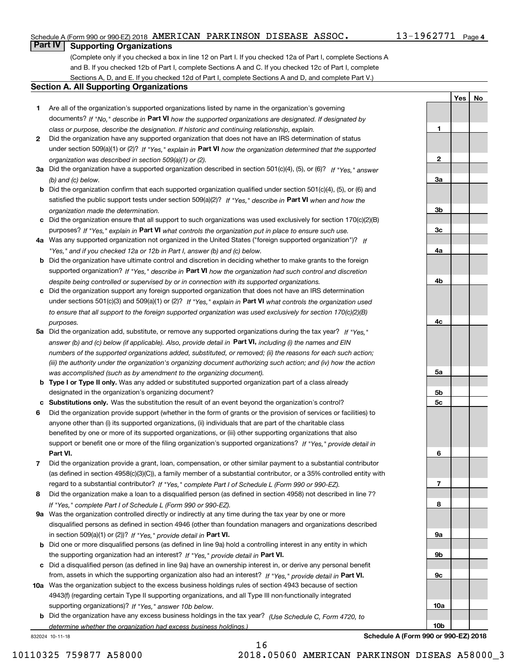#### Schedule A (Form 990 or 990-EZ) 2018  $\,$   $\rm AMERICAN$   $\,$   $\rm PARKINSON$   $\,$   $\rm DISEASE$   $\,$   $\rm ASSOC$   $\,$   $\,$   $\,$   $\,$   $\,$   $\rm 13$  –  $\rm 1962771$   $\,$   $\rm Page$

### **Part IV Supporting Organizations**

(Complete only if you checked a box in line 12 on Part I. If you checked 12a of Part I, complete Sections A and B. If you checked 12b of Part I, complete Sections A and C. If you checked 12c of Part I, complete Sections A, D, and E. If you checked 12d of Part I, complete Sections A and D, and complete Part V.)

#### **Section A. All Supporting Organizations**

- **1** Are all of the organization's supported organizations listed by name in the organization's governing documents? If "No," describe in **Part VI** how the supported organizations are designated. If designated by *class or purpose, describe the designation. If historic and continuing relationship, explain.*
- **2** Did the organization have any supported organization that does not have an IRS determination of status under section 509(a)(1) or (2)? If "Yes," explain in Part VI how the organization determined that the supported *organization was described in section 509(a)(1) or (2).*
- **3a** Did the organization have a supported organization described in section 501(c)(4), (5), or (6)? If "Yes," answer *(b) and (c) below.*
- **b** Did the organization confirm that each supported organization qualified under section 501(c)(4), (5), or (6) and satisfied the public support tests under section 509(a)(2)? If "Yes," describe in **Part VI** when and how the *organization made the determination.*
- **c**Did the organization ensure that all support to such organizations was used exclusively for section 170(c)(2)(B) purposes? If "Yes," explain in **Part VI** what controls the organization put in place to ensure such use.
- **4a***If* Was any supported organization not organized in the United States ("foreign supported organization")? *"Yes," and if you checked 12a or 12b in Part I, answer (b) and (c) below.*
- **b** Did the organization have ultimate control and discretion in deciding whether to make grants to the foreign supported organization? If "Yes," describe in **Part VI** how the organization had such control and discretion *despite being controlled or supervised by or in connection with its supported organizations.*
- **c** Did the organization support any foreign supported organization that does not have an IRS determination under sections 501(c)(3) and 509(a)(1) or (2)? If "Yes," explain in **Part VI** what controls the organization used *to ensure that all support to the foreign supported organization was used exclusively for section 170(c)(2)(B) purposes.*
- **5a** Did the organization add, substitute, or remove any supported organizations during the tax year? If "Yes," answer (b) and (c) below (if applicable). Also, provide detail in **Part VI,** including (i) the names and EIN *numbers of the supported organizations added, substituted, or removed; (ii) the reasons for each such action; (iii) the authority under the organization's organizing document authorizing such action; and (iv) how the action was accomplished (such as by amendment to the organizing document).*
- **b** Type I or Type II only. Was any added or substituted supported organization part of a class already designated in the organization's organizing document?
- **cSubstitutions only.**  Was the substitution the result of an event beyond the organization's control?
- **6** Did the organization provide support (whether in the form of grants or the provision of services or facilities) to **Part VI.** *If "Yes," provide detail in* support or benefit one or more of the filing organization's supported organizations? anyone other than (i) its supported organizations, (ii) individuals that are part of the charitable class benefited by one or more of its supported organizations, or (iii) other supporting organizations that also
- **7**Did the organization provide a grant, loan, compensation, or other similar payment to a substantial contributor *If "Yes," complete Part I of Schedule L (Form 990 or 990-EZ).* regard to a substantial contributor? (as defined in section 4958(c)(3)(C)), a family member of a substantial contributor, or a 35% controlled entity with
- **8** Did the organization make a loan to a disqualified person (as defined in section 4958) not described in line 7? *If "Yes," complete Part I of Schedule L (Form 990 or 990-EZ).*
- **9a** Was the organization controlled directly or indirectly at any time during the tax year by one or more in section 509(a)(1) or (2))? If "Yes," *provide detail in* <code>Part VI.</code> disqualified persons as defined in section 4946 (other than foundation managers and organizations described
- **b** Did one or more disqualified persons (as defined in line 9a) hold a controlling interest in any entity in which the supporting organization had an interest? If "Yes," provide detail in P**art VI**.
- **c**Did a disqualified person (as defined in line 9a) have an ownership interest in, or derive any personal benefit from, assets in which the supporting organization also had an interest? If "Yes," provide detail in P**art VI.**
- **10a** Was the organization subject to the excess business holdings rules of section 4943 because of section supporting organizations)? If "Yes," answer 10b below. 4943(f) (regarding certain Type II supporting organizations, and all Type III non-functionally integrated
- **b** Did the organization have any excess business holdings in the tax year? (Use Schedule C, Form 4720, to *determine whether the organization had excess business holdings.)*

832024 10-11-18

**3a3b3c4a4b4c5a 5b5c6789a 9b9c10a**

**Schedule A (Form 990 or 990-EZ) 2018**

**10b**

**YesNo**

**1**

**2**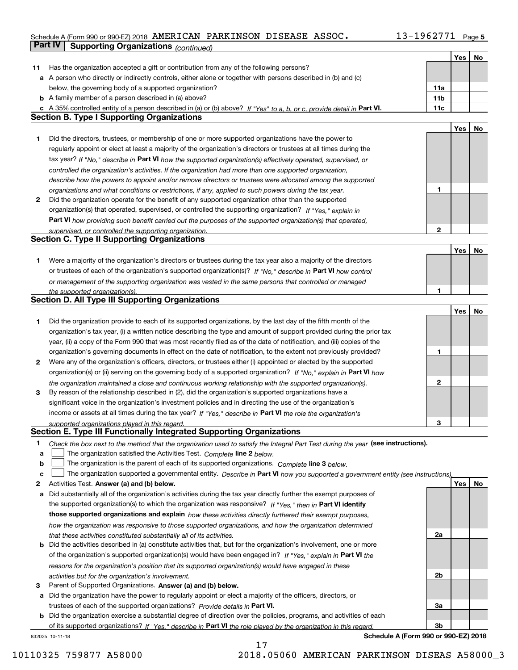#### **5** Schedule A (Form 990 or 990-EZ) 2018 Page AMERICAN PARKINSON DISEASE ASSOC. 13-1962771

|        | Part IV<br><b>Supporting Organizations (continued)</b>                                                                                                                                                        |                 |     |    |
|--------|---------------------------------------------------------------------------------------------------------------------------------------------------------------------------------------------------------------|-----------------|-----|----|
|        |                                                                                                                                                                                                               |                 | Yes | No |
| 11     | Has the organization accepted a gift or contribution from any of the following persons?                                                                                                                       |                 |     |    |
|        | a A person who directly or indirectly controls, either alone or together with persons described in (b) and (c)                                                                                                |                 |     |    |
|        | below, the governing body of a supported organization?                                                                                                                                                        | 11a             |     |    |
|        | <b>b</b> A family member of a person described in (a) above?                                                                                                                                                  | 11 <sub>b</sub> |     |    |
|        | c A 35% controlled entity of a person described in (a) or (b) above? If "Yes" to a, b, or c, provide detail in Part VI.                                                                                       | 11c             |     |    |
|        | <b>Section B. Type I Supporting Organizations</b>                                                                                                                                                             |                 |     |    |
|        |                                                                                                                                                                                                               |                 | Yes | No |
| 1.     | Did the directors, trustees, or membership of one or more supported organizations have the power to                                                                                                           |                 |     |    |
|        | regularly appoint or elect at least a majority of the organization's directors or trustees at all times during the                                                                                            |                 |     |    |
|        | tax year? If "No," describe in Part VI how the supported organization(s) effectively operated, supervised, or                                                                                                 |                 |     |    |
|        |                                                                                                                                                                                                               |                 |     |    |
|        | controlled the organization's activities. If the organization had more than one supported organization,                                                                                                       |                 |     |    |
|        | describe how the powers to appoint and/or remove directors or trustees were allocated among the supported                                                                                                     | 1               |     |    |
| 2      | organizations and what conditions or restrictions, if any, applied to such powers during the tax year.<br>Did the organization operate for the benefit of any supported organization other than the supported |                 |     |    |
|        |                                                                                                                                                                                                               |                 |     |    |
|        | organization(s) that operated, supervised, or controlled the supporting organization? If "Yes," explain in                                                                                                    |                 |     |    |
|        | Part VI how providing such benefit carried out the purposes of the supported organization(s) that operated,                                                                                                   | 2               |     |    |
|        | supervised, or controlled the supporting organization.<br><b>Section C. Type II Supporting Organizations</b>                                                                                                  |                 |     |    |
|        |                                                                                                                                                                                                               |                 | Yes | No |
|        | Were a majority of the organization's directors or trustees during the tax year also a majority of the directors                                                                                              |                 |     |    |
| 1.     | or trustees of each of the organization's supported organization(s)? If "No," describe in Part VI how control                                                                                                 |                 |     |    |
|        |                                                                                                                                                                                                               |                 |     |    |
|        | or management of the supporting organization was vested in the same persons that controlled or managed                                                                                                        |                 |     |    |
|        | the supported organization(s).<br><b>Section D. All Type III Supporting Organizations</b>                                                                                                                     |                 |     |    |
|        |                                                                                                                                                                                                               |                 | Yes | No |
| 1      | Did the organization provide to each of its supported organizations, by the last day of the fifth month of the                                                                                                |                 |     |    |
|        | organization's tax year, (i) a written notice describing the type and amount of support provided during the prior tax                                                                                         |                 |     |    |
|        | year, (ii) a copy of the Form 990 that was most recently filed as of the date of notification, and (iii) copies of the                                                                                        |                 |     |    |
|        |                                                                                                                                                                                                               | 1               |     |    |
|        | organization's governing documents in effect on the date of notification, to the extent not previously provided?                                                                                              |                 |     |    |
| 2      | Were any of the organization's officers, directors, or trustees either (i) appointed or elected by the supported                                                                                              |                 |     |    |
|        | organization(s) or (ii) serving on the governing body of a supported organization? If "No," explain in Part VI how                                                                                            | 2               |     |    |
|        | the organization maintained a close and continuous working relationship with the supported organization(s).                                                                                                   |                 |     |    |
| 3      | By reason of the relationship described in (2), did the organization's supported organizations have a                                                                                                         |                 |     |    |
|        | significant voice in the organization's investment policies and in directing the use of the organization's                                                                                                    |                 |     |    |
|        | income or assets at all times during the tax year? If "Yes," describe in Part VI the role the organization's                                                                                                  |                 |     |    |
|        | supported organizations played in this regard.<br>Section E. Type III Functionally Integrated Supporting Organizations                                                                                        | 3               |     |    |
|        |                                                                                                                                                                                                               |                 |     |    |
| 1<br>a | Check the box next to the method that the organization used to satisfy the Integral Part Test during the year (see instructions).<br>The organization satisfied the Activities Test. Complete line 2 below.   |                 |     |    |
| b      | The organization is the parent of each of its supported organizations. Complete line 3 below.                                                                                                                 |                 |     |    |
| c      | The organization supported a governmental entity. Describe in Part VI how you supported a government entity (see instructions),                                                                               |                 |     |    |
| 2      | Activities Test. Answer (a) and (b) below.                                                                                                                                                                    |                 | Yes | No |
| а      | Did substantially all of the organization's activities during the tax year directly further the exempt purposes of                                                                                            |                 |     |    |
|        | the supported organization(s) to which the organization was responsive? If "Yes," then in Part VI identify                                                                                                    |                 |     |    |
|        | those supported organizations and explain how these activities directly furthered their exempt purposes,                                                                                                      |                 |     |    |
|        | how the organization was responsive to those supported organizations, and how the organization determined                                                                                                     |                 |     |    |
|        | that these activities constituted substantially all of its activities.                                                                                                                                        | 2a              |     |    |
| b      | Did the activities described in (a) constitute activities that, but for the organization's involvement, one or more                                                                                           |                 |     |    |
|        | of the organization's supported organization(s) would have been engaged in? If "Yes," explain in Part VI the                                                                                                  |                 |     |    |
|        | reasons for the organization's position that its supported organization(s) would have engaged in these                                                                                                        |                 |     |    |
|        | activities but for the organization's involvement.                                                                                                                                                            | 2b              |     |    |
| 3      | Parent of Supported Organizations. Answer (a) and (b) below.                                                                                                                                                  |                 |     |    |
| а      | Did the organization have the power to regularly appoint or elect a majority of the officers, directors, or                                                                                                   |                 |     |    |
|        | trustees of each of the supported organizations? Provide details in Part VI.                                                                                                                                  | За              |     |    |
|        | <b>b</b> Did the organization exercise a substantial degree of direction over the policies, programs, and activities of each                                                                                  |                 |     |    |
|        | of its supported organizations? If "Yes," describe in Part VI the role played by the organization in this regard.                                                                                             | Зb              |     |    |
|        |                                                                                                                                                                                                               |                 |     |    |

17

832025 10-11-18

**Schedule A (Form 990 or 990-EZ) 2018**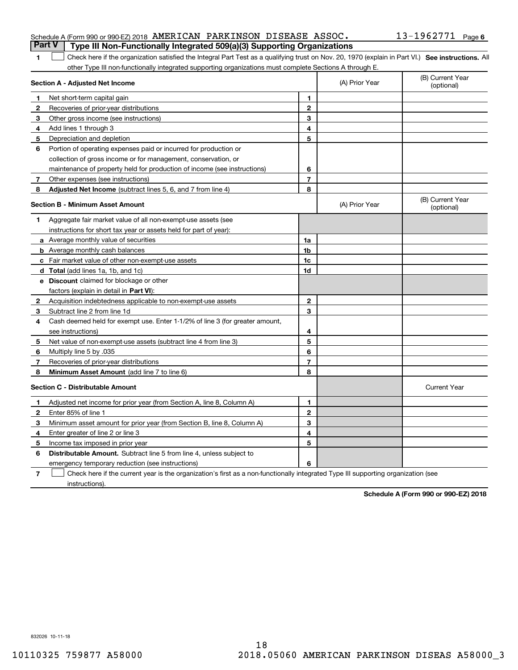#### Schedule A (Form 990 or 990-EZ) 2018  $\,$   $\rm AMERICAN$   $\,$   $\rm PARKINSON$   $\,$   $\rm DISEASE$   $\,$   $\rm ASSOC$   $\,$   $\,$   $\,$   $\,$   $\,$   $\rm 13$  –  $\rm 1962771$   $\,$   $\rm Page$ **Part V Type III Non-Functionally Integrated 509(a)(3) Supporting Organizations**

| 1 Check here if the organization satisfied the Integral Part Test as a qualifying trust on Nov. 20, 1970 (explain in Part VI.) See instructions. All |  |
|------------------------------------------------------------------------------------------------------------------------------------------------------|--|
| other Type III non-functionally integrated supporting organizations must complete Sections A through E.                                              |  |

| Section A - Adjusted Net Income |                                                                                                                                   | (A) Prior Year | (B) Current Year<br>(optional) |                                |
|---------------------------------|-----------------------------------------------------------------------------------------------------------------------------------|----------------|--------------------------------|--------------------------------|
| 1                               | Net short-term capital gain                                                                                                       | 1              |                                |                                |
| $\mathbf{2}$                    | Recoveries of prior-year distributions                                                                                            | $\mathbf{2}$   |                                |                                |
| 3                               | Other gross income (see instructions)                                                                                             | 3              |                                |                                |
| 4                               | Add lines 1 through 3                                                                                                             | 4              |                                |                                |
| 5                               | Depreciation and depletion                                                                                                        | 5              |                                |                                |
| 6                               | Portion of operating expenses paid or incurred for production or                                                                  |                |                                |                                |
|                                 | collection of gross income or for management, conservation, or                                                                    |                |                                |                                |
|                                 | maintenance of property held for production of income (see instructions)                                                          | 6              |                                |                                |
| 7                               | Other expenses (see instructions)                                                                                                 | $\overline{7}$ |                                |                                |
| 8                               | Adjusted Net Income (subtract lines 5, 6, and 7 from line 4)                                                                      | 8              |                                |                                |
|                                 | <b>Section B - Minimum Asset Amount</b>                                                                                           |                | (A) Prior Year                 | (B) Current Year<br>(optional) |
| 1                               | Aggregate fair market value of all non-exempt-use assets (see                                                                     |                |                                |                                |
|                                 | instructions for short tax year or assets held for part of year):                                                                 |                |                                |                                |
|                                 | <b>a</b> Average monthly value of securities                                                                                      | 1a             |                                |                                |
|                                 | <b>b</b> Average monthly cash balances                                                                                            | 1 <sub>b</sub> |                                |                                |
|                                 | c Fair market value of other non-exempt-use assets                                                                                | 1c             |                                |                                |
|                                 | d Total (add lines 1a, 1b, and 1c)                                                                                                | 1d             |                                |                                |
|                                 | e Discount claimed for blockage or other                                                                                          |                |                                |                                |
|                                 | factors (explain in detail in Part VI):                                                                                           |                |                                |                                |
| 2                               | Acquisition indebtedness applicable to non-exempt-use assets                                                                      | $\mathbf{2}$   |                                |                                |
| 3                               | Subtract line 2 from line 1d                                                                                                      | 3              |                                |                                |
| 4                               | Cash deemed held for exempt use. Enter 1-1/2% of line 3 (for greater amount,                                                      |                |                                |                                |
|                                 | see instructions)                                                                                                                 | 4              |                                |                                |
| 5                               | Net value of non-exempt-use assets (subtract line 4 from line 3)                                                                  | 5              |                                |                                |
| 6                               | Multiply line 5 by .035                                                                                                           | 6              |                                |                                |
| 7                               | Recoveries of prior-year distributions                                                                                            | $\overline{7}$ |                                |                                |
| 8                               | <b>Minimum Asset Amount</b> (add line 7 to line 6)                                                                                | 8              |                                |                                |
|                                 | <b>Section C - Distributable Amount</b>                                                                                           |                |                                | <b>Current Year</b>            |
| 1.                              | Adjusted net income for prior year (from Section A, line 8, Column A)                                                             | 1              |                                |                                |
| 2                               | Enter 85% of line 1                                                                                                               | $\overline{2}$ |                                |                                |
| 3                               | Minimum asset amount for prior year (from Section B, line 8, Column A)                                                            | 3              |                                |                                |
| 4                               | Enter greater of line 2 or line 3                                                                                                 | 4              |                                |                                |
| 5                               | Income tax imposed in prior year                                                                                                  | 5              |                                |                                |
| 6                               | <b>Distributable Amount.</b> Subtract line 5 from line 4, unless subject to                                                       |                |                                |                                |
|                                 | emergency temporary reduction (see instructions)                                                                                  | 6              |                                |                                |
| 7                               | Check here if the current year is the organization's first as a non-functionally integrated Type III supporting organization (see |                |                                |                                |

**7**instructions).

**Schedule A (Form 990 or 990-EZ) 2018**

832026 10-11-18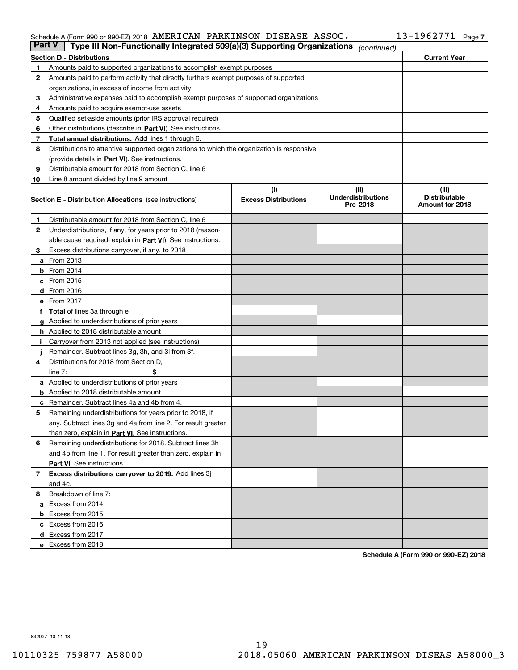#### Schedule A (Form 990 or 990-EZ) 2018 AMERICAN PARKINSON DISEASE ASSOC I J = I 9 6 2 7 7 I Page AMERICAN PARKINSON DISEASE ASSOC. 13-1962771

| <b>Part V</b> | Type III Non-Functionally Integrated 509(a)(3) Supporting Organizations                    |                             | (continued)                           |                                         |
|---------------|--------------------------------------------------------------------------------------------|-----------------------------|---------------------------------------|-----------------------------------------|
|               | <b>Section D - Distributions</b>                                                           |                             |                                       | <b>Current Year</b>                     |
| 1             | Amounts paid to supported organizations to accomplish exempt purposes                      |                             |                                       |                                         |
| 2             | Amounts paid to perform activity that directly furthers exempt purposes of supported       |                             |                                       |                                         |
|               | organizations, in excess of income from activity                                           |                             |                                       |                                         |
| з             | Administrative expenses paid to accomplish exempt purposes of supported organizations      |                             |                                       |                                         |
| 4             | Amounts paid to acquire exempt-use assets                                                  |                             |                                       |                                         |
| 5             | Qualified set-aside amounts (prior IRS approval required)                                  |                             |                                       |                                         |
| 6             | Other distributions (describe in Part VI). See instructions.                               |                             |                                       |                                         |
| 7             | Total annual distributions. Add lines 1 through 6.                                         |                             |                                       |                                         |
| 8             | Distributions to attentive supported organizations to which the organization is responsive |                             |                                       |                                         |
|               | (provide details in Part VI). See instructions.                                            |                             |                                       |                                         |
| 9             | Distributable amount for 2018 from Section C, line 6                                       |                             |                                       |                                         |
| 10            | Line 8 amount divided by line 9 amount                                                     |                             |                                       |                                         |
|               |                                                                                            | (i)                         | (iii)                                 | (iii)                                   |
|               | <b>Section E - Distribution Allocations</b> (see instructions)                             | <b>Excess Distributions</b> | <b>Underdistributions</b><br>Pre-2018 | <b>Distributable</b><br>Amount for 2018 |
| 1             | Distributable amount for 2018 from Section C, line 6                                       |                             |                                       |                                         |
| 2             | Underdistributions, if any, for years prior to 2018 (reason-                               |                             |                                       |                                         |
|               | able cause required- explain in Part VI). See instructions.                                |                             |                                       |                                         |
| з             | Excess distributions carryover, if any, to 2018                                            |                             |                                       |                                         |
|               | <b>a</b> From 2013                                                                         |                             |                                       |                                         |
|               | <b>b</b> From $2014$                                                                       |                             |                                       |                                         |
|               | $c$ From 2015                                                                              |                             |                                       |                                         |
|               | <b>d</b> From 2016                                                                         |                             |                                       |                                         |
|               | e From 2017                                                                                |                             |                                       |                                         |
|               | Total of lines 3a through e                                                                |                             |                                       |                                         |
|               | <b>g</b> Applied to underdistributions of prior years                                      |                             |                                       |                                         |
|               | <b>h</b> Applied to 2018 distributable amount                                              |                             |                                       |                                         |
|               | Carryover from 2013 not applied (see instructions)                                         |                             |                                       |                                         |
|               | Remainder. Subtract lines 3g, 3h, and 3i from 3f.                                          |                             |                                       |                                         |
| 4             | Distributions for 2018 from Section D,                                                     |                             |                                       |                                         |
|               | line $7:$                                                                                  |                             |                                       |                                         |
|               | <b>a</b> Applied to underdistributions of prior years                                      |                             |                                       |                                         |
|               | <b>b</b> Applied to 2018 distributable amount                                              |                             |                                       |                                         |
| с             | Remainder. Subtract lines 4a and 4b from 4.                                                |                             |                                       |                                         |
| 5             | Remaining underdistributions for years prior to 2018, if                                   |                             |                                       |                                         |
|               | any. Subtract lines 3g and 4a from line 2. For result greater                              |                             |                                       |                                         |
|               | than zero, explain in Part VI. See instructions.                                           |                             |                                       |                                         |
| 6             | Remaining underdistributions for 2018. Subtract lines 3h                                   |                             |                                       |                                         |
|               | and 4b from line 1. For result greater than zero, explain in                               |                             |                                       |                                         |
|               | Part VI. See instructions.                                                                 |                             |                                       |                                         |
| 7             | Excess distributions carryover to 2019. Add lines 3j                                       |                             |                                       |                                         |
|               | and 4c.                                                                                    |                             |                                       |                                         |
| 8             | Breakdown of line 7:                                                                       |                             |                                       |                                         |
|               | a Excess from 2014                                                                         |                             |                                       |                                         |
|               | <b>b</b> Excess from 2015                                                                  |                             |                                       |                                         |
|               | c Excess from 2016                                                                         |                             |                                       |                                         |
|               | d Excess from 2017                                                                         |                             |                                       |                                         |
|               |                                                                                            |                             |                                       |                                         |
|               | e Excess from 2018                                                                         |                             |                                       |                                         |

**Schedule A (Form 990 or 990-EZ) 2018**

832027 10-11-18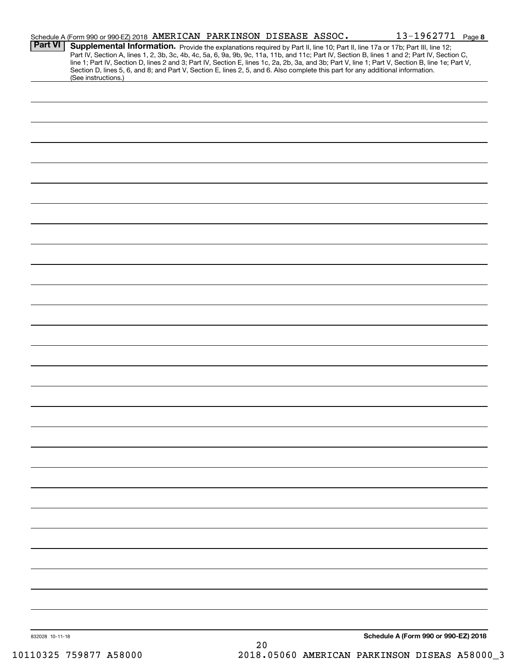|                 | Schedule A (Form 990 or 990-EZ) 2018 AMERICAN PARKINSON DISEASE ASSOC.                                                                                 |      |  | 13-1962771 Page 8                                                                                                                                                                                                                                                                                |  |
|-----------------|--------------------------------------------------------------------------------------------------------------------------------------------------------|------|--|--------------------------------------------------------------------------------------------------------------------------------------------------------------------------------------------------------------------------------------------------------------------------------------------------|--|
| <b>Part VI</b>  | Supplemental Information. Provide the explanations required by Part II, line 10; Part II, line 17a or 17b; Part III, line 12;                          |      |  | Part IV, Section A, lines 1, 2, 3b, 3c, 4b, 4c, 5a, 6, 9a, 9b, 9c, 11a, 11b, and 11c; Part IV, Section B, lines 1 and 2; Part IV, Section C,<br>line 1; Part IV, Section D, lines 2 and 3; Part IV, Section E, lines 1c, 2a, 2b, 3a, and 3b; Part V, line 1; Part V, Section B, line 1e; Part V, |  |
|                 | Section D, lines 5, 6, and 8; and Part V, Section E, lines 2, 5, and 6. Also complete this part for any additional information.<br>(See instructions.) |      |  |                                                                                                                                                                                                                                                                                                  |  |
|                 |                                                                                                                                                        |      |  |                                                                                                                                                                                                                                                                                                  |  |
|                 |                                                                                                                                                        |      |  |                                                                                                                                                                                                                                                                                                  |  |
|                 |                                                                                                                                                        |      |  |                                                                                                                                                                                                                                                                                                  |  |
|                 |                                                                                                                                                        |      |  |                                                                                                                                                                                                                                                                                                  |  |
|                 |                                                                                                                                                        |      |  |                                                                                                                                                                                                                                                                                                  |  |
|                 |                                                                                                                                                        |      |  |                                                                                                                                                                                                                                                                                                  |  |
|                 |                                                                                                                                                        |      |  |                                                                                                                                                                                                                                                                                                  |  |
|                 |                                                                                                                                                        |      |  |                                                                                                                                                                                                                                                                                                  |  |
|                 |                                                                                                                                                        |      |  |                                                                                                                                                                                                                                                                                                  |  |
|                 |                                                                                                                                                        |      |  |                                                                                                                                                                                                                                                                                                  |  |
|                 |                                                                                                                                                        |      |  |                                                                                                                                                                                                                                                                                                  |  |
|                 |                                                                                                                                                        |      |  |                                                                                                                                                                                                                                                                                                  |  |
|                 |                                                                                                                                                        |      |  |                                                                                                                                                                                                                                                                                                  |  |
|                 |                                                                                                                                                        |      |  |                                                                                                                                                                                                                                                                                                  |  |
|                 |                                                                                                                                                        |      |  |                                                                                                                                                                                                                                                                                                  |  |
|                 |                                                                                                                                                        |      |  |                                                                                                                                                                                                                                                                                                  |  |
|                 |                                                                                                                                                        |      |  |                                                                                                                                                                                                                                                                                                  |  |
|                 |                                                                                                                                                        |      |  |                                                                                                                                                                                                                                                                                                  |  |
|                 |                                                                                                                                                        |      |  |                                                                                                                                                                                                                                                                                                  |  |
|                 |                                                                                                                                                        |      |  |                                                                                                                                                                                                                                                                                                  |  |
|                 |                                                                                                                                                        |      |  |                                                                                                                                                                                                                                                                                                  |  |
|                 |                                                                                                                                                        |      |  |                                                                                                                                                                                                                                                                                                  |  |
|                 |                                                                                                                                                        |      |  |                                                                                                                                                                                                                                                                                                  |  |
|                 |                                                                                                                                                        |      |  |                                                                                                                                                                                                                                                                                                  |  |
|                 |                                                                                                                                                        |      |  |                                                                                                                                                                                                                                                                                                  |  |
|                 |                                                                                                                                                        |      |  |                                                                                                                                                                                                                                                                                                  |  |
|                 |                                                                                                                                                        |      |  |                                                                                                                                                                                                                                                                                                  |  |
|                 |                                                                                                                                                        |      |  |                                                                                                                                                                                                                                                                                                  |  |
|                 |                                                                                                                                                        |      |  |                                                                                                                                                                                                                                                                                                  |  |
|                 |                                                                                                                                                        |      |  |                                                                                                                                                                                                                                                                                                  |  |
|                 |                                                                                                                                                        |      |  |                                                                                                                                                                                                                                                                                                  |  |
|                 |                                                                                                                                                        |      |  |                                                                                                                                                                                                                                                                                                  |  |
|                 |                                                                                                                                                        |      |  |                                                                                                                                                                                                                                                                                                  |  |
|                 |                                                                                                                                                        |      |  |                                                                                                                                                                                                                                                                                                  |  |
|                 |                                                                                                                                                        |      |  |                                                                                                                                                                                                                                                                                                  |  |
|                 |                                                                                                                                                        |      |  |                                                                                                                                                                                                                                                                                                  |  |
| 832028 10-11-18 |                                                                                                                                                        | $20$ |  | Schedule A (Form 990 or 990-EZ) 2018                                                                                                                                                                                                                                                             |  |
|                 |                                                                                                                                                        |      |  |                                                                                                                                                                                                                                                                                                  |  |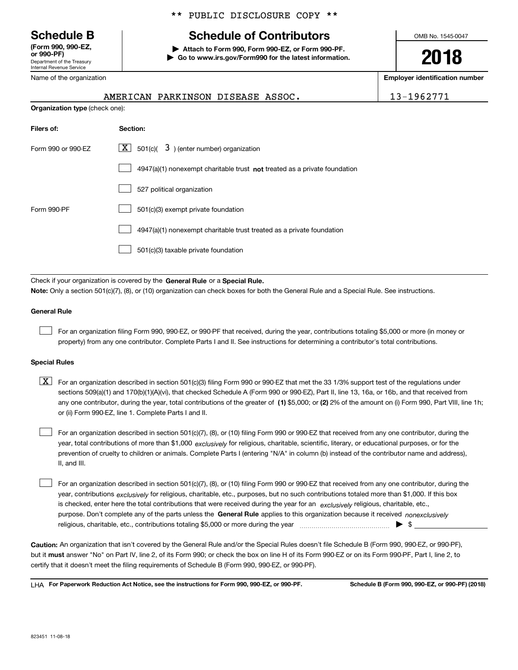Department of the Treasury Internal Revenue Service **(Form 990, 990-EZ, or 990-PF)**

### \*\* PUBLIC DISCLOSURE COPY \*\*

# **Schedule B Schedule of Contributors**

**| Attach to Form 990, Form 990-EZ, or Form 990-PF. | Go to www.irs.gov/Form990 for the latest information.** OMB No. 1545-0047

**2018**

**Employer identification number**

13-1962771

| Name of the organization              |                                           |  |  |  |  |
|---------------------------------------|-------------------------------------------|--|--|--|--|
|                                       | AMERICAN PARKINSON DISEASE ASSOC.         |  |  |  |  |
| <b>Organization type (check one):</b> |                                           |  |  |  |  |
| Filers of:                            | Section:                                  |  |  |  |  |
| Form 990 or 990-EZ                    | 501(c)( $3$ ) (enter number) organization |  |  |  |  |

|             | $4947(a)(1)$ nonexempt charitable trust not treated as a private foundation |
|-------------|-----------------------------------------------------------------------------|
|             | 527 political organization                                                  |
| Form 990-PF | 501(c)(3) exempt private foundation                                         |
|             | 4947(a)(1) nonexempt charitable trust treated as a private foundation       |
|             | 501(c)(3) taxable private foundation                                        |

Check if your organization is covered by the **General Rule** or a **Special Rule. Note:**  Only a section 501(c)(7), (8), or (10) organization can check boxes for both the General Rule and a Special Rule. See instructions.

#### **General Rule**

 $\mathcal{L}^{\text{max}}$ 

For an organization filing Form 990, 990-EZ, or 990-PF that received, during the year, contributions totaling \$5,000 or more (in money or property) from any one contributor. Complete Parts I and II. See instructions for determining a contributor's total contributions.

#### **Special Rules**

any one contributor, during the year, total contributions of the greater of  $\,$  (1) \$5,000; or **(2)** 2% of the amount on (i) Form 990, Part VIII, line 1h;  $\boxed{\textbf{X}}$  For an organization described in section 501(c)(3) filing Form 990 or 990-EZ that met the 33 1/3% support test of the regulations under sections 509(a)(1) and 170(b)(1)(A)(vi), that checked Schedule A (Form 990 or 990-EZ), Part II, line 13, 16a, or 16b, and that received from or (ii) Form 990-EZ, line 1. Complete Parts I and II.

year, total contributions of more than \$1,000 *exclusively* for religious, charitable, scientific, literary, or educational purposes, or for the For an organization described in section 501(c)(7), (8), or (10) filing Form 990 or 990-EZ that received from any one contributor, during the prevention of cruelty to children or animals. Complete Parts I (entering "N/A" in column (b) instead of the contributor name and address), II, and III.  $\mathcal{L}^{\text{max}}$ 

purpose. Don't complete any of the parts unless the **General Rule** applies to this organization because it received *nonexclusively* year, contributions <sub>exclusively</sub> for religious, charitable, etc., purposes, but no such contributions totaled more than \$1,000. If this box is checked, enter here the total contributions that were received during the year for an  $\;$ exclusively religious, charitable, etc., For an organization described in section 501(c)(7), (8), or (10) filing Form 990 or 990-EZ that received from any one contributor, during the religious, charitable, etc., contributions totaling \$5,000 or more during the year  $\Box$ — $\Box$   $\Box$  $\mathcal{L}^{\text{max}}$ 

**Caution:**  An organization that isn't covered by the General Rule and/or the Special Rules doesn't file Schedule B (Form 990, 990-EZ, or 990-PF),  **must** but it answer "No" on Part IV, line 2, of its Form 990; or check the box on line H of its Form 990-EZ or on its Form 990-PF, Part I, line 2, to certify that it doesn't meet the filing requirements of Schedule B (Form 990, 990-EZ, or 990-PF).

**For Paperwork Reduction Act Notice, see the instructions for Form 990, 990-EZ, or 990-PF. Schedule B (Form 990, 990-EZ, or 990-PF) (2018)** LHA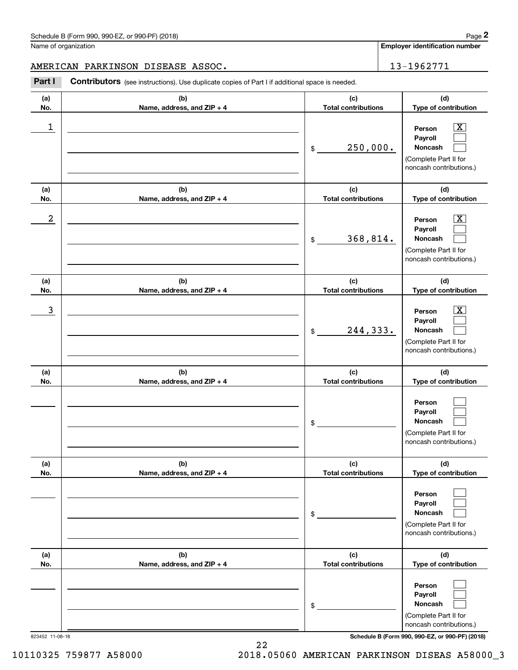**Employer identification number**

#### AMERICAN PARKINSON DISEASE ASSOC. 13-1962771

Chedule B (Form 990, 990-EZ, or 990-PF) (2018)<br>
lame of organization<br> **2Part I Contributors** (see instructions). Use duplicate copies of Part I if additional space is needed.<br> **2Part I Contributors** (see instructions).

| (a)<br>No. | (b)<br>Name, address, and ZIP + 4 | (c)<br><b>Total contributions</b> | (d)<br>Type of contribution                                                                                      |
|------------|-----------------------------------|-----------------------------------|------------------------------------------------------------------------------------------------------------------|
| 1          |                                   | 250,000.<br>\$                    | $\overline{\text{X}}$<br>Person<br>Payroll<br>Noncash<br>(Complete Part II for<br>noncash contributions.)        |
| (a)<br>No. | (b)<br>Name, address, and ZIP + 4 | (c)<br><b>Total contributions</b> | (d)<br>Type of contribution                                                                                      |
| 2          |                                   | 368,814.<br>\$                    | $\overline{\text{X}}$<br>Person<br>Payroll<br>Noncash<br>(Complete Part II for<br>noncash contributions.)        |
| (a)<br>No. | (b)<br>Name, address, and ZIP + 4 | (c)<br><b>Total contributions</b> | (d)<br>Type of contribution                                                                                      |
| 3          |                                   | 244,333.<br>\$                    | $\overline{\text{X}}$<br>Person<br>Payroll<br><b>Noncash</b><br>(Complete Part II for<br>noncash contributions.) |
| (a)<br>No. | (b)<br>Name, address, and ZIP + 4 | (c)<br><b>Total contributions</b> | (d)<br>Type of contribution                                                                                      |
|            |                                   | \$                                | Person<br>Payroll<br>Noncash<br>(Complete Part II for<br>noncash contributions.)                                 |
| (a)<br>No. | (b)<br>Name, address, and ZIP + 4 | (c)<br><b>Total contributions</b> | (d)<br>Type of contribution                                                                                      |
|            |                                   | \$                                | Person<br>Payroll<br>Noncash<br>(Complete Part II for<br>noncash contributions.)                                 |
| (a)<br>No. | (b)<br>Name, address, and ZIP + 4 | (c)<br><b>Total contributions</b> | (d)<br>Type of contribution                                                                                      |
|            |                                   | \$                                | Person<br>Payroll<br>Noncash<br>(Complete Part II for<br>noncash contributions.)                                 |

22

823452 11-08-18 **Schedule B (Form 990, 990-EZ, or 990-PF) (2018)**

10110325 759877 A58000 2018.05060 AMERICAN PARKINSON DISEAS A58000\_3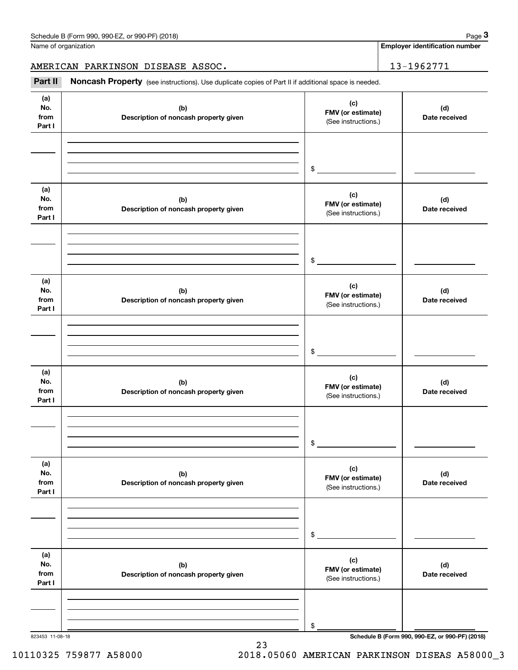**Employer identification number**

AMERICAN PARKINSON DISEASE ASSOC. 13-1962771

Chedule B (Form 990, 990-EZ, or 990-PF) (2018)<br>
Iame of organization<br> **3Part II Noncash Property** (see instructions). Use duplicate copies of Part II if additional space is needed.<br> **Part II Noncash Property** (see inst

| (a)<br>No.<br>from<br>Part I | (b)<br>Description of noncash property given | (c)<br>FMV (or estimate)<br>(See instructions.) | (d)<br>Date received                            |
|------------------------------|----------------------------------------------|-------------------------------------------------|-------------------------------------------------|
|                              |                                              | $\frac{1}{2}$                                   |                                                 |
| (a)<br>No.<br>from<br>Part I | (b)<br>Description of noncash property given | (c)<br>FMV (or estimate)<br>(See instructions.) | (d)<br>Date received                            |
|                              |                                              | $\frac{1}{2}$                                   |                                                 |
| (a)<br>No.<br>from<br>Part I | (b)<br>Description of noncash property given | (c)<br>FMV (or estimate)<br>(See instructions.) | (d)<br>Date received                            |
|                              |                                              | $\sim$                                          |                                                 |
| (a)<br>No.<br>from<br>Part I | (b)<br>Description of noncash property given | (c)<br>FMV (or estimate)<br>(See instructions.) | (d)<br>Date received                            |
|                              |                                              | $\sim$                                          |                                                 |
| (a)<br>No.<br>from<br>Part I | (b)<br>Description of noncash property given | (c)<br>FMV (or estimate)<br>(See instructions.) | (d)<br>Date received                            |
|                              |                                              | \$                                              |                                                 |
| (a)<br>No.<br>from<br>Part I | (b)<br>Description of noncash property given | (c)<br>FMV (or estimate)<br>(See instructions.) | (d)<br>Date received                            |
| 823453 11-08-18              |                                              | \$                                              | Schedule B (Form 990, 990-EZ, or 990-PF) (2018) |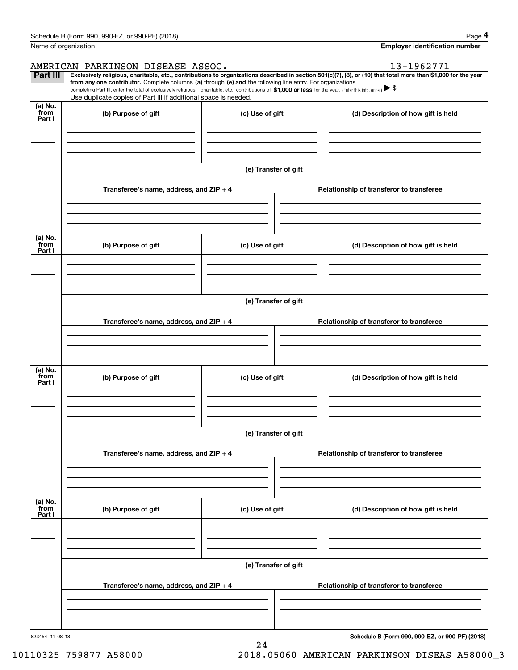|                                                                                                                                                                                   | Page 4                                                                                                                                                                                                                                                                                                                                                                                                                                                                |  |  |
|-----------------------------------------------------------------------------------------------------------------------------------------------------------------------------------|-----------------------------------------------------------------------------------------------------------------------------------------------------------------------------------------------------------------------------------------------------------------------------------------------------------------------------------------------------------------------------------------------------------------------------------------------------------------------|--|--|
|                                                                                                                                                                                   | <b>Employer identification number</b>                                                                                                                                                                                                                                                                                                                                                                                                                                 |  |  |
|                                                                                                                                                                                   | 13-1962771                                                                                                                                                                                                                                                                                                                                                                                                                                                            |  |  |
|                                                                                                                                                                                   | Exclusively religious, charitable, etc., contributions to organizations described in section 501(c)(7), (8), or (10) that total more than \$1,000 for the year                                                                                                                                                                                                                                                                                                        |  |  |
| completing Part III, enter the total of exclusively religious, charitable, etc., contributions of \$1,000 or less for the year. (Enter this info. once.) $\blacktriangleright$ \$ |                                                                                                                                                                                                                                                                                                                                                                                                                                                                       |  |  |
|                                                                                                                                                                                   |                                                                                                                                                                                                                                                                                                                                                                                                                                                                       |  |  |
| (c) Use of gift                                                                                                                                                                   | (d) Description of how gift is held                                                                                                                                                                                                                                                                                                                                                                                                                                   |  |  |
|                                                                                                                                                                                   |                                                                                                                                                                                                                                                                                                                                                                                                                                                                       |  |  |
|                                                                                                                                                                                   |                                                                                                                                                                                                                                                                                                                                                                                                                                                                       |  |  |
| (e) Transfer of gift                                                                                                                                                              |                                                                                                                                                                                                                                                                                                                                                                                                                                                                       |  |  |
|                                                                                                                                                                                   | Relationship of transferor to transferee                                                                                                                                                                                                                                                                                                                                                                                                                              |  |  |
|                                                                                                                                                                                   |                                                                                                                                                                                                                                                                                                                                                                                                                                                                       |  |  |
|                                                                                                                                                                                   |                                                                                                                                                                                                                                                                                                                                                                                                                                                                       |  |  |
|                                                                                                                                                                                   | (d) Description of how gift is held                                                                                                                                                                                                                                                                                                                                                                                                                                   |  |  |
|                                                                                                                                                                                   |                                                                                                                                                                                                                                                                                                                                                                                                                                                                       |  |  |
|                                                                                                                                                                                   |                                                                                                                                                                                                                                                                                                                                                                                                                                                                       |  |  |
|                                                                                                                                                                                   | Relationship of transferor to transferee                                                                                                                                                                                                                                                                                                                                                                                                                              |  |  |
|                                                                                                                                                                                   |                                                                                                                                                                                                                                                                                                                                                                                                                                                                       |  |  |
|                                                                                                                                                                                   |                                                                                                                                                                                                                                                                                                                                                                                                                                                                       |  |  |
| (c) Use of gift                                                                                                                                                                   | (d) Description of how gift is held                                                                                                                                                                                                                                                                                                                                                                                                                                   |  |  |
|                                                                                                                                                                                   |                                                                                                                                                                                                                                                                                                                                                                                                                                                                       |  |  |
|                                                                                                                                                                                   |                                                                                                                                                                                                                                                                                                                                                                                                                                                                       |  |  |
|                                                                                                                                                                                   | Relationship of transferor to transferee                                                                                                                                                                                                                                                                                                                                                                                                                              |  |  |
|                                                                                                                                                                                   |                                                                                                                                                                                                                                                                                                                                                                                                                                                                       |  |  |
|                                                                                                                                                                                   |                                                                                                                                                                                                                                                                                                                                                                                                                                                                       |  |  |
| (c) Use of gift                                                                                                                                                                   | (d) Description of how gift is held                                                                                                                                                                                                                                                                                                                                                                                                                                   |  |  |
|                                                                                                                                                                                   |                                                                                                                                                                                                                                                                                                                                                                                                                                                                       |  |  |
|                                                                                                                                                                                   |                                                                                                                                                                                                                                                                                                                                                                                                                                                                       |  |  |
| (e) Transfer of gift                                                                                                                                                              |                                                                                                                                                                                                                                                                                                                                                                                                                                                                       |  |  |
|                                                                                                                                                                                   | Relationship of transferor to transferee                                                                                                                                                                                                                                                                                                                                                                                                                              |  |  |
|                                                                                                                                                                                   |                                                                                                                                                                                                                                                                                                                                                                                                                                                                       |  |  |
|                                                                                                                                                                                   | Schedule B (Form 990, 990-EZ, or 990-PF) (2018)                                                                                                                                                                                                                                                                                                                                                                                                                       |  |  |
|                                                                                                                                                                                   | AMERICAN PARKINSON DISEASE ASSOC.<br>from any one contributor. Complete columns (a) through (e) and the following line entry. For organizations<br>Use duplicate copies of Part III if additional space is needed.<br>Transferee's name, address, and ZIP + 4<br>(c) Use of gift<br>(e) Transfer of gift<br>Transferee's name, address, and ZIP + 4<br>(e) Transfer of gift<br>Transferee's name, address, and $ZIP + 4$<br>Transferee's name, address, and $ZIP + 4$ |  |  |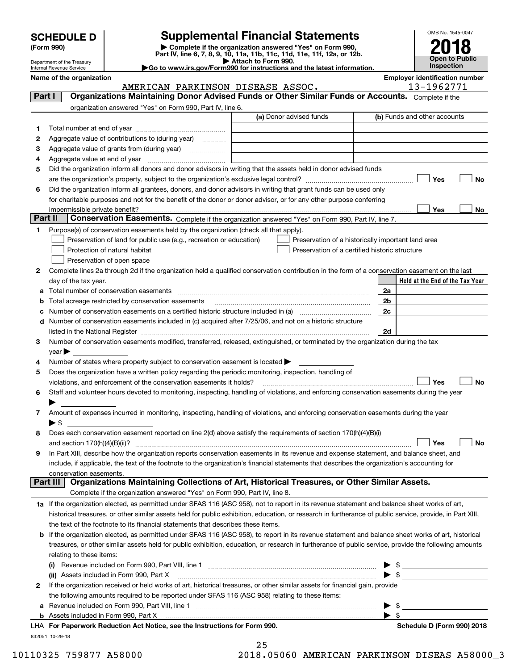| <b>SCHEDULE D</b> |  |
|-------------------|--|
|-------------------|--|

Department of the Treasury

| (Form 990) |  |
|------------|--|
|------------|--|

## **SCHEDULE D Supplemental Financial Statements**

(Form 990)<br>
Pepartment of the Treasury<br>
Department of the Treasury<br>
Department of the Treasury<br>
Department of the Treasury<br> **Co to www.irs.gov/Form990 for instructions and the latest information.**<br> **Co to www.irs.gov/Form9** 

|                                                                   | $\blacktriangleright$ Allach to Form 330. |  |
|-------------------------------------------------------------------|-------------------------------------------|--|
| to www.irs.gov/Form990 for instructions and the latest informatio |                                           |  |



|         | Internal Revenue Service                                                                                                                                  | $\blacktriangleright$ Go to www.irs.gov/Form990 for instructions and the latest information. |                          | <b>Inspection</b>                                   |
|---------|-----------------------------------------------------------------------------------------------------------------------------------------------------------|----------------------------------------------------------------------------------------------|--------------------------|-----------------------------------------------------|
|         | Name of the organization<br>AMERICAN PARKINSON DISEASE ASSOC.                                                                                             |                                                                                              |                          | <b>Employer identification number</b><br>13-1962771 |
| Part I  | Organizations Maintaining Donor Advised Funds or Other Similar Funds or Accounts. Complete if the                                                         |                                                                                              |                          |                                                     |
|         | organization answered "Yes" on Form 990, Part IV, line 6.                                                                                                 |                                                                                              |                          |                                                     |
|         |                                                                                                                                                           | (a) Donor advised funds                                                                      |                          | (b) Funds and other accounts                        |
| 1       |                                                                                                                                                           |                                                                                              |                          |                                                     |
| 2       | Aggregate value of contributions to (during year)                                                                                                         |                                                                                              |                          |                                                     |
| 3       | Aggregate value of grants from (during year)                                                                                                              |                                                                                              |                          |                                                     |
| 4       |                                                                                                                                                           |                                                                                              |                          |                                                     |
| 5       | Did the organization inform all donors and donor advisors in writing that the assets held in donor advised funds                                          |                                                                                              |                          |                                                     |
|         |                                                                                                                                                           |                                                                                              |                          | Yes<br><b>No</b>                                    |
| 6       | Did the organization inform all grantees, donors, and donor advisors in writing that grant funds can be used only                                         |                                                                                              |                          |                                                     |
|         | for charitable purposes and not for the benefit of the donor or donor advisor, or for any other purpose conferring                                        |                                                                                              |                          |                                                     |
|         |                                                                                                                                                           |                                                                                              |                          | Yes<br>No                                           |
| Part II | Conservation Easements. Complete if the organization answered "Yes" on Form 990, Part IV, line 7.                                                         |                                                                                              |                          |                                                     |
| 1       | Purpose(s) of conservation easements held by the organization (check all that apply).                                                                     |                                                                                              |                          |                                                     |
|         | Preservation of land for public use (e.g., recreation or education)                                                                                       | Preservation of a historically important land area                                           |                          |                                                     |
|         | Protection of natural habitat                                                                                                                             | Preservation of a certified historic structure                                               |                          |                                                     |
|         | Preservation of open space                                                                                                                                |                                                                                              |                          |                                                     |
| 2       | Complete lines 2a through 2d if the organization held a qualified conservation contribution in the form of a conservation easement on the last            |                                                                                              |                          |                                                     |
|         | day of the tax year.                                                                                                                                      |                                                                                              |                          | Held at the End of the Tax Year                     |
| а       | Total number of conservation easements                                                                                                                    |                                                                                              | 2a                       |                                                     |
| b       | Total acreage restricted by conservation easements                                                                                                        |                                                                                              | 2b<br>2c                 |                                                     |
| с       | Number of conservation easements included in (c) acquired after 7/25/06, and not on a historic structure                                                  |                                                                                              |                          |                                                     |
| d       |                                                                                                                                                           |                                                                                              | 2d                       |                                                     |
| 3       | Number of conservation easements modified, transferred, released, extinguished, or terminated by the organization during the tax                          |                                                                                              |                          |                                                     |
|         | year                                                                                                                                                      |                                                                                              |                          |                                                     |
| 4       | Number of states where property subject to conservation easement is located $\blacktriangleright$                                                         |                                                                                              |                          |                                                     |
| 5       | Does the organization have a written policy regarding the periodic monitoring, inspection, handling of                                                    |                                                                                              |                          |                                                     |
|         | violations, and enforcement of the conservation easements it holds?                                                                                       |                                                                                              |                          | Yes<br><b>No</b>                                    |
| 6       | Staff and volunteer hours devoted to monitoring, inspecting, handling of violations, and enforcing conservation easements during the year                 |                                                                                              |                          |                                                     |
|         |                                                                                                                                                           |                                                                                              |                          |                                                     |
| 7       | Amount of expenses incurred in monitoring, inspecting, handling of violations, and enforcing conservation easements during the year                       |                                                                                              |                          |                                                     |
|         | $\blacktriangleright$ \$                                                                                                                                  |                                                                                              |                          |                                                     |
| 8       | Does each conservation easement reported on line $2(d)$ above satisfy the requirements of section 170(h)(4)(B)(i)                                         |                                                                                              |                          |                                                     |
|         |                                                                                                                                                           |                                                                                              |                          | Yes<br>No                                           |
| 9       | In Part XIII, describe how the organization reports conservation easements in its revenue and expense statement, and balance sheet, and                   |                                                                                              |                          |                                                     |
|         | include, if applicable, the text of the footnote to the organization's financial statements that describes the organization's accounting for              |                                                                                              |                          |                                                     |
|         | conservation easements.<br>Organizations Maintaining Collections of Art, Historical Treasures, or Other Similar Assets.<br>Part III                       |                                                                                              |                          |                                                     |
|         | Complete if the organization answered "Yes" on Form 990, Part IV, line 8.                                                                                 |                                                                                              |                          |                                                     |
|         | 1a If the organization elected, as permitted under SFAS 116 (ASC 958), not to report in its revenue statement and balance sheet works of art,             |                                                                                              |                          |                                                     |
|         | historical treasures, or other similar assets held for public exhibition, education, or research in furtherance of public service, provide, in Part XIII, |                                                                                              |                          |                                                     |
|         | the text of the footnote to its financial statements that describes these items.                                                                          |                                                                                              |                          |                                                     |
| b       | If the organization elected, as permitted under SFAS 116 (ASC 958), to report in its revenue statement and balance sheet works of art, historical         |                                                                                              |                          |                                                     |
|         | treasures, or other similar assets held for public exhibition, education, or research in furtherance of public service, provide the following amounts     |                                                                                              |                          |                                                     |
|         | relating to these items:                                                                                                                                  |                                                                                              |                          |                                                     |
|         |                                                                                                                                                           |                                                                                              |                          |                                                     |
|         | (ii) Assets included in Form 990, Part X                                                                                                                  |                                                                                              |                          | $\blacktriangleright$ \$                            |
| 2       | If the organization received or held works of art, historical treasures, or other similar assets for financial gain, provide                              |                                                                                              |                          |                                                     |
|         | the following amounts required to be reported under SFAS 116 (ASC 958) relating to these items:                                                           |                                                                                              |                          |                                                     |
| а       |                                                                                                                                                           |                                                                                              |                          | - \$                                                |
|         |                                                                                                                                                           |                                                                                              | $\blacktriangleright$ \$ |                                                     |
|         | LHA For Paperwork Reduction Act Notice, see the Instructions for Form 990.                                                                                |                                                                                              |                          | Schedule D (Form 990) 2018                          |

832051 10-29-18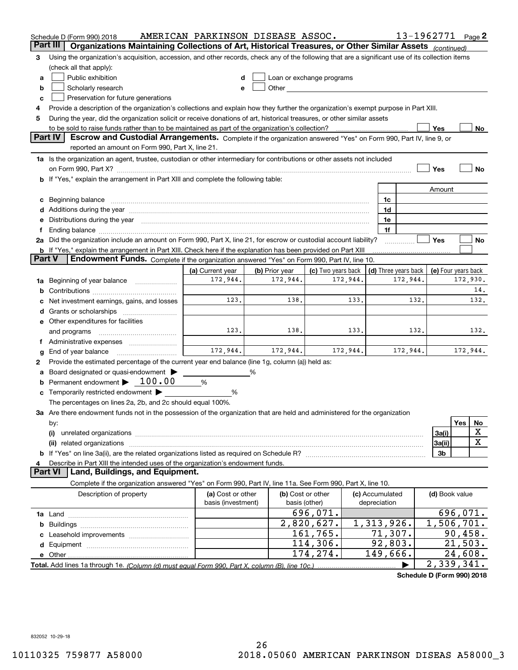|        | Schedule D (Form 990) 2018                                                                                                                                                                                                                                                                                                                           | AMERICAN PARKINSON DISEASE ASSOC.       |                |                                                                                                                                                                                                                               |                                 | 13-1962771 Page 2    |                     |          |             |  |  |  |
|--------|------------------------------------------------------------------------------------------------------------------------------------------------------------------------------------------------------------------------------------------------------------------------------------------------------------------------------------------------------|-----------------------------------------|----------------|-------------------------------------------------------------------------------------------------------------------------------------------------------------------------------------------------------------------------------|---------------------------------|----------------------|---------------------|----------|-------------|--|--|--|
|        | Part III<br>Organizations Maintaining Collections of Art, Historical Treasures, or Other Similar Assets (continued)                                                                                                                                                                                                                                  |                                         |                |                                                                                                                                                                                                                               |                                 |                      |                     |          |             |  |  |  |
| з      | Using the organization's acquisition, accession, and other records, check any of the following that are a significant use of its collection items                                                                                                                                                                                                    |                                         |                |                                                                                                                                                                                                                               |                                 |                      |                     |          |             |  |  |  |
|        | (check all that apply):                                                                                                                                                                                                                                                                                                                              |                                         |                |                                                                                                                                                                                                                               |                                 |                      |                     |          |             |  |  |  |
| a      | Public exhibition                                                                                                                                                                                                                                                                                                                                    |                                         |                | Loan or exchange programs                                                                                                                                                                                                     |                                 |                      |                     |          |             |  |  |  |
| b      | Scholarly research                                                                                                                                                                                                                                                                                                                                   |                                         |                | Other and the contract of the contract of the contract of the contract of the contract of the contract of the contract of the contract of the contract of the contract of the contract of the contract of the contract of the |                                 |                      |                     |          |             |  |  |  |
| c      | Preservation for future generations                                                                                                                                                                                                                                                                                                                  |                                         |                |                                                                                                                                                                                                                               |                                 |                      |                     |          |             |  |  |  |
| 4      | Provide a description of the organization's collections and explain how they further the organization's exempt purpose in Part XIII.                                                                                                                                                                                                                 |                                         |                |                                                                                                                                                                                                                               |                                 |                      |                     |          |             |  |  |  |
| 5      | During the year, did the organization solicit or receive donations of art, historical treasures, or other similar assets                                                                                                                                                                                                                             |                                         |                |                                                                                                                                                                                                                               |                                 |                      |                     |          |             |  |  |  |
|        | to be sold to raise funds rather than to be maintained as part of the organization's collection?<br>Yes<br>No<br>Escrow and Custodial Arrangements. Complete if the organization answered "Yes" on Form 990, Part IV, line 9, or                                                                                                                     |                                         |                |                                                                                                                                                                                                                               |                                 |                      |                     |          |             |  |  |  |
|        | <b>Part IV</b>                                                                                                                                                                                                                                                                                                                                       |                                         |                |                                                                                                                                                                                                                               |                                 |                      |                     |          |             |  |  |  |
|        | reported an amount on Form 990, Part X, line 21.                                                                                                                                                                                                                                                                                                     |                                         |                |                                                                                                                                                                                                                               |                                 |                      |                     |          |             |  |  |  |
|        | 1a Is the organization an agent, trustee, custodian or other intermediary for contributions or other assets not included                                                                                                                                                                                                                             |                                         |                |                                                                                                                                                                                                                               |                                 |                      |                     |          |             |  |  |  |
|        |                                                                                                                                                                                                                                                                                                                                                      |                                         |                |                                                                                                                                                                                                                               |                                 |                      | Yes                 |          | No          |  |  |  |
|        | b If "Yes," explain the arrangement in Part XIII and complete the following table:                                                                                                                                                                                                                                                                   |                                         |                |                                                                                                                                                                                                                               |                                 |                      |                     |          |             |  |  |  |
|        |                                                                                                                                                                                                                                                                                                                                                      |                                         |                |                                                                                                                                                                                                                               |                                 |                      | Amount              |          |             |  |  |  |
| c      | Beginning balance material continuum contracts and contact the contract of the contract of the contract of the                                                                                                                                                                                                                                       |                                         |                |                                                                                                                                                                                                                               | 1c                              |                      |                     |          |             |  |  |  |
|        |                                                                                                                                                                                                                                                                                                                                                      |                                         |                |                                                                                                                                                                                                                               | 1d                              |                      |                     |          |             |  |  |  |
| е      | Distributions during the year manufactured and an account of the state of the state of the state of the state o                                                                                                                                                                                                                                      |                                         |                |                                                                                                                                                                                                                               | 1e<br>1f                        |                      |                     |          |             |  |  |  |
| Ť.     | Ending balance manufactured and contact the contract of the contract of the contract of the contract of the contract of the contract of the contract of the contract of the contract of the contract of the contract of the co<br>2a Did the organization include an amount on Form 990, Part X, line 21, for escrow or custodial account liability? |                                         |                |                                                                                                                                                                                                                               |                                 |                      | Yes                 |          | No          |  |  |  |
|        | <b>b</b> If "Yes," explain the arrangement in Part XIII. Check here if the explanation has been provided on Part XIII                                                                                                                                                                                                                                |                                         |                |                                                                                                                                                                                                                               |                                 |                      |                     |          |             |  |  |  |
| Part V | Endowment Funds. Complete if the organization answered "Yes" on Form 990, Part IV, line 10.                                                                                                                                                                                                                                                          |                                         |                |                                                                                                                                                                                                                               |                                 |                      |                     |          |             |  |  |  |
|        |                                                                                                                                                                                                                                                                                                                                                      | (a) Current year                        | (b) Prior year | (c) Two years back                                                                                                                                                                                                            |                                 | (d) Three years back | (e) Four years back |          |             |  |  |  |
| 1a     | Beginning of year balance                                                                                                                                                                                                                                                                                                                            | 172,944.                                | 172,944.       | 172,944.                                                                                                                                                                                                                      |                                 | 172,944.             |                     | 172,930. |             |  |  |  |
| b      |                                                                                                                                                                                                                                                                                                                                                      |                                         |                |                                                                                                                                                                                                                               |                                 |                      |                     |          | 14.         |  |  |  |
|        | Net investment earnings, gains, and losses                                                                                                                                                                                                                                                                                                           | 123.                                    | 138.           | 133.                                                                                                                                                                                                                          |                                 | 132.                 |                     |          | 132.        |  |  |  |
| d      |                                                                                                                                                                                                                                                                                                                                                      |                                         |                |                                                                                                                                                                                                                               |                                 |                      |                     |          |             |  |  |  |
|        | e Other expenditures for facilities                                                                                                                                                                                                                                                                                                                  |                                         |                |                                                                                                                                                                                                                               |                                 |                      |                     |          |             |  |  |  |
|        | and programs                                                                                                                                                                                                                                                                                                                                         | 123.                                    | 138.           | 133.                                                                                                                                                                                                                          |                                 | 132.                 |                     |          | 132.        |  |  |  |
|        | f Administrative expenses                                                                                                                                                                                                                                                                                                                            |                                         |                |                                                                                                                                                                                                                               |                                 |                      |                     |          |             |  |  |  |
| g      | End of year balance                                                                                                                                                                                                                                                                                                                                  | 172,944.                                | 172,944.       | 172,944.                                                                                                                                                                                                                      |                                 | 172,944.             |                     | 172,944. |             |  |  |  |
| 2      | Provide the estimated percentage of the current year end balance (line 1g, column (a)) held as:                                                                                                                                                                                                                                                      |                                         |                |                                                                                                                                                                                                                               |                                 |                      |                     |          |             |  |  |  |
| а      | Board designated or quasi-endowment                                                                                                                                                                                                                                                                                                                  |                                         | %              |                                                                                                                                                                                                                               |                                 |                      |                     |          |             |  |  |  |
| b      | Permanent endowment $\blacktriangleright$ 100.00                                                                                                                                                                                                                                                                                                     | %                                       |                |                                                                                                                                                                                                                               |                                 |                      |                     |          |             |  |  |  |
|        | c Temporarily restricted endowment $\blacktriangleright$                                                                                                                                                                                                                                                                                             | %                                       |                |                                                                                                                                                                                                                               |                                 |                      |                     |          |             |  |  |  |
|        | The percentages on lines 2a, 2b, and 2c should equal 100%.                                                                                                                                                                                                                                                                                           |                                         |                |                                                                                                                                                                                                                               |                                 |                      |                     |          |             |  |  |  |
|        | 3a Are there endowment funds not in the possession of the organization that are held and administered for the organization                                                                                                                                                                                                                           |                                         |                |                                                                                                                                                                                                                               |                                 |                      |                     |          |             |  |  |  |
|        | by:                                                                                                                                                                                                                                                                                                                                                  |                                         |                |                                                                                                                                                                                                                               |                                 |                      |                     | Yes      | No          |  |  |  |
|        | (i)                                                                                                                                                                                                                                                                                                                                                  |                                         |                |                                                                                                                                                                                                                               |                                 |                      | 3a(i)               |          | X           |  |  |  |
|        | (ii) related organizations                                                                                                                                                                                                                                                                                                                           |                                         |                |                                                                                                                                                                                                                               |                                 |                      | 3a(ii)              |          | $\mathbf X$ |  |  |  |
|        |                                                                                                                                                                                                                                                                                                                                                      |                                         |                |                                                                                                                                                                                                                               |                                 |                      | 3b                  |          |             |  |  |  |
| 4      | Describe in Part XIII the intended uses of the organization's endowment funds.<br>Land, Buildings, and Equipment.<br>Part VI                                                                                                                                                                                                                         |                                         |                |                                                                                                                                                                                                                               |                                 |                      |                     |          |             |  |  |  |
|        |                                                                                                                                                                                                                                                                                                                                                      |                                         |                |                                                                                                                                                                                                                               |                                 |                      |                     |          |             |  |  |  |
|        | Complete if the organization answered "Yes" on Form 990, Part IV, line 11a. See Form 990, Part X, line 10.                                                                                                                                                                                                                                           |                                         |                |                                                                                                                                                                                                                               |                                 |                      |                     |          |             |  |  |  |
|        | Description of property                                                                                                                                                                                                                                                                                                                              | (a) Cost or other<br>basis (investment) |                | (b) Cost or other<br>basis (other)                                                                                                                                                                                            | (c) Accumulated<br>depreciation |                      | (d) Book value      |          |             |  |  |  |
|        |                                                                                                                                                                                                                                                                                                                                                      |                                         |                | 696,071.                                                                                                                                                                                                                      |                                 |                      |                     | 696,071. |             |  |  |  |
|        |                                                                                                                                                                                                                                                                                                                                                      |                                         |                | 2,820,627.                                                                                                                                                                                                                    | 1,313,926.                      |                      | 1,506,701.          |          |             |  |  |  |
| b      |                                                                                                                                                                                                                                                                                                                                                      |                                         |                | 161,765.                                                                                                                                                                                                                      | 71,307.                         |                      |                     | 90,458.  |             |  |  |  |
|        |                                                                                                                                                                                                                                                                                                                                                      |                                         |                | 114,306.                                                                                                                                                                                                                      | 92,803.                         |                      |                     | 21,503.  |             |  |  |  |
|        |                                                                                                                                                                                                                                                                                                                                                      |                                         |                | 174,274.                                                                                                                                                                                                                      | 149,666.                        |                      |                     | 24,608.  |             |  |  |  |
|        |                                                                                                                                                                                                                                                                                                                                                      |                                         |                |                                                                                                                                                                                                                               |                                 |                      | 2,339,341.          |          |             |  |  |  |
|        |                                                                                                                                                                                                                                                                                                                                                      |                                         |                |                                                                                                                                                                                                                               |                                 |                      |                     |          |             |  |  |  |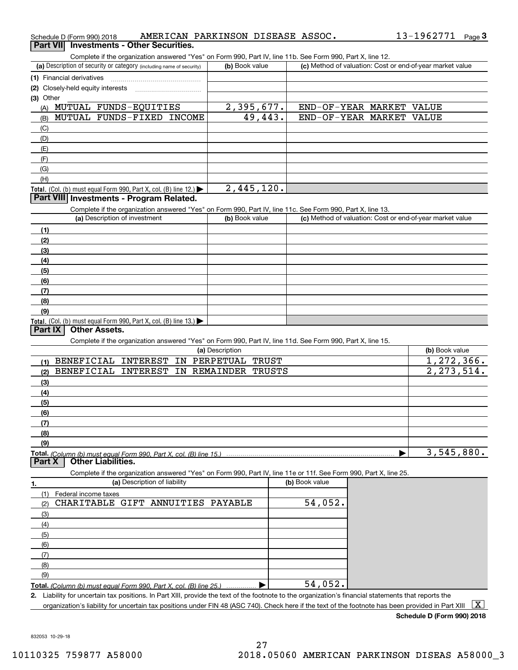| Schedule D (Form 990) 2018                                                                                                                                                         | AMERICAN PARKINSON DISEASE ASSOC. |                                                           | 13-1962771     | Page $3$ |
|------------------------------------------------------------------------------------------------------------------------------------------------------------------------------------|-----------------------------------|-----------------------------------------------------------|----------------|----------|
| <b>Investments - Other Securities.</b><br><b>Part VII</b>                                                                                                                          |                                   |                                                           |                |          |
| Complete if the organization answered "Yes" on Form 990, Part IV, line 11b. See Form 990, Part X, line 12.<br>(a) Description of security or category (including name of security) | (b) Book value                    | (c) Method of valuation: Cost or end-of-year market value |                |          |
|                                                                                                                                                                                    |                                   |                                                           |                |          |
| (1) Financial derivatives                                                                                                                                                          |                                   |                                                           |                |          |
| (2) Closely-held equity interests<br>(3) Other                                                                                                                                     |                                   |                                                           |                |          |
| MUTUAL FUNDS-EQUITIES<br>(A)                                                                                                                                                       | 2,395,677.                        | END-OF-YEAR MARKET VALUE                                  |                |          |
| MUTUAL FUNDS-FIXED INCOME<br>(B)                                                                                                                                                   | 49,443.                           | END-OF-YEAR MARKET VALUE                                  |                |          |
| (C)                                                                                                                                                                                |                                   |                                                           |                |          |
| (D)                                                                                                                                                                                |                                   |                                                           |                |          |
| (E)                                                                                                                                                                                |                                   |                                                           |                |          |
| (F)                                                                                                                                                                                |                                   |                                                           |                |          |
| (G)                                                                                                                                                                                |                                   |                                                           |                |          |
| (H)                                                                                                                                                                                |                                   |                                                           |                |          |
| Total. (Col. (b) must equal Form 990, Part X, col. (B) line 12.)                                                                                                                   | 2,445,120.                        |                                                           |                |          |
| Part VIII Investments - Program Related.                                                                                                                                           |                                   |                                                           |                |          |
| Complete if the organization answered "Yes" on Form 990, Part IV, line 11c. See Form 990, Part X, line 13.                                                                         |                                   |                                                           |                |          |
| (a) Description of investment                                                                                                                                                      | (b) Book value                    | (c) Method of valuation: Cost or end-of-year market value |                |          |
| (1)                                                                                                                                                                                |                                   |                                                           |                |          |
| (2)                                                                                                                                                                                |                                   |                                                           |                |          |
| (3)                                                                                                                                                                                |                                   |                                                           |                |          |
| (4)                                                                                                                                                                                |                                   |                                                           |                |          |
| (5)                                                                                                                                                                                |                                   |                                                           |                |          |
| (6)                                                                                                                                                                                |                                   |                                                           |                |          |
| (7)                                                                                                                                                                                |                                   |                                                           |                |          |
| (8)                                                                                                                                                                                |                                   |                                                           |                |          |
| (9)                                                                                                                                                                                |                                   |                                                           |                |          |
| Total. (Col. (b) must equal Form 990, Part X, col. (B) line 13.)<br><b>Other Assets.</b><br>Part IX                                                                                |                                   |                                                           |                |          |
|                                                                                                                                                                                    |                                   |                                                           |                |          |
| Complete if the organization answered "Yes" on Form 990, Part IV, line 11d. See Form 990, Part X, line 15.                                                                         | (a) Description                   |                                                           | (b) Book value |          |
| BENEFICIAL INTEREST<br>(1)                                                                                                                                                         | IN PERPETUAL<br><b>TRUST</b>      |                                                           | 1,272,366.     |          |
| <b>BENEFICIAL</b><br><b>INTEREST</b><br>(2)                                                                                                                                        | IN REMAINDER<br><b>TRUSTS</b>     |                                                           | 2, 273, 514.   |          |
| (3)                                                                                                                                                                                |                                   |                                                           |                |          |
| (4)                                                                                                                                                                                |                                   |                                                           |                |          |
| (5)                                                                                                                                                                                |                                   |                                                           |                |          |
| (6)                                                                                                                                                                                |                                   |                                                           |                |          |
| (7)                                                                                                                                                                                |                                   |                                                           |                |          |
| (8)                                                                                                                                                                                |                                   |                                                           |                |          |
| (9)                                                                                                                                                                                |                                   |                                                           |                |          |
| Total. (Column (b) must equal Form 990. Part X, col. (B) line 15.)                                                                                                                 |                                   |                                                           | 3,545,880.     |          |
| <b>Other Liabilities.</b><br>Part X                                                                                                                                                |                                   |                                                           |                |          |
| Complete if the organization answered "Yes" on Form 990, Part IV, line 11e or 11f. See Form 990, Part X, line 25.                                                                  |                                   |                                                           |                |          |
| (a) Description of liability<br>1.                                                                                                                                                 |                                   | (b) Book value                                            |                |          |
| (1)<br>Federal income taxes                                                                                                                                                        |                                   |                                                           |                |          |
| CHARITABLE GIFT ANNUITIES PAYABLE<br>(2)                                                                                                                                           |                                   | 54,052.                                                   |                |          |
| (3)                                                                                                                                                                                |                                   |                                                           |                |          |
| (4)                                                                                                                                                                                |                                   |                                                           |                |          |
| (5)                                                                                                                                                                                |                                   |                                                           |                |          |
| (6)                                                                                                                                                                                |                                   |                                                           |                |          |
| (7)                                                                                                                                                                                |                                   |                                                           |                |          |
| (8)                                                                                                                                                                                |                                   |                                                           |                |          |
| (9)                                                                                                                                                                                |                                   |                                                           |                |          |
| Total. (Column (b) must equal Form 990, Part X, col. (B) line 25.)                                                                                                                 |                                   | 54,052.                                                   |                |          |
| 2. Liability for uncertain tax positions. In Part XIII, provide the text of the footnote to the organization's financial statements that reports the                               |                                   |                                                           |                | ┌┳       |

organization's liability for uncertain tax positions under FIN 48 (ASC 740). Check here if the text of the footnote has been provided in Part XIII  $~\boxed{\rm X}$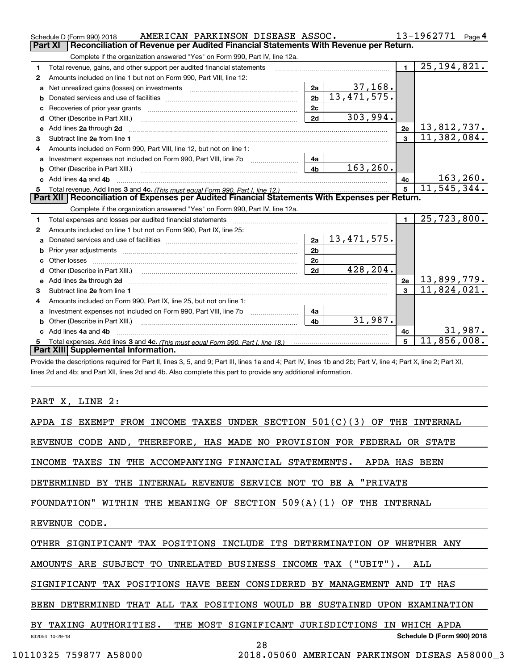|                                                                                                       | AMERICAN PARKINSON DISEASE ASSOC.<br>Schedule D (Form 990) 2018                                                                                                                                      |                | 13-1962771<br>Page $4$ |                |                    |  |  |  |  |
|-------------------------------------------------------------------------------------------------------|------------------------------------------------------------------------------------------------------------------------------------------------------------------------------------------------------|----------------|------------------------|----------------|--------------------|--|--|--|--|
| Reconciliation of Revenue per Audited Financial Statements With Revenue per Return.<br><b>Part XI</b> |                                                                                                                                                                                                      |                |                        |                |                    |  |  |  |  |
|                                                                                                       | Complete if the organization answered "Yes" on Form 990, Part IV, line 12a.                                                                                                                          |                |                        |                |                    |  |  |  |  |
| 1                                                                                                     | Total revenue, gains, and other support per audited financial statements                                                                                                                             |                |                        | $\blacksquare$ | 25, 194, 821.      |  |  |  |  |
| 2                                                                                                     | Amounts included on line 1 but not on Form 990, Part VIII, line 12:                                                                                                                                  |                |                        |                |                    |  |  |  |  |
| a                                                                                                     |                                                                                                                                                                                                      | 2a             | 37,168.                |                |                    |  |  |  |  |
| b                                                                                                     |                                                                                                                                                                                                      | 2 <sub>b</sub> | 13,471,575.            |                |                    |  |  |  |  |
| с                                                                                                     |                                                                                                                                                                                                      | 2c             |                        |                |                    |  |  |  |  |
| d                                                                                                     |                                                                                                                                                                                                      | 2d             | 303,994.               |                |                    |  |  |  |  |
|                                                                                                       | e Add lines 2a through 2d                                                                                                                                                                            |                |                        | 2e             | <u>13,812,737.</u> |  |  |  |  |
| з                                                                                                     |                                                                                                                                                                                                      |                |                        | $\overline{3}$ | 11,382,084.        |  |  |  |  |
| 4                                                                                                     | Amounts included on Form 990, Part VIII, line 12, but not on line 1:                                                                                                                                 |                |                        |                |                    |  |  |  |  |
| a                                                                                                     |                                                                                                                                                                                                      | 4a             |                        |                |                    |  |  |  |  |
| b                                                                                                     | Other (Describe in Part XIII.) <b>Construction Contract Construction</b> Chern Construction Construction Construction                                                                                | 4 <sub>h</sub> | 163, 260.              |                |                    |  |  |  |  |
|                                                                                                       | Add lines 4a and 4b                                                                                                                                                                                  |                |                        | 4с             | 163, 260.          |  |  |  |  |
| 5                                                                                                     |                                                                                                                                                                                                      |                |                        |                | 11, 545, 344.      |  |  |  |  |
|                                                                                                       | Part XII   Reconciliation of Expenses per Audited Financial Statements With Expenses per Return.                                                                                                     |                |                        |                |                    |  |  |  |  |
|                                                                                                       | Complete if the organization answered "Yes" on Form 990, Part IV, line 12a.                                                                                                                          |                |                        |                |                    |  |  |  |  |
| 1                                                                                                     | Total expenses and losses per audited financial statements [11] [11] Total expenses and losses per audited financial statements [11] [11] Total expenses and losses per audited financial statements |                |                        | $\blacksquare$ | 25,723,800.        |  |  |  |  |
| 2                                                                                                     | Amounts included on line 1 but not on Form 990, Part IX, line 25:                                                                                                                                    |                |                        |                |                    |  |  |  |  |
| a                                                                                                     |                                                                                                                                                                                                      | 2a             | 13,471,575.            |                |                    |  |  |  |  |
|                                                                                                       |                                                                                                                                                                                                      | 2 <sub>b</sub> |                        |                |                    |  |  |  |  |
| c.                                                                                                    |                                                                                                                                                                                                      |                |                        |                |                    |  |  |  |  |
|                                                                                                       |                                                                                                                                                                                                      | 2c             |                        |                |                    |  |  |  |  |
| d                                                                                                     |                                                                                                                                                                                                      | 2d             | 428,204.               |                |                    |  |  |  |  |
|                                                                                                       |                                                                                                                                                                                                      |                |                        | 2e             | 13,899,779.        |  |  |  |  |
| 3                                                                                                     |                                                                                                                                                                                                      |                |                        | 3              | 11,824,021.        |  |  |  |  |
| 4                                                                                                     | Amounts included on Form 990, Part IX, line 25, but not on line 1:                                                                                                                                   |                |                        |                |                    |  |  |  |  |
|                                                                                                       |                                                                                                                                                                                                      | 4a             |                        |                |                    |  |  |  |  |
|                                                                                                       |                                                                                                                                                                                                      | 4 <sub>b</sub> | 31,987.                |                |                    |  |  |  |  |
|                                                                                                       | c Add lines 4a and 4b                                                                                                                                                                                |                |                        | 4c             | 31,987.            |  |  |  |  |
| 5                                                                                                     |                                                                                                                                                                                                      |                |                        | 5              | 11,856,008.        |  |  |  |  |
|                                                                                                       | Part XIII Supplemental Information.                                                                                                                                                                  |                |                        |                |                    |  |  |  |  |

lescriptions required for Part II, lines 3, 5, and 9; Part III, lines 1a and 4; Part IV, lines 1b and 2b; Part V, line 4; Part X, line 2; Part XI, lines 2d and 4b; and Part XII, lines 2d and 4b. Also complete this part to provide any additional information.

PART X, LINE 2:

| APDA IS EXEMPT FROM INCOME TAXES UNDER SECTION $501(C)(3)$ OF THE INTERNAL |
|----------------------------------------------------------------------------|
| REVENUE CODE AND, THEREFORE, HAS MADE NO PROVISION FOR FEDERAL OR STATE    |
| INCOME TAXES IN THE ACCOMPANYING FINANCIAL STATEMENTS. APDA HAS BEEN       |
| INTERNAL REVENUE SERVICE NOT TO BE A "PRIVATE<br>DETERMINED BY THE         |
| FOUNDATION" WITHIN THE MEANING OF SECTION $509(A)(1)$ OF THE INTERNAL      |
| REVENUE CODE.                                                              |
| OTHER SIGNIFICANT TAX POSITIONS INCLUDE ITS DETERMINATION OF WHETHER ANY   |
| AMOUNTS ARE SUBJECT TO UNRELATED BUSINESS INCOME TAX ("UBIT"). ALL         |
| SIGNIFICANT TAX POSITIONS HAVE BEEN CONSIDERED BY MANAGEMENT AND IT HAS    |
| BEEN DETERMINED THAT ALL TAX POSITIONS WOULD BE SUSTAINED UPON EXAMINATION |
| BY TAXING AUTHORITIES.<br>THE MOST SIGNIFICANT JURISDICTIONS IN WHICH APDA |
| Schedule D (Form 990) 2018<br>832054 10-29-18                              |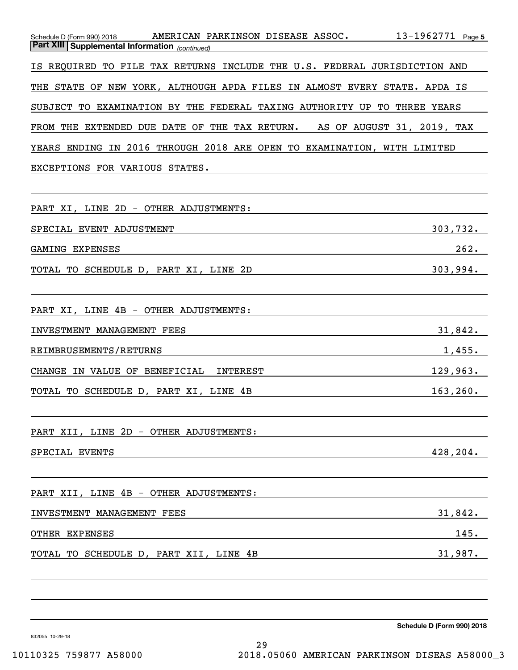| Schedule D (Form 990) 2018 AMERICAN PARKINSON DISEASE ASSOC.<br><b>Part XIII Supplemental Information</b> (continued)                                          | 13-1962771 $Page 5$ |
|----------------------------------------------------------------------------------------------------------------------------------------------------------------|---------------------|
|                                                                                                                                                                |                     |
| IS REQUIRED TO FILE TAX RETURNS INCLUDE THE U.S. FEDERAL JURISDICTION AND                                                                                      |                     |
| THE STATE OF NEW YORK, ALTHOUGH APDA FILES IN ALMOST EVERY STATE. APDA IS                                                                                      |                     |
| SUBJECT TO EXAMINATION BY THE FEDERAL TAXING AUTHORITY UP TO THREE YEARS                                                                                       |                     |
| FROM THE EXTENDED DUE DATE OF THE TAX RETURN. AS OF AUGUST 31, 2019, TAX                                                                                       |                     |
| YEARS ENDING IN 2016 THROUGH 2018 ARE OPEN TO EXAMINATION, WITH LIMITED                                                                                        |                     |
| EXCEPTIONS FOR VARIOUS STATES.                                                                                                                                 |                     |
|                                                                                                                                                                |                     |
| PART XI, LINE 2D - OTHER ADJUSTMENTS:                                                                                                                          |                     |
| SPECIAL EVENT ADJUSTMENT                                                                                                                                       | 303,732.            |
| GAMING EXPENSES                                                                                                                                                | 262.                |
| TOTAL TO SCHEDULE D, PART XI, LINE 2D<br><u> 1989 - Johann Barbara, martxa alemaniar a</u>                                                                     | 303,994.            |
|                                                                                                                                                                |                     |
| PART XI, LINE 4B - OTHER ADJUSTMENTS:                                                                                                                          |                     |
| INVESTMENT MANAGEMENT FEES<br><u> 1989 - Johann Stein, mars an t-Amerikaansk kommunister (</u>                                                                 | 31,842.             |
| REIMBRUSEMENTS/RETURNS                                                                                                                                         | 1,455.              |
| CHANGE IN VALUE OF BENEFICIAL INTEREST                                                                                                                         | 129,963.            |
| TOTAL TO SCHEDULE D, PART XI, LINE 4B<br><u> 1989 - Johann Barn, mars ann an t-Amhain Aonaich an t-Aonaich an t-Aonaich an t-Aonaich an t-Aonaich an t-Aon</u> | 163, 260.           |
|                                                                                                                                                                |                     |
| PART XII, LINE 2D - OTHER ADJUSTMENTS:                                                                                                                         |                     |
| SPECIAL EVENTS                                                                                                                                                 | 428,204.            |
|                                                                                                                                                                |                     |
| PART XII, LINE 4B - OTHER ADJUSTMENTS:                                                                                                                         |                     |
| INVESTMENT MANAGEMENT FEES                                                                                                                                     | <u>31,842.</u>      |
| OTHER EXPENSES                                                                                                                                                 | 145.                |
| TOTAL TO SCHEDULE D, PART XII, LINE 4B                                                                                                                         | 31,987.             |
|                                                                                                                                                                |                     |
|                                                                                                                                                                |                     |

29

**Schedule D (Form 990) 2018**

832055 10-29-18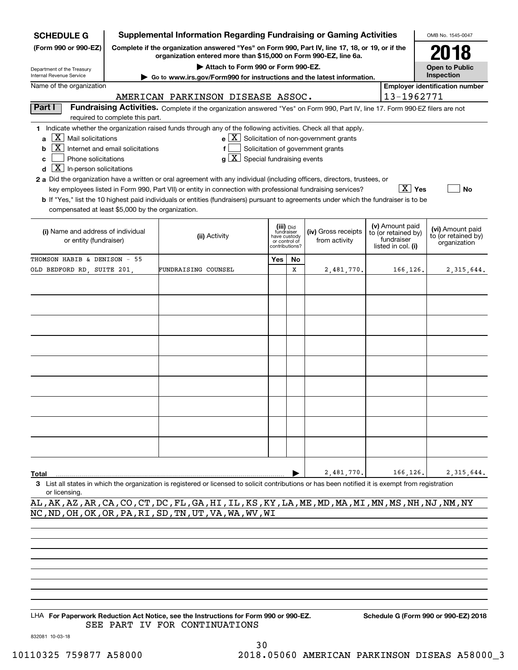| <b>SCHEDULE G</b>                                                                                                                                                 |                                  | <b>Supplemental Information Regarding Fundraising or Gaming Activities</b>                                                                                                                                                                                                                                                                                                                                                                                                                                                                         |                                                               |           |                                                                                                         |  |                                                                            | OMB No. 1545-0047                                       |              |  |
|-------------------------------------------------------------------------------------------------------------------------------------------------------------------|----------------------------------|----------------------------------------------------------------------------------------------------------------------------------------------------------------------------------------------------------------------------------------------------------------------------------------------------------------------------------------------------------------------------------------------------------------------------------------------------------------------------------------------------------------------------------------------------|---------------------------------------------------------------|-----------|---------------------------------------------------------------------------------------------------------|--|----------------------------------------------------------------------------|---------------------------------------------------------|--------------|--|
| (Form 990 or 990-EZ)                                                                                                                                              |                                  | Complete if the organization answered "Yes" on Form 990, Part IV, line 17, 18, or 19, or if the<br>organization entered more than \$15,000 on Form 990-EZ, line 6a.                                                                                                                                                                                                                                                                                                                                                                                |                                                               |           |                                                                                                         |  |                                                                            |                                                         |              |  |
| Department of the Treasury                                                                                                                                        |                                  | Attach to Form 990 or Form 990-EZ.                                                                                                                                                                                                                                                                                                                                                                                                                                                                                                                 |                                                               |           |                                                                                                         |  |                                                                            | <b>Open to Public</b>                                   |              |  |
| Inspection<br>Internal Revenue Service<br>Go to www.irs.gov/Form990 for instructions and the latest information.<br>Name of the organization                      |                                  |                                                                                                                                                                                                                                                                                                                                                                                                                                                                                                                                                    |                                                               |           |                                                                                                         |  |                                                                            |                                                         |              |  |
| <b>Employer identification number</b><br>13-1962771<br>AMERICAN PARKINSON DISEASE ASSOC.                                                                          |                                  |                                                                                                                                                                                                                                                                                                                                                                                                                                                                                                                                                    |                                                               |           |                                                                                                         |  |                                                                            |                                                         |              |  |
| Part I                                                                                                                                                            | required to complete this part.  | Fundraising Activities. Complete if the organization answered "Yes" on Form 990, Part IV, line 17. Form 990-EZ filers are not                                                                                                                                                                                                                                                                                                                                                                                                                      |                                                               |           |                                                                                                         |  |                                                                            |                                                         |              |  |
| X  <br>Mail solicitations<br>a<br>  X  <br>b<br>Phone solicitations<br>c<br>$X$ In-person solicitations<br>d<br>compensated at least \$5,000 by the organization. | Internet and email solicitations | 1 Indicate whether the organization raised funds through any of the following activities. Check all that apply.<br>f<br>$g\mid X$ Special fundraising events<br>2 a Did the organization have a written or oral agreement with any individual (including officers, directors, trustees, or<br>key employees listed in Form 990, Part VII) or entity in connection with professional fundraising services?<br>b If "Yes," list the 10 highest paid individuals or entities (fundraisers) pursuant to agreements under which the fundraiser is to be |                                                               |           | $\mathbf{e} \mid \mathbf{X}$ Solicitation of non-government grants<br>Solicitation of government grants |  | $\overline{X}$ Yes                                                         |                                                         | No           |  |
| (i) Name and address of individual<br>or entity (fundraiser)                                                                                                      |                                  | (ii) Activity                                                                                                                                                                                                                                                                                                                                                                                                                                                                                                                                      | fundraiser<br>have custody<br>or control of<br>contributions? | (iii) Did | (iv) Gross receipts<br>from activity                                                                    |  | (v) Amount paid<br>to (or retained by)<br>fundraiser<br>listed in col. (i) | (vi) Amount paid<br>to (or retained by)<br>organization |              |  |
| THOMSON HABIB & DENISON - 55                                                                                                                                      |                                  |                                                                                                                                                                                                                                                                                                                                                                                                                                                                                                                                                    | Yes                                                           | No        |                                                                                                         |  |                                                                            |                                                         |              |  |
| OLD BEDFORD RD, SUITE 201,                                                                                                                                        |                                  | FUNDRAISING COUNSEL                                                                                                                                                                                                                                                                                                                                                                                                                                                                                                                                |                                                               | х         | 2,481,770.                                                                                              |  | 166,126.                                                                   |                                                         | 2, 315, 644. |  |
|                                                                                                                                                                   |                                  |                                                                                                                                                                                                                                                                                                                                                                                                                                                                                                                                                    |                                                               |           |                                                                                                         |  |                                                                            |                                                         |              |  |
| Total                                                                                                                                                             |                                  |                                                                                                                                                                                                                                                                                                                                                                                                                                                                                                                                                    |                                                               |           | 2,481,770.                                                                                              |  | 166,126.                                                                   |                                                         | 2, 315, 644. |  |
| or licensing                                                                                                                                                      |                                  | 3 List all states in which the organization is registered or licensed to solicit contributions or has been notified it is exempt from registration                                                                                                                                                                                                                                                                                                                                                                                                 |                                                               |           |                                                                                                         |  |                                                                            |                                                         |              |  |
|                                                                                                                                                                   |                                  | AL, AK, AZ, AR, CA, CO, CT, DC, FL, GA, HI, IL, KS, KY, LA, ME, MD, MA, MI, MN, MS, NH, NJ, NM, NY                                                                                                                                                                                                                                                                                                                                                                                                                                                 |                                                               |           |                                                                                                         |  |                                                                            |                                                         |              |  |
|                                                                                                                                                                   |                                  | NC, ND, OH, OK, OR, PA, RI, SD, TN, UT, VA, WA, WV, WI                                                                                                                                                                                                                                                                                                                                                                                                                                                                                             |                                                               |           |                                                                                                         |  |                                                                            |                                                         |              |  |
|                                                                                                                                                                   |                                  |                                                                                                                                                                                                                                                                                                                                                                                                                                                                                                                                                    |                                                               |           |                                                                                                         |  |                                                                            |                                                         |              |  |

LHA For Paperwork Reduction Act Notice, see the Instructions for Form 990 or 990-EZ. Schedule G (Form 990 or 990-EZ) 2018 SEE PART IV FOR CONTINUATIONS

832081 10-03-18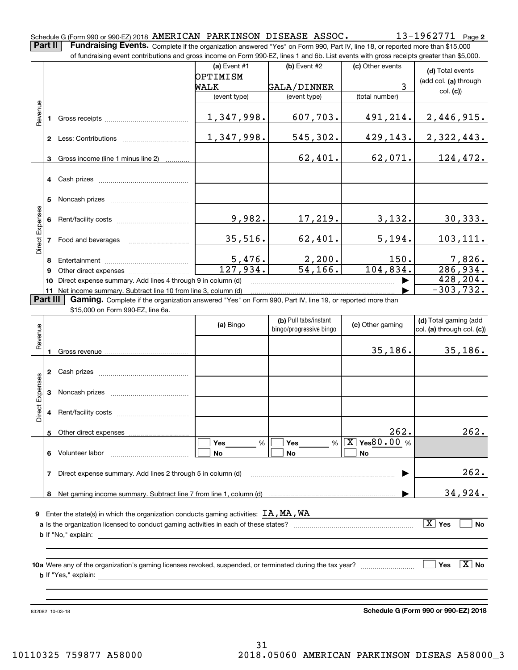**2** Schedule G (Form 990 or 990-EZ) 2018  $\,$   $\rm AMERICAN$   $\,$   $\rm PARKINSON$   $\,$   $\rm DISEASE$   $\,$   $\rm ASSOC$   $\,$   $\,$   $\,$   $\,$   $\,$   $\rm 13$  –  $\rm 1962771$   $\,$   $\rm Page$ **Part II** | Fundraising Events. Complete if the organization answered "Yes" on Form 990, Part IV, line 18, or reported more than \$15,000

|                 |          | of fundraising event contributions and gross income on Form 990-EZ, lines 1 and 6b. List events with gross receipts greater than \$5,000. |                           |                          |                   |                              |
|-----------------|----------|-------------------------------------------------------------------------------------------------------------------------------------------|---------------------------|--------------------------|-------------------|------------------------------|
|                 |          |                                                                                                                                           | (a) Event #1              | (b) Event #2             | (c) Other events  | (d) Total events             |
|                 |          |                                                                                                                                           | OPTIMISM                  |                          |                   | (add col. (a) through        |
|                 |          |                                                                                                                                           | WALK                      | GALA/DINNER              | 3                 | col. (c)                     |
|                 |          |                                                                                                                                           | (event type)              | (event type)             | (total number)    |                              |
| Revenue         |          |                                                                                                                                           |                           |                          |                   |                              |
|                 |          |                                                                                                                                           | 1,347,998.                | 607,703.                 | 491,214.          | 2,446,915.                   |
|                 |          |                                                                                                                                           |                           |                          |                   |                              |
|                 |          | 2 Less: Contributions                                                                                                                     | 1,347,998.                | 545,302.                 | 429, 143.         | 2,322,443.                   |
|                 |          |                                                                                                                                           |                           |                          |                   |                              |
|                 |          | 3 Gross income (line 1 minus line 2)                                                                                                      |                           | 62,401.                  | 62,071.           | 124,472.                     |
|                 |          |                                                                                                                                           |                           |                          |                   |                              |
|                 |          |                                                                                                                                           |                           |                          |                   |                              |
|                 |          |                                                                                                                                           |                           |                          |                   |                              |
|                 |          |                                                                                                                                           |                           |                          |                   |                              |
|                 |          |                                                                                                                                           |                           |                          |                   |                              |
|                 |          |                                                                                                                                           | 9,982.                    | 17,219.                  | 3,132.            | 30, 333.                     |
| Direct Expenses |          |                                                                                                                                           |                           |                          |                   |                              |
|                 |          | 7 Food and beverages                                                                                                                      | 35,516.                   | 62,401.                  | 5,194.            | 103, 111.                    |
|                 |          |                                                                                                                                           |                           |                          |                   |                              |
|                 | 8        |                                                                                                                                           |                           |                          | 150.              |                              |
|                 | 9        |                                                                                                                                           | $\frac{5,476.}{127,934.}$ | $\frac{2,200}{54,166}$ . | 104,834.          | $\frac{7,826}{286,934.}$     |
|                 | 10       | Direct expense summary. Add lines 4 through 9 in column (d)                                                                               |                           |                          |                   | 428, 204.                    |
|                 |          | 11 Net income summary. Subtract line 10 from line 3, column (d)                                                                           |                           |                          |                   | $-303,732.$                  |
|                 | Part III | Gaming. Complete if the organization answered "Yes" on Form 990, Part IV, line 19, or reported more than                                  |                           |                          |                   |                              |
|                 |          | \$15,000 on Form 990-EZ, line 6a.                                                                                                         |                           |                          |                   |                              |
|                 |          |                                                                                                                                           | (a) Bingo                 | (b) Pull tabs/instant    | (c) Other gaming  | (d) Total gaming (add        |
|                 |          |                                                                                                                                           |                           | bingo/progressive bingo  |                   | col. (a) through col. (c))   |
| Revenue         |          |                                                                                                                                           |                           |                          |                   |                              |
|                 |          |                                                                                                                                           |                           |                          | 35,186.           | 35,186.                      |
|                 |          |                                                                                                                                           |                           |                          |                   |                              |
|                 |          |                                                                                                                                           |                           |                          |                   |                              |
| Expenses        |          |                                                                                                                                           |                           |                          |                   |                              |
|                 |          |                                                                                                                                           |                           |                          |                   |                              |
|                 |          |                                                                                                                                           |                           |                          |                   |                              |
| Direct          |          |                                                                                                                                           |                           |                          |                   |                              |
|                 |          |                                                                                                                                           |                           |                          |                   |                              |
|                 |          | 5 Other direct expenses                                                                                                                   |                           |                          | 262               | 262.                         |
|                 |          |                                                                                                                                           | %<br>Yes                  | Yes                      | % $X$ Yes 80.00 % |                              |
|                 |          | 6 Volunteer labor                                                                                                                         | No                        | No                       | No                |                              |
|                 |          |                                                                                                                                           |                           |                          |                   |                              |
|                 | 7        | Direct expense summary. Add lines 2 through 5 in column (d)                                                                               |                           |                          |                   | 262.                         |
|                 |          |                                                                                                                                           |                           |                          |                   |                              |
|                 |          |                                                                                                                                           |                           |                          |                   | 34,924.                      |
|                 |          |                                                                                                                                           |                           |                          |                   |                              |
|                 |          | <b>9</b> Enter the state(s) in which the organization conducts gaming activities: $TA$ , $MA$ , $WA$                                      |                           |                          |                   |                              |
|                 |          |                                                                                                                                           |                           |                          |                   | $\boxed{\text{X}}$ Yes<br>No |
|                 |          |                                                                                                                                           |                           |                          |                   |                              |
|                 |          |                                                                                                                                           |                           |                          |                   |                              |
|                 |          |                                                                                                                                           |                           |                          |                   |                              |
|                 |          |                                                                                                                                           |                           |                          |                   | $\boxed{\text{X}}$ No<br>Yes |
|                 |          |                                                                                                                                           |                           |                          |                   |                              |
|                 |          |                                                                                                                                           |                           |                          |                   |                              |
|                 |          |                                                                                                                                           |                           |                          |                   |                              |
|                 |          |                                                                                                                                           |                           |                          |                   |                              |

832082 10-03-18

**Schedule G (Form 990 or 990-EZ) 2018**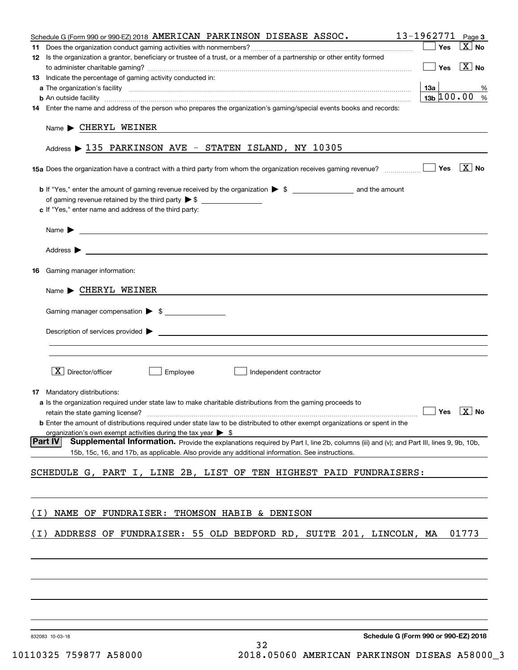| Schedule G (Form 990 or 990-EZ) 2018 AMERICAN PARKINSON DISEASE ASSOC.                                                                                                                                                                   | 13-1962771<br>Page 3          |
|------------------------------------------------------------------------------------------------------------------------------------------------------------------------------------------------------------------------------------------|-------------------------------|
|                                                                                                                                                                                                                                          | $\overline{X}$ No<br>Yes      |
| 12 Is the organization a grantor, beneficiary or trustee of a trust, or a member of a partnership or other entity formed                                                                                                                 | $\boxed{\text{X}}$ No<br>Yes  |
| 13 Indicate the percentage of gaming activity conducted in:                                                                                                                                                                              |                               |
|                                                                                                                                                                                                                                          | 13а<br>%                      |
| <b>b</b> An outside facility <i>www.communicality www.communicality.communicality www.communicality www.communicality.communicality www.communicality.com</i>                                                                            | $13b \, 100.00$ %             |
| 14 Enter the name and address of the person who prepares the organization's gaming/special events books and records:                                                                                                                     |                               |
| $Name \triangleright$ CHERYL WEINER                                                                                                                                                                                                      |                               |
| Address > 135 PARKINSON AVE - STATEN ISLAND, NY 10305                                                                                                                                                                                    |                               |
| 15a Does the organization have a contract with a third party from whom the organization receives gaming revenue?                                                                                                                         | $\boxed{\text{X}}$ No<br>Yes  |
| c If "Yes," enter name and address of the third party:                                                                                                                                                                                   |                               |
| <u> 1980 - Johann Barbara, martin amerikan personal (</u><br>Name $\blacktriangleright$                                                                                                                                                  |                               |
| Address $\blacktriangleright$<br><u> 1989 - Johann Barbara, marka a shekara ta 1989 - An tsaran tsara a shekara tsara tsara tsara tsara tsara tsa</u>                                                                                    |                               |
| Gaming manager information:<br>16                                                                                                                                                                                                        |                               |
| $Name \triangleright$ CHERYL WEINER                                                                                                                                                                                                      |                               |
|                                                                                                                                                                                                                                          |                               |
| Gaming manager compensation > \$                                                                                                                                                                                                         |                               |
| $\blacksquare$ Description of services provided $\blacktriangleright$                                                                                                                                                                    |                               |
|                                                                                                                                                                                                                                          |                               |
| $\boxed{\text{X}}$ Director/officer<br>Employee<br>Independent contractor                                                                                                                                                                |                               |
| <b>17</b> Mandatory distributions:                                                                                                                                                                                                       |                               |
| a Is the organization required under state law to make charitable distributions from the gaming proceeds to                                                                                                                              |                               |
|                                                                                                                                                                                                                                          | $\sqrt{Y}$ Yes $\boxed{X}$ No |
| <b>b</b> Enter the amount of distributions required under state law to be distributed to other exempt organizations or spent in the                                                                                                      |                               |
| organization's own exempt activities during the tax year $\triangleright$ \$<br><b>Part IV</b><br>Supplemental Information. Provide the explanations required by Part I, line 2b, columns (iii) and (v); and Part III, lines 9, 9b, 10b, |                               |
| 15b, 15c, 16, and 17b, as applicable. Also provide any additional information. See instructions.                                                                                                                                         |                               |
| SCHEDULE G, PART I, LINE 2B, LIST OF TEN HIGHEST PAID FUNDRAISERS:                                                                                                                                                                       |                               |
|                                                                                                                                                                                                                                          |                               |
| NAME OF FUNDRAISER: THOMSON HABIB & DENISON<br>( I )                                                                                                                                                                                     |                               |
| ADDRESS OF FUNDRAISER: 55 OLD BEDFORD RD, SUITE 201, LINCOLN, MA<br>( I )                                                                                                                                                                | 01773                         |
|                                                                                                                                                                                                                                          |                               |
|                                                                                                                                                                                                                                          |                               |
|                                                                                                                                                                                                                                          |                               |
|                                                                                                                                                                                                                                          |                               |
|                                                                                                                                                                                                                                          |                               |

832083 10-03-18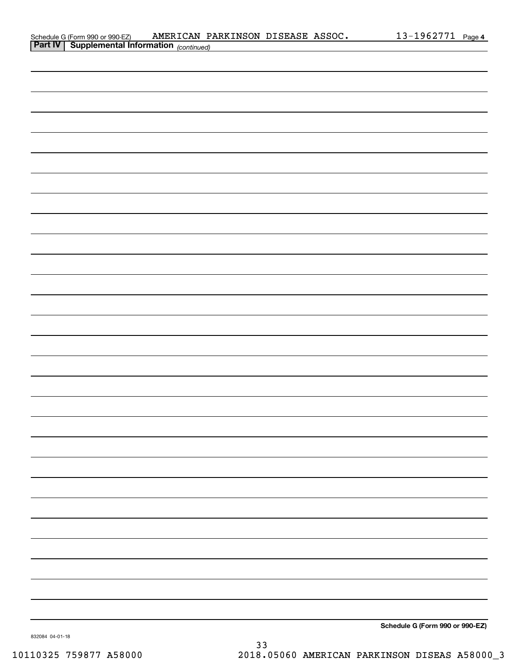| Schedule G (Form 990 or 990-EZ)         | AMERICAN PARKINSON DISEASE ASSOC. |  | 1962771- | Page 4 |
|-----------------------------------------|-----------------------------------|--|----------|--------|
| <b>Part IV Supplemental Information</b> |                                   |  |          |        |

| <b>Part IV   Supplemental Information</b> (continued) |                                 |
|-------------------------------------------------------|---------------------------------|
|                                                       |                                 |
|                                                       |                                 |
|                                                       |                                 |
|                                                       |                                 |
|                                                       |                                 |
|                                                       |                                 |
|                                                       |                                 |
|                                                       |                                 |
|                                                       |                                 |
|                                                       |                                 |
|                                                       |                                 |
|                                                       |                                 |
|                                                       |                                 |
|                                                       |                                 |
|                                                       |                                 |
|                                                       |                                 |
|                                                       |                                 |
|                                                       |                                 |
|                                                       |                                 |
|                                                       |                                 |
|                                                       |                                 |
|                                                       |                                 |
|                                                       |                                 |
|                                                       |                                 |
|                                                       |                                 |
|                                                       |                                 |
|                                                       |                                 |
|                                                       |                                 |
|                                                       |                                 |
|                                                       | Cahadula O (Faum 000 av 000 EZ) |

**Schedule G (Form 990 or 990-EZ)**

832084 04-01-18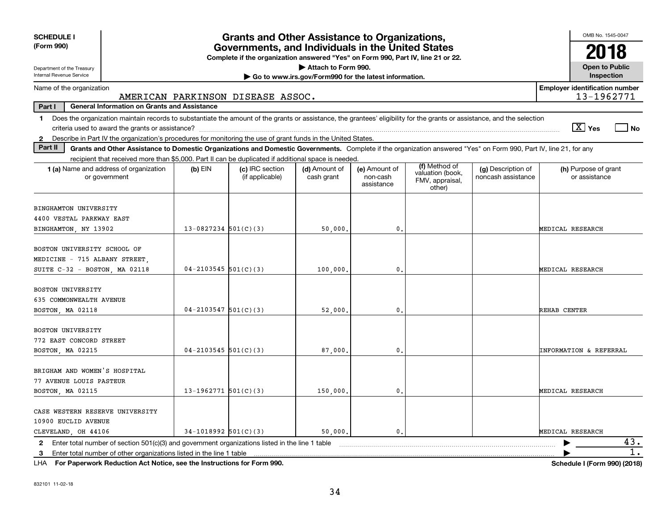| <b>SCHEDULE I</b>                                                                                                                                                                                                                                                                                                                 |                                                                                                                                                                    | <b>Grants and Other Assistance to Organizations,</b> |                             |                                         |                                                                |                                          | OMB No. 1545-0047                     |  |  |  |
|-----------------------------------------------------------------------------------------------------------------------------------------------------------------------------------------------------------------------------------------------------------------------------------------------------------------------------------|--------------------------------------------------------------------------------------------------------------------------------------------------------------------|------------------------------------------------------|-----------------------------|-----------------------------------------|----------------------------------------------------------------|------------------------------------------|---------------------------------------|--|--|--|
| (Form 990)                                                                                                                                                                                                                                                                                                                        | Governments, and Individuals in the United States<br>Complete if the organization answered "Yes" on Form 990, Part IV, line 21 or 22.                              |                                                      |                             |                                         |                                                                |                                          |                                       |  |  |  |
| Attach to Form 990.<br>Department of the Treasury                                                                                                                                                                                                                                                                                 |                                                                                                                                                                    |                                                      |                             |                                         |                                                                |                                          |                                       |  |  |  |
| Internal Revenue Service<br>Inspection<br>Go to www.irs.gov/Form990 for the latest information.                                                                                                                                                                                                                                   |                                                                                                                                                                    |                                                      |                             |                                         |                                                                |                                          |                                       |  |  |  |
| <b>Employer identification number</b><br>Name of the organization<br>13-1962771<br>AMERICAN PARKINSON DISEASE ASSOC.                                                                                                                                                                                                              |                                                                                                                                                                    |                                                      |                             |                                         |                                                                |                                          |                                       |  |  |  |
| <b>General Information on Grants and Assistance</b><br>Part I                                                                                                                                                                                                                                                                     |                                                                                                                                                                    |                                                      |                             |                                         |                                                                |                                          |                                       |  |  |  |
| Does the organization maintain records to substantiate the amount of the grants or assistance, the grantees' eligibility for the grants or assistance, and the selection<br>1.<br>$\boxed{\text{X}}$ Yes<br>l No<br>Describe in Part IV the organization's procedures for monitoring the use of grant funds in the United States. |                                                                                                                                                                    |                                                      |                             |                                         |                                                                |                                          |                                       |  |  |  |
| $\mathbf{2}$<br>Part II                                                                                                                                                                                                                                                                                                           | Grants and Other Assistance to Domestic Organizations and Domestic Governments. Complete if the organization answered "Yes" on Form 990, Part IV, line 21, for any |                                                      |                             |                                         |                                                                |                                          |                                       |  |  |  |
|                                                                                                                                                                                                                                                                                                                                   | recipient that received more than \$5,000. Part II can be duplicated if additional space is needed.                                                                |                                                      |                             |                                         |                                                                |                                          |                                       |  |  |  |
| 1 (a) Name and address of organization<br>or government                                                                                                                                                                                                                                                                           | $(b)$ EIN                                                                                                                                                          | (c) IRC section<br>(if applicable)                   | (d) Amount of<br>cash grant | (e) Amount of<br>non-cash<br>assistance | (f) Method of<br>valuation (book,<br>FMV, appraisal,<br>other) | (g) Description of<br>noncash assistance | (h) Purpose of grant<br>or assistance |  |  |  |
| BINGHAMTON UNIVERSITY                                                                                                                                                                                                                                                                                                             |                                                                                                                                                                    |                                                      |                             |                                         |                                                                |                                          |                                       |  |  |  |
| 4400 VESTAL PARKWAY EAST<br>BINGHAMTON, NY 13902                                                                                                                                                                                                                                                                                  | $13 - 0827234$ 501(C)(3)                                                                                                                                           |                                                      |                             | $\mathbf 0$ .                           |                                                                |                                          | MEDICAL RESEARCH                      |  |  |  |
|                                                                                                                                                                                                                                                                                                                                   |                                                                                                                                                                    |                                                      | 50,000.                     |                                         |                                                                |                                          |                                       |  |  |  |
| BOSTON UNIVERSITY SCHOOL OF<br>MEDICINE - 715 ALBANY STREET,                                                                                                                                                                                                                                                                      |                                                                                                                                                                    |                                                      |                             |                                         |                                                                |                                          |                                       |  |  |  |
| SUITE C-32 - BOSTON, MA 02118                                                                                                                                                                                                                                                                                                     | $04-2103545$ 501(C)(3)                                                                                                                                             |                                                      | 100,000                     | $\mathbf 0$ .                           |                                                                |                                          | MEDICAL RESEARCH                      |  |  |  |
| <b>BOSTON UNIVERSITY</b><br>635 COMMONWEALTH AVENUE<br>BOSTON, MA 02118                                                                                                                                                                                                                                                           | $04 - 2103547$ 501(C)(3)                                                                                                                                           |                                                      | 52,000                      | $\mathbf{0}$                            |                                                                |                                          | REHAB CENTER                          |  |  |  |
| <b>BOSTON UNIVERSITY</b><br>772 EAST CONCORD STREET<br>BOSTON, MA 02215                                                                                                                                                                                                                                                           | $04 - 2103545$ 501(C)(3)                                                                                                                                           |                                                      | 87,000                      | $\mathbf{0}$ .                          |                                                                |                                          | INFORMATION & REFERRAL                |  |  |  |
| BRIGHAM AND WOMEN'S HOSPITAL<br>77 AVENUE LOUIS PASTEUR<br>BOSTON, MA 02115                                                                                                                                                                                                                                                       | $13-1962771$ 501(C)(3)                                                                                                                                             |                                                      | 150,000                     | $\mathbf{0}$                            |                                                                |                                          | MEDICAL RESEARCH                      |  |  |  |
| CASE WESTERN RESERVE UNIVERSITY<br>10900 EUCLID AVENUE<br>CLEVELAND, OH 44106                                                                                                                                                                                                                                                     | $34-1018992$ $501(C)(3)$                                                                                                                                           |                                                      | 50,000                      | $\mathfrak{o}$ .                        |                                                                |                                          | MEDICAL RESEARCH                      |  |  |  |
| $\mathbf{2}$                                                                                                                                                                                                                                                                                                                      | Enter total number of section 501(c)(3) and government organizations listed in the line 1 table                                                                    |                                                      |                             |                                         |                                                                |                                          | 43.                                   |  |  |  |
| 1.<br>3                                                                                                                                                                                                                                                                                                                           |                                                                                                                                                                    |                                                      |                             |                                         |                                                                |                                          |                                       |  |  |  |

**For Paperwork Reduction Act Notice, see the Instructions for Form 990. Schedule I (Form 990) (2018)** LHA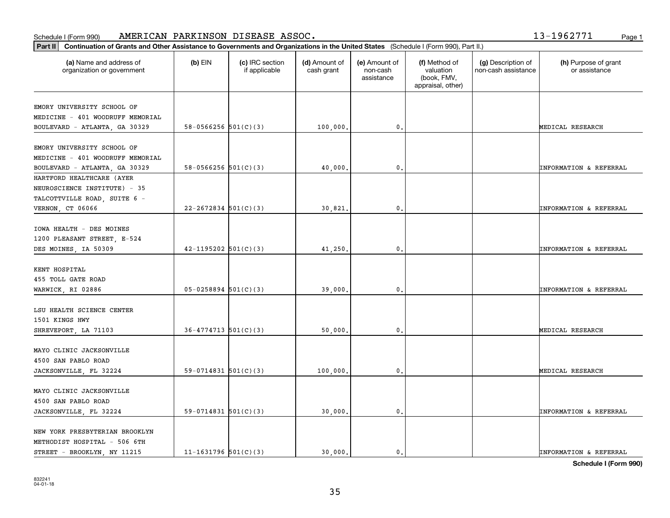| Part II<br>Continuation of Grants and Other Assistance to Governments and Organizations in the United States (Schedule I (Form 990), Part II.) |                            |                                  |                             |                                         |                                                                |                                           |                                       |  |
|------------------------------------------------------------------------------------------------------------------------------------------------|----------------------------|----------------------------------|-----------------------------|-----------------------------------------|----------------------------------------------------------------|-------------------------------------------|---------------------------------------|--|
| (a) Name and address of<br>organization or government                                                                                          | $(b)$ EIN                  | (c) IRC section<br>if applicable | (d) Amount of<br>cash grant | (e) Amount of<br>non-cash<br>assistance | (f) Method of<br>valuation<br>(book, FMV,<br>appraisal, other) | (g) Description of<br>non-cash assistance | (h) Purpose of grant<br>or assistance |  |
|                                                                                                                                                |                            |                                  |                             |                                         |                                                                |                                           |                                       |  |
| EMORY UNIVERSITY SCHOOL OF                                                                                                                     |                            |                                  |                             |                                         |                                                                |                                           |                                       |  |
| MEDICINE - 401 WOODRUFF MEMORIAL<br>BOULEVARD - ATLANTA, GA 30329                                                                              | 58-0566256 $501(C)(3)$     |                                  | 100,000.                    | 0.                                      |                                                                |                                           | MEDICAL RESEARCH                      |  |
|                                                                                                                                                |                            |                                  |                             |                                         |                                                                |                                           |                                       |  |
| EMORY UNIVERSITY SCHOOL OF                                                                                                                     |                            |                                  |                             |                                         |                                                                |                                           |                                       |  |
| MEDICINE - 401 WOODRUFF MEMORIAL                                                                                                               |                            |                                  |                             |                                         |                                                                |                                           |                                       |  |
| BOULEVARD - ATLANTA, GA 30329                                                                                                                  | 58-0566256 $501(C)(3)$     |                                  | 40,000.                     | $\mathbf{0}$ .                          |                                                                |                                           | INFORMATION & REFERRAL                |  |
| HARTFORD HEALTHCARE (AYER                                                                                                                      |                            |                                  |                             |                                         |                                                                |                                           |                                       |  |
| NEUROSCIENCE INSTITUTE) - 35                                                                                                                   |                            |                                  |                             |                                         |                                                                |                                           |                                       |  |
| TALCOTTVILLE ROAD, SUITE 6 -                                                                                                                   |                            |                                  |                             |                                         |                                                                |                                           |                                       |  |
| VERNON, CT 06066                                                                                                                               | $22 - 2672834$ 501(C)(3)   |                                  | 30,821                      | 0                                       |                                                                |                                           | INFORMATION & REFERRAL                |  |
|                                                                                                                                                |                            |                                  |                             |                                         |                                                                |                                           |                                       |  |
| IOWA HEALTH - DES MOINES                                                                                                                       |                            |                                  |                             |                                         |                                                                |                                           |                                       |  |
| 1200 PLEASANT STREET, E-524                                                                                                                    |                            |                                  |                             |                                         |                                                                |                                           |                                       |  |
| DES MOINES, IA 50309                                                                                                                           | $42 - 1195202$ $501(C)(3)$ |                                  | 41,250.                     | 0.                                      |                                                                |                                           | INFORMATION & REFERRAL                |  |
|                                                                                                                                                |                            |                                  |                             |                                         |                                                                |                                           |                                       |  |
| KENT HOSPITAL                                                                                                                                  |                            |                                  |                             |                                         |                                                                |                                           |                                       |  |
| 455 TOLL GATE ROAD                                                                                                                             |                            |                                  |                             |                                         |                                                                |                                           |                                       |  |
| WARWICK, RI 02886                                                                                                                              | $05 - 0258894$ 501(C)(3)   |                                  | 39,000.                     | 0.                                      |                                                                |                                           | <b>INFORMATION &amp; REFERRAL</b>     |  |
| LSU HEALTH SCIENCE CENTER                                                                                                                      |                            |                                  |                             |                                         |                                                                |                                           |                                       |  |
| 1501 KINGS HWY                                                                                                                                 |                            |                                  |                             |                                         |                                                                |                                           |                                       |  |
| SHREVEPORT, LA 71103                                                                                                                           | $36 - 4774713$ $501(C)(3)$ |                                  | 50,000.                     | 0.                                      |                                                                |                                           | MEDICAL RESEARCH                      |  |
|                                                                                                                                                |                            |                                  |                             |                                         |                                                                |                                           |                                       |  |
| MAYO CLINIC JACKSONVILLE                                                                                                                       |                            |                                  |                             |                                         |                                                                |                                           |                                       |  |
| 4500 SAN PABLO ROAD                                                                                                                            |                            |                                  |                             |                                         |                                                                |                                           |                                       |  |
| JACKSONVILLE, FL 32224                                                                                                                         | 59-0714831 $501(C)(3)$     |                                  | 100,000.                    | 0.                                      |                                                                |                                           | MEDICAL RESEARCH                      |  |
|                                                                                                                                                |                            |                                  |                             |                                         |                                                                |                                           |                                       |  |
| MAYO CLINIC JACKSONVILLE                                                                                                                       |                            |                                  |                             |                                         |                                                                |                                           |                                       |  |
| 4500 SAN PABLO ROAD                                                                                                                            |                            |                                  |                             |                                         |                                                                |                                           |                                       |  |
| JACKSONVILLE, FL 32224                                                                                                                         | $59-0714831$ $501(C)(3)$   |                                  | 30,000.                     | 0.                                      |                                                                |                                           | INFORMATION & REFERRAL                |  |
|                                                                                                                                                |                            |                                  |                             |                                         |                                                                |                                           |                                       |  |
| NEW YORK PRESBYTERIAN BROOKLYN                                                                                                                 |                            |                                  |                             |                                         |                                                                |                                           |                                       |  |
| METHODIST HOSPITAL - 506 6TH                                                                                                                   |                            |                                  |                             |                                         |                                                                |                                           |                                       |  |
| STREET - BROOKLYN, NY 11215                                                                                                                    | $11 - 1631796$ 501(C)(3)   |                                  | 30.000.                     | 0.                                      |                                                                |                                           | <b>INFORMATION &amp; REFERRAL</b>     |  |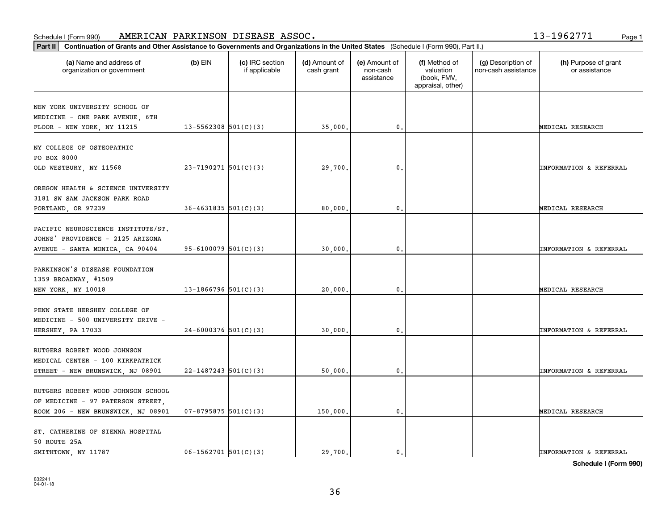**Part II Continuation of Grants and Other Assistance to Governments and Organizations in the United States**  (Schedule I (Form 990), Part II.)

| (a) Name and address of<br>organization or government                                                         | $(b)$ EIN                  | (c) IRC section<br>if applicable | (d) Amount of<br>cash grant | (e) Amount of<br>non-cash<br>assistance | (f) Method of<br>valuation<br>(book, FMV,<br>appraisal, other) | (g) Description of<br>non-cash assistance | (h) Purpose of grant<br>or assistance |
|---------------------------------------------------------------------------------------------------------------|----------------------------|----------------------------------|-----------------------------|-----------------------------------------|----------------------------------------------------------------|-------------------------------------------|---------------------------------------|
| NEW YORK UNIVERSITY SCHOOL OF<br>MEDICINE - ONE PARK AVENUE, 6TH                                              |                            |                                  |                             |                                         |                                                                |                                           |                                       |
| FLOOR - NEW YORK, NY 11215                                                                                    | $13 - 5562308$ $501(C)(3)$ |                                  | 35,000.                     | $\mathbf{0}$ .                          |                                                                |                                           | MEDICAL RESEARCH                      |
| NY COLLEGE OF OSTEOPATHIC<br>PO BOX 8000<br>OLD WESTBURY, NY 11568                                            | $23 - 7190271$ 501(C)(3)   |                                  | 29,700.                     | 0.                                      |                                                                |                                           | <b>INFORMATION &amp; REFERRAL</b>     |
| OREGON HEALTH & SCIENCE UNIVERSITY<br>3181 SW SAM JACKSON PARK ROAD<br>PORTLAND, OR 97239                     | $36 - 4631835$ $501(C)(3)$ |                                  | 80,000                      | 0.                                      |                                                                |                                           | MEDICAL RESEARCH                      |
| PACIFIC NEUROSCIENCE INSTITUTE/ST.<br>JOHNS' PROVIDENCE - 2125 ARIZONA<br>AVENUE - SANTA MONICA, CA 90404     | 95-6100079 $501(C)(3)$     |                                  | 30,000.                     | $\mathbf 0$ .                           |                                                                |                                           | INFORMATION & REFERRAL                |
| PARKINSON'S DISEASE FOUNDATION<br>1359 BROADWAY, #1509<br>NEW YORK, NY 10018                                  | $13-1866796$ 501(C)(3)     |                                  | 20,000,                     | 0.                                      |                                                                |                                           | MEDICAL RESEARCH                      |
| PENN STATE HERSHEY COLLEGE OF<br>MEDICINE - 500 UNIVERSITY DRIVE -<br>HERSHEY, PA 17033                       | $24-6000376$ 501(C)(3)     |                                  | 30,000                      | 0.                                      |                                                                |                                           | <b>INFORMATION &amp; REFERRAL</b>     |
| RUTGERS ROBERT WOOD JOHNSON<br>MEDICAL CENTER - 100 KIRKPATRICK<br>STREET - NEW BRUNSWICK, NJ 08901           | $22 - 1487243$ 501(C)(3)   |                                  | 50,000.                     | $\mathfrak o$ .                         |                                                                |                                           | <b>INFORMATION &amp; REFERRAL</b>     |
| RUTGERS ROBERT WOOD JOHNSON SCHOOL<br>OF MEDICINE - 97 PATERSON STREET,<br>ROOM 206 - NEW BRUNSWICK, NJ 08901 | $07 - 8795875$ 501(C)(3)   |                                  | 150,000.                    | 0.                                      |                                                                |                                           | MEDICAL RESEARCH                      |
| ST. CATHERINE OF SIENNA HOSPITAL<br>50 ROUTE 25A<br>SMITHTOWN, NY 11787                                       | $06-1562701$ $501(C)(3)$   |                                  | 29,700.                     | 0.                                      |                                                                |                                           | <b>INFORMATION &amp; REFERRAL</b>     |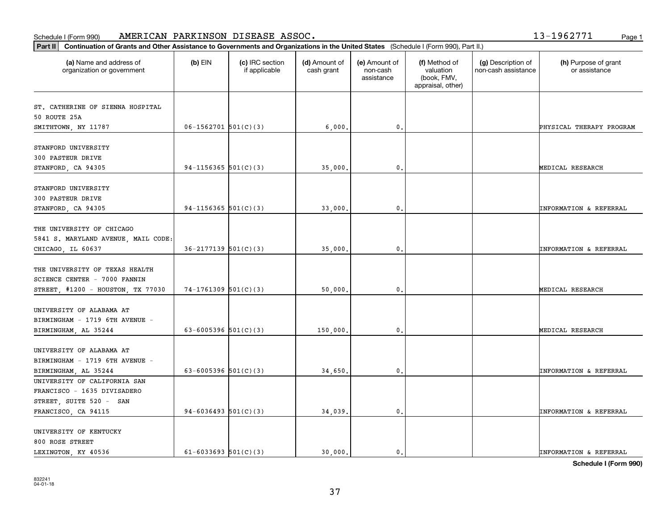|  | $3 - 1962771$ | Page: |
|--|---------------|-------|
|  |               |       |

| Continuation of Grants and Other Assistance to Governments and Organizations in the United States (Schedule I (Form 990), Part II.)<br>Part II |                            |                                  |                             |                                         |                                                                |                                           |                                       |
|------------------------------------------------------------------------------------------------------------------------------------------------|----------------------------|----------------------------------|-----------------------------|-----------------------------------------|----------------------------------------------------------------|-------------------------------------------|---------------------------------------|
| (a) Name and address of<br>organization or government                                                                                          | $(b)$ EIN                  | (c) IRC section<br>if applicable | (d) Amount of<br>cash grant | (e) Amount of<br>non-cash<br>assistance | (f) Method of<br>valuation<br>(book, FMV,<br>appraisal, other) | (g) Description of<br>non-cash assistance | (h) Purpose of grant<br>or assistance |
| ST. CATHERINE OF SIENNA HOSPITAL<br>50 ROUTE 25A<br>SMITHTOWN, NY 11787                                                                        | $06-1562701$ $501(C)(3)$   |                                  | 6,000.                      | 0.                                      |                                                                |                                           | PHYSICAL THERAPY PROGRAM              |
| STANFORD UNIVERSITY<br>300 PASTEUR DRIVE<br>STANFORD, CA 94305                                                                                 | $94-1156365$ 501(C)(3)     |                                  | 35,000.                     | $^{\circ}$ .                            |                                                                |                                           | MEDICAL RESEARCH                      |
| STANFORD UNIVERSITY<br>300 PASTEUR DRIVE<br>STANFORD, CA 94305                                                                                 | 94-1156365 $501(C)(3)$     |                                  | 33,000                      | $\mathbf{0}$                            |                                                                |                                           | INFORMATION & REFERRAL                |
| THE UNIVERSITY OF CHICAGO<br>5841 S. MARYLAND AVENUE, MAIL CODE:<br>CHICAGO, IL 60637                                                          | $36 - 2177139$ $501(C)(3)$ |                                  | 35,000.                     | 0.                                      |                                                                |                                           | INFORMATION & REFERRAL                |
| THE UNIVERSITY OF TEXAS HEALTH<br>SCIENCE CENTER - 7000 FANNIN<br>STREET, #1200 - HOUSTON, TX 77030                                            | $74-1761309$ 501(C)(3)     |                                  | 50,000                      | $\mathfrak o$ .                         |                                                                |                                           | MEDICAL RESEARCH                      |
| UNIVERSITY OF ALABAMA AT<br>BIRMINGHAM - 1719 6TH AVENUE -<br>BIRMINGHAM, AL 35244                                                             | 63-6005396 $501(C)(3)$     |                                  | 150,000                     | $\mathbf{0}$                            |                                                                |                                           | MEDICAL RESEARCH                      |
| UNIVERSITY OF ALABAMA AT<br>BIRMINGHAM - 1719 6TH AVENUE -<br>BIRMINGHAM, AL 35244                                                             | 63-6005396 $501(C)(3)$     |                                  | 34,650.                     | 0.                                      |                                                                |                                           | INFORMATION & REFERRAL                |
| UNIVERSITY OF CALIFORNIA SAN<br>FRANCISCO - 1635 DIVISADERO<br>STREET, SUITE 520 - SAN<br>FRANCISCO, CA 94115                                  | 94-6036493 $501(C)(3)$     |                                  | 34,039.                     | $^{\circ}$ .                            |                                                                |                                           | INFORMATION & REFERRAL                |
| UNIVERSITY OF KENTUCKY<br>800 ROSE STREET<br>LEXINGTON, KY 40536                                                                               | $61-6033693$ $501(C)(3)$   |                                  | 30.000.                     | $\mathfrak{o}$ .                        |                                                                |                                           | <b>INFORMATION &amp; REFERRAL</b>     |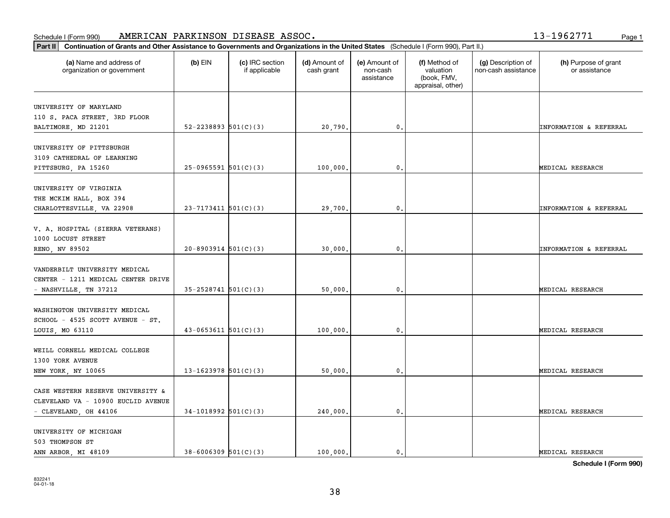| Part II   Continuation of Grants and Other Assistance to Governments and Organizations in the United States (Schedule I (Form 990), Part II.) |                            |                                  |                             |                                         |                                                                |                                           |                                       |
|-----------------------------------------------------------------------------------------------------------------------------------------------|----------------------------|----------------------------------|-----------------------------|-----------------------------------------|----------------------------------------------------------------|-------------------------------------------|---------------------------------------|
| (a) Name and address of<br>organization or government                                                                                         | $(b)$ EIN                  | (c) IRC section<br>if applicable | (d) Amount of<br>cash grant | (e) Amount of<br>non-cash<br>assistance | (f) Method of<br>valuation<br>(book, FMV,<br>appraisal, other) | (g) Description of<br>non-cash assistance | (h) Purpose of grant<br>or assistance |
|                                                                                                                                               |                            |                                  |                             |                                         |                                                                |                                           |                                       |
| UNIVERSITY OF MARYLAND<br>110 S. PACA STREET, 3RD FLOOR                                                                                       |                            |                                  |                             |                                         |                                                                |                                           |                                       |
| BALTIMORE, MD 21201                                                                                                                           | 52-2238893 $501(C)(3)$     |                                  | 20,790.                     | $\mathbf{0}$ .                          |                                                                |                                           | <b>INFORMATION &amp; REFERRAL</b>     |
|                                                                                                                                               |                            |                                  |                             |                                         |                                                                |                                           |                                       |
| UNIVERSITY OF PITTSBURGH                                                                                                                      |                            |                                  |                             |                                         |                                                                |                                           |                                       |
| 3109 CATHEDRAL OF LEARNING                                                                                                                    |                            |                                  |                             |                                         |                                                                |                                           |                                       |
| PITTSBURG, PA 15260                                                                                                                           | $25-0965591$ $501(C)(3)$   |                                  | 100,000                     | $^{\circ}$ .                            |                                                                |                                           | MEDICAL RESEARCH                      |
|                                                                                                                                               |                            |                                  |                             |                                         |                                                                |                                           |                                       |
| UNIVERSITY OF VIRGINIA                                                                                                                        |                            |                                  |                             |                                         |                                                                |                                           |                                       |
| THE MCKIM HALL, BOX 394                                                                                                                       |                            |                                  |                             |                                         |                                                                |                                           |                                       |
| CHARLOTTESVILLE, VA 22908                                                                                                                     | $23 - 7173411$ 501(C)(3)   |                                  | 29,700.                     | $\mathfrak o$ .                         |                                                                |                                           | <b>INFORMATION &amp; REFERRAL</b>     |
|                                                                                                                                               |                            |                                  |                             |                                         |                                                                |                                           |                                       |
| V. A. HOSPITAL (SIERRA VETERANS)                                                                                                              |                            |                                  |                             |                                         |                                                                |                                           |                                       |
| 1000 LOCUST STREET                                                                                                                            |                            |                                  |                             |                                         |                                                                |                                           |                                       |
| RENO, NV 89502                                                                                                                                | $20 - 8903914$ 501(C)(3)   |                                  | 30,000                      | $\mathfrak{o}$ .                        |                                                                |                                           | <b>INFORMATION &amp; REFERRAL</b>     |
| VANDERBILT UNIVERSITY MEDICAL                                                                                                                 |                            |                                  |                             |                                         |                                                                |                                           |                                       |
| CENTER - 1211 MEDICAL CENTER DRIVE                                                                                                            |                            |                                  |                             |                                         |                                                                |                                           |                                       |
| - NASHVILLE, TN 37212                                                                                                                         | $35 - 2528741$ $501(C)(3)$ |                                  | 50,000                      | 0.                                      |                                                                |                                           | MEDICAL RESEARCH                      |
|                                                                                                                                               |                            |                                  |                             |                                         |                                                                |                                           |                                       |
| WASHINGTON UNIVERSITY MEDICAL                                                                                                                 |                            |                                  |                             |                                         |                                                                |                                           |                                       |
| SCHOOL - 4525 SCOTT AVENUE - ST.                                                                                                              |                            |                                  |                             |                                         |                                                                |                                           |                                       |
| LOUIS, MO 63110                                                                                                                               | $43 - 0653611$ $501(C)(3)$ |                                  | 100,000                     | $\mathfrak{o}$ .                        |                                                                |                                           | MEDICAL RESEARCH                      |
|                                                                                                                                               |                            |                                  |                             |                                         |                                                                |                                           |                                       |
| WEILL CORNELL MEDICAL COLLEGE                                                                                                                 |                            |                                  |                             |                                         |                                                                |                                           |                                       |
| 1300 YORK AVENUE                                                                                                                              |                            |                                  |                             |                                         |                                                                |                                           |                                       |
| NEW YORK, NY 10065                                                                                                                            | 13-1623978 $501(C)(3)$     |                                  | 50,000                      | $\mathfrak o$ .                         |                                                                |                                           | MEDICAL RESEARCH                      |
|                                                                                                                                               |                            |                                  |                             |                                         |                                                                |                                           |                                       |
| CASE WESTERN RESERVE UNIVERSITY &                                                                                                             |                            |                                  |                             |                                         |                                                                |                                           |                                       |
| CLEVELAND VA - 10900 EUCLID AVENUE                                                                                                            |                            |                                  |                             |                                         |                                                                |                                           |                                       |
| - CLEVELAND, OH 44106                                                                                                                         | $34-1018992$ 501(C)(3)     |                                  | 240,000.                    | $\mathfrak o$ .                         |                                                                |                                           | MEDICAL RESEARCH                      |
|                                                                                                                                               |                            |                                  |                             |                                         |                                                                |                                           |                                       |
| UNIVERSITY OF MICHIGAN                                                                                                                        |                            |                                  |                             |                                         |                                                                |                                           |                                       |
| 503 THOMPSON ST                                                                                                                               |                            |                                  |                             |                                         |                                                                |                                           |                                       |
| ANN ARBOR, MI 48109                                                                                                                           | $38 - 6006309$ $501(C)(3)$ |                                  | 100,000.                    | $\mathbf{0}$ .                          |                                                                |                                           | MEDICAL RESEARCH                      |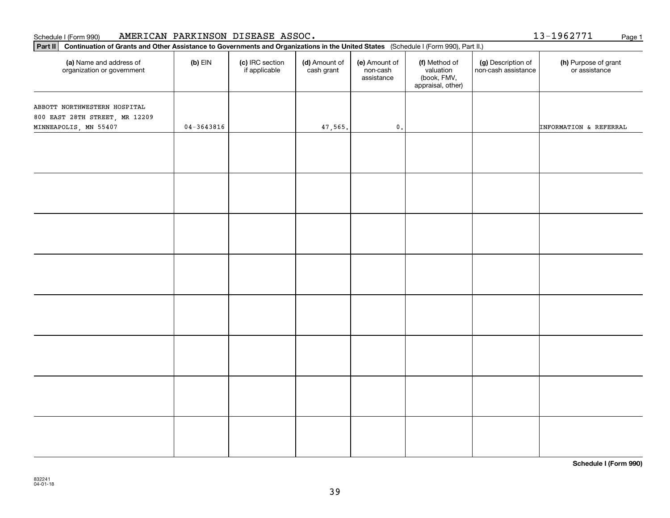### **Part II Propertion Continuation of Grants AMERICAN PARKINSON DISEASE ASSOC**.<br>**Part II** Continuation of Grants and Other Assistance to Governments and Organizations in the United States Schedule I (Form 990) Page 1 AMERICAN PARKINSON DISEASE ASSOC.

832241 04-01-18

| Part II Continuation of Grants and Other Assistance to Governments and Organizations in the United States (Schedule I (Form 990), Part II.) |                |                                  |                             |                                         |                                                                |                                           |                                       |
|---------------------------------------------------------------------------------------------------------------------------------------------|----------------|----------------------------------|-----------------------------|-----------------------------------------|----------------------------------------------------------------|-------------------------------------------|---------------------------------------|
| (a) Name and address of<br>organization or government                                                                                       | $(b)$ EIN      | (c) IRC section<br>if applicable | (d) Amount of<br>cash grant | (e) Amount of<br>non-cash<br>assistance | (f) Method of<br>valuation<br>(book, FMV,<br>appraisal, other) | (g) Description of<br>non-cash assistance | (h) Purpose of grant<br>or assistance |
| ABBOTT NORTHWESTERN HOSPITAL<br>800 EAST 28TH STREET, MR 12209<br>MINNEAPOLIS, MN 55407                                                     | $04 - 3643816$ |                                  | 47,565.                     | $\mathbf 0$ .                           |                                                                |                                           | INFORMATION & REFERRAL                |
|                                                                                                                                             |                |                                  |                             |                                         |                                                                |                                           |                                       |
|                                                                                                                                             |                |                                  |                             |                                         |                                                                |                                           |                                       |
|                                                                                                                                             |                |                                  |                             |                                         |                                                                |                                           |                                       |
|                                                                                                                                             |                |                                  |                             |                                         |                                                                |                                           |                                       |
|                                                                                                                                             |                |                                  |                             |                                         |                                                                |                                           |                                       |
|                                                                                                                                             |                |                                  |                             |                                         |                                                                |                                           |                                       |
|                                                                                                                                             |                |                                  |                             |                                         |                                                                |                                           |                                       |
|                                                                                                                                             |                |                                  |                             |                                         |                                                                |                                           |                                       |

13-1962771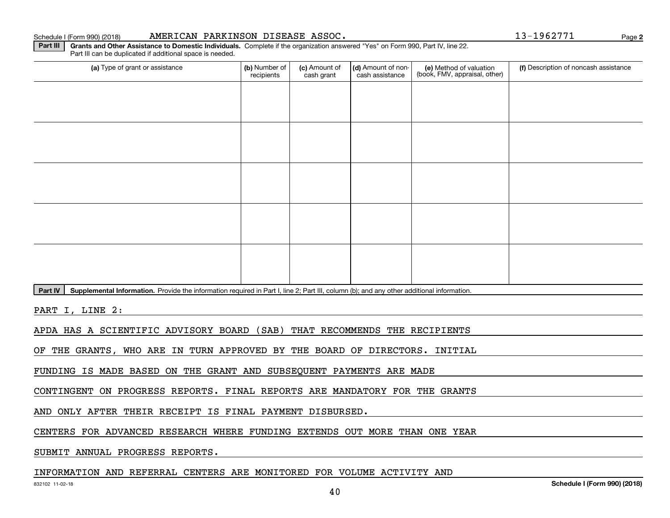#### Schedule I (Form 990) (2018) **AMERICAN PARKINSON DISEASE ASSOC .** Page

(a) Type of grant or assistance **Audity Commet Audio Commet Commet Commet Commet Commet Commet Commet Commet Comme** Part III can be duplicated if additional space is needed. (e) Method of valuation (book, FMV, appraisal, other) recipients(c) Amount of cash grant (d) Amount of noncash assistance **(f)** Description of noncash assistance

Part IV | Supplemental Information. Provide the information required in Part I, line 2; Part III, column (b); and any other additional information.

**Part III | Grants and Other Assistance to Domestic Individuals. Complete if the organization answered "Yes" on Form 990, Part IV, line 22.** 

PART I, LINE 2:

APDA HAS A SCIENTIFIC ADVISORY BOARD (SAB) THAT RECOMMENDS THE RECIPIENTS

OF THE GRANTS, WHO ARE IN TURN APPROVED BY THE BOARD OF DIRECTORS. INITIAL

FUNDING IS MADE BASED ON THE GRANT AND SUBSEQUENT PAYMENTS ARE MADE

CONTINGENT ON PROGRESS REPORTS. FINAL REPORTS ARE MANDATORY FOR THE GRANTS

AND ONLY AFTER THEIR RECEIPT IS FINAL PAYMENT DISBURSED.

CENTERS FOR ADVANCED RESEARCH WHERE FUNDING EXTENDS OUT MORE THAN ONE YEAR

SUBMIT ANNUAL PROGRESS REPORTS.

#### INFORMATION AND REFERRAL CENTERS ARE MONITORED FOR VOLUME ACTIVITY AND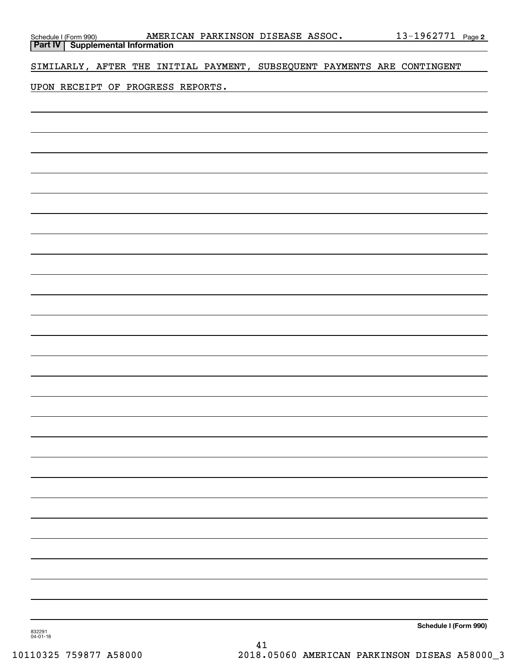| Schedule I (Form 990) <b>AMERI</b><br><b>Part IV</b> Supplemental Information |  |  | AMERICAN PARKINSON DISEASE ASSOC.                                        |  | <u>13-1962771 Page 2</u> |  |
|-------------------------------------------------------------------------------|--|--|--------------------------------------------------------------------------|--|--------------------------|--|
|                                                                               |  |  | SIMILARLY, AFTER THE INITIAL PAYMENT, SUBSEQUENT PAYMENTS ARE CONTINGENT |  |                          |  |
|                                                                               |  |  |                                                                          |  |                          |  |
| UPON RECEIPT OF PROGRESS REPORTS.                                             |  |  |                                                                          |  |                          |  |
|                                                                               |  |  |                                                                          |  |                          |  |
|                                                                               |  |  |                                                                          |  |                          |  |
|                                                                               |  |  |                                                                          |  |                          |  |
|                                                                               |  |  |                                                                          |  |                          |  |
|                                                                               |  |  |                                                                          |  |                          |  |
|                                                                               |  |  |                                                                          |  |                          |  |
|                                                                               |  |  |                                                                          |  |                          |  |
|                                                                               |  |  |                                                                          |  |                          |  |
|                                                                               |  |  |                                                                          |  |                          |  |
|                                                                               |  |  |                                                                          |  |                          |  |
|                                                                               |  |  |                                                                          |  |                          |  |
|                                                                               |  |  |                                                                          |  |                          |  |
|                                                                               |  |  |                                                                          |  |                          |  |
|                                                                               |  |  |                                                                          |  |                          |  |
|                                                                               |  |  |                                                                          |  |                          |  |
|                                                                               |  |  |                                                                          |  |                          |  |
|                                                                               |  |  |                                                                          |  |                          |  |
|                                                                               |  |  |                                                                          |  |                          |  |
|                                                                               |  |  |                                                                          |  |                          |  |
|                                                                               |  |  |                                                                          |  |                          |  |
|                                                                               |  |  |                                                                          |  |                          |  |
|                                                                               |  |  |                                                                          |  |                          |  |
|                                                                               |  |  |                                                                          |  |                          |  |
|                                                                               |  |  |                                                                          |  |                          |  |
|                                                                               |  |  |                                                                          |  |                          |  |
|                                                                               |  |  |                                                                          |  |                          |  |
|                                                                               |  |  |                                                                          |  |                          |  |
|                                                                               |  |  |                                                                          |  |                          |  |
|                                                                               |  |  |                                                                          |  |                          |  |
|                                                                               |  |  |                                                                          |  |                          |  |
|                                                                               |  |  |                                                                          |  |                          |  |
|                                                                               |  |  |                                                                          |  |                          |  |
|                                                                               |  |  |                                                                          |  |                          |  |
|                                                                               |  |  |                                                                          |  | Schedule I (Form 990)    |  |

832291 04-01-18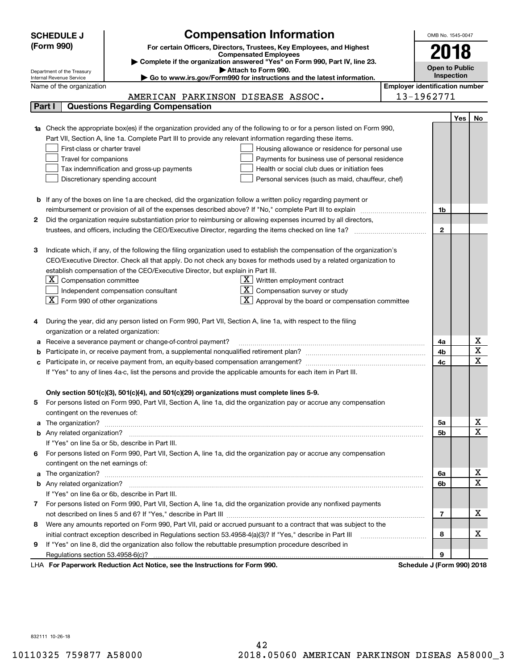|    | <b>SCHEDULE J</b>                                      |                                                                                          | <b>Compensation Information</b>                                                                                                  |                                       | OMB No. 1545-0047     |            |                              |
|----|--------------------------------------------------------|------------------------------------------------------------------------------------------|----------------------------------------------------------------------------------------------------------------------------------|---------------------------------------|-----------------------|------------|------------------------------|
|    | (Form 990)                                             |                                                                                          | For certain Officers, Directors, Trustees, Key Employees, and Highest                                                            |                                       |                       |            |                              |
|    |                                                        |                                                                                          | <b>Compensated Employees</b>                                                                                                     |                                       | 2018                  |            |                              |
|    |                                                        |                                                                                          | Complete if the organization answered "Yes" on Form 990, Part IV, line 23.                                                       |                                       | <b>Open to Public</b> |            |                              |
|    | Department of the Treasury<br>Internal Revenue Service |                                                                                          | Attach to Form 990.<br>Go to www.irs.gov/Form990 for instructions and the latest information.                                    |                                       | Inspection            |            |                              |
|    | Name of the organization                               |                                                                                          |                                                                                                                                  | <b>Employer identification number</b> |                       |            |                              |
|    |                                                        |                                                                                          | AMERICAN PARKINSON DISEASE ASSOC.                                                                                                |                                       | 13-1962771            |            |                              |
|    | Part I                                                 | <b>Questions Regarding Compensation</b>                                                  |                                                                                                                                  |                                       |                       |            |                              |
|    |                                                        |                                                                                          |                                                                                                                                  |                                       |                       | <b>Yes</b> | No                           |
|    |                                                        |                                                                                          | <b>1a</b> Check the appropriate box(es) if the organization provided any of the following to or for a person listed on Form 990, |                                       |                       |            |                              |
|    |                                                        |                                                                                          | Part VII, Section A, line 1a. Complete Part III to provide any relevant information regarding these items.                       |                                       |                       |            |                              |
|    | First-class or charter travel                          |                                                                                          | Housing allowance or residence for personal use                                                                                  |                                       |                       |            |                              |
|    | Travel for companions                                  |                                                                                          | Payments for business use of personal residence                                                                                  |                                       |                       |            |                              |
|    |                                                        | Tax indemnification and gross-up payments                                                | Health or social club dues or initiation fees                                                                                    |                                       |                       |            |                              |
|    |                                                        | Discretionary spending account                                                           | Personal services (such as maid, chauffeur, chef)                                                                                |                                       |                       |            |                              |
|    |                                                        |                                                                                          |                                                                                                                                  |                                       |                       |            |                              |
|    |                                                        |                                                                                          | <b>b</b> If any of the boxes on line 1a are checked, did the organization follow a written policy regarding payment or           |                                       |                       |            |                              |
|    |                                                        |                                                                                          | reimbursement or provision of all of the expenses described above? If "No," complete Part III to explain                         |                                       | 1b                    |            |                              |
| 2  |                                                        |                                                                                          | Did the organization require substantiation prior to reimbursing or allowing expenses incurred by all directors,                 |                                       |                       |            |                              |
|    |                                                        |                                                                                          | trustees, and officers, including the CEO/Executive Director, regarding the items checked on line 1a?                            |                                       | $\mathbf{2}$          |            |                              |
|    |                                                        |                                                                                          |                                                                                                                                  |                                       |                       |            |                              |
| з  |                                                        |                                                                                          | Indicate which, if any, of the following the filing organization used to establish the compensation of the organization's        |                                       |                       |            |                              |
|    |                                                        |                                                                                          | CEO/Executive Director. Check all that apply. Do not check any boxes for methods used by a related organization to               |                                       |                       |            |                              |
|    |                                                        | establish compensation of the CEO/Executive Director, but explain in Part III.           |                                                                                                                                  |                                       |                       |            |                              |
|    | $ \mathbf{X} $ Compensation committee                  |                                                                                          | $X$ Written employment contract                                                                                                  |                                       |                       |            |                              |
|    |                                                        | Independent compensation consultant                                                      | $X$ Compensation survey or study                                                                                                 |                                       |                       |            |                              |
|    | $\boxed{\textbf{X}}$ Form 990 of other organizations   |                                                                                          | $\lfloor x \rfloor$ Approval by the board or compensation committee                                                              |                                       |                       |            |                              |
|    |                                                        |                                                                                          |                                                                                                                                  |                                       |                       |            |                              |
|    |                                                        |                                                                                          | During the year, did any person listed on Form 990, Part VII, Section A, line 1a, with respect to the filing                     |                                       |                       |            |                              |
|    | organization or a related organization:                |                                                                                          |                                                                                                                                  |                                       |                       |            |                              |
| а  |                                                        | Receive a severance payment or change-of-control payment?                                |                                                                                                                                  |                                       | 4a                    |            | х                            |
|    |                                                        |                                                                                          |                                                                                                                                  |                                       | 4b                    |            | $\overline{\mathbf{x}}$      |
| с  |                                                        |                                                                                          |                                                                                                                                  |                                       | 4c                    |            | $\overline{\mathbf{x}}$      |
|    |                                                        |                                                                                          | If "Yes" to any of lines 4a-c, list the persons and provide the applicable amounts for each item in Part III.                    |                                       |                       |            |                              |
|    |                                                        |                                                                                          |                                                                                                                                  |                                       |                       |            |                              |
|    |                                                        | Only section 501(c)(3), 501(c)(4), and 501(c)(29) organizations must complete lines 5-9. |                                                                                                                                  |                                       |                       |            |                              |
|    |                                                        |                                                                                          | For persons listed on Form 990, Part VII, Section A, line 1a, did the organization pay or accrue any compensation                |                                       |                       |            |                              |
|    | contingent on the revenues of:                         |                                                                                          |                                                                                                                                  |                                       |                       |            |                              |
| a  |                                                        |                                                                                          |                                                                                                                                  |                                       | 5a                    |            | х                            |
|    |                                                        |                                                                                          |                                                                                                                                  |                                       | 5b                    |            | $\overline{\mathbf{x}}$      |
|    |                                                        | If "Yes" on line 5a or 5b, describe in Part III.                                         |                                                                                                                                  |                                       |                       |            |                              |
| 6. |                                                        |                                                                                          | For persons listed on Form 990, Part VII, Section A, line 1a, did the organization pay or accrue any compensation                |                                       |                       |            |                              |
|    | contingent on the net earnings of:                     |                                                                                          |                                                                                                                                  |                                       |                       |            |                              |
| a  |                                                        |                                                                                          |                                                                                                                                  |                                       | 6a                    |            | х<br>$\overline{\mathbf{x}}$ |
|    |                                                        |                                                                                          |                                                                                                                                  |                                       | 6b                    |            |                              |
|    |                                                        | If "Yes" on line 6a or 6b, describe in Part III.                                         |                                                                                                                                  |                                       |                       |            |                              |
|    |                                                        |                                                                                          | 7 For persons listed on Form 990, Part VII, Section A, line 1a, did the organization provide any nonfixed payments               |                                       |                       |            |                              |
|    |                                                        |                                                                                          |                                                                                                                                  |                                       | 7                     |            | х                            |
| 8  |                                                        |                                                                                          | Were any amounts reported on Form 990, Part VII, paid or accrued pursuant to a contract that was subject to the                  |                                       |                       |            |                              |
|    |                                                        |                                                                                          | initial contract exception described in Regulations section 53.4958-4(a)(3)? If "Yes," describe in Part III                      |                                       | 8                     |            | х                            |
| 9  |                                                        |                                                                                          | If "Yes" on line 8, did the organization also follow the rebuttable presumption procedure described in                           |                                       |                       |            |                              |
|    |                                                        | successive Deptation of the Netting and the Instructions for Form 000.                   |                                                                                                                                  | Calcadola 1/Fa                        | 9                     |            |                              |

LHA For Paperwork Reduction Act Notice, see the Instructions for Form 990. Schedule J (Form 990) 2018

832111 10-26-18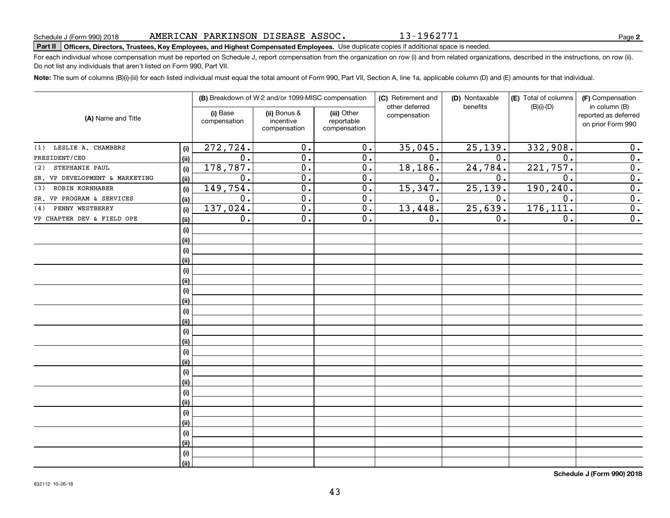# **Part II Officers, Directors, Trustees, Key Employees, and Highest Compensated Employees.**  Schedule J (Form 990) 2018 Page Use duplicate copies if additional space is needed.

For each individual whose compensation must be reported on Schedule J, report compensation from the organization on row (i) and from related organizations, described in the instructions, on row (ii). Do not list any individuals that aren't listed on Form 990, Part VII.

**Note:**  The sum of columns (B)(i)-(iii) for each listed individual must equal the total amount of Form 990, Part VII, Section A, line 1a, applicable column (D) and (E) amounts for that individual.

|                                |             |                          | (B) Breakdown of W-2 and/or 1099-MISC compensation |                                           | (C) Retirement and<br>other deferred | (D) Nontaxable<br>benefits | (E) Total of columns<br>$(B)(i)-(D)$ | (F) Compensation<br>in column (B)         |
|--------------------------------|-------------|--------------------------|----------------------------------------------------|-------------------------------------------|--------------------------------------|----------------------------|--------------------------------------|-------------------------------------------|
| (A) Name and Title             |             | (i) Base<br>compensation | (ii) Bonus &<br>incentive<br>compensation          | (iii) Other<br>reportable<br>compensation | compensation                         |                            |                                      | reported as deferred<br>on prior Form 990 |
| LESLIE A. CHAMBERS<br>(1)      | (i)         | 272, 724.                | 0.                                                 | $\overline{0}$ .                          | 35,045.                              | 25, 139.                   | 332,908.                             | 0.                                        |
| PRESIDENT/CEO                  | (ii)        | 0.                       | $\overline{0}$ .                                   | $\overline{0}$ .                          | $\overline{0}$ .                     | 0.                         | $\overline{0}$ .                     | $\overline{0}$ .                          |
| STEPHANIE PAUL<br>(2)          | (i)         | 178, 787.                | $\overline{0}$ .                                   | 0.                                        | 18, 186.                             | 24,784.                    | 221,757.                             | 0.                                        |
| SR. VP DEVELOPMENT & MARKETING | (ii)        | 0.                       | $\overline{0}$ .                                   | 0.                                        | 0.                                   | 0.                         | 0.                                   | $\overline{0}$ .                          |
| ROBIN KORNHABER<br>(3)         | (i)         | 149,754.                 | 0.                                                 | 0.                                        | 15,347.                              | 25, 139.                   | 190,240.                             | $\overline{0}$ .                          |
| SR. VP PROGRAM & SERVICES      | (ii)        | 0.                       | 0.                                                 | 0.                                        | 0.                                   | 0.                         | 0.                                   | 0.                                        |
| PENNY WESTBERRY<br>(4)         | (i)         | 137,024.                 | 0.                                                 | 0.                                        | 13,448.                              | 25,639.                    | 176, 111.                            | 0.                                        |
| VP CHAPTER DEV & FIELD OPE     | (ii)        | 0.                       | 0.                                                 | 0.                                        | 0.                                   | 0.                         | 0.                                   | $\overline{0}$ .                          |
|                                | (i)         |                          |                                                    |                                           |                                      |                            |                                      |                                           |
|                                | (ii)        |                          |                                                    |                                           |                                      |                            |                                      |                                           |
|                                | (i)         |                          |                                                    |                                           |                                      |                            |                                      |                                           |
|                                | (ii)        |                          |                                                    |                                           |                                      |                            |                                      |                                           |
|                                | (i)         |                          |                                                    |                                           |                                      |                            |                                      |                                           |
|                                | (ii)        |                          |                                                    |                                           |                                      |                            |                                      |                                           |
|                                | (i)         |                          |                                                    |                                           |                                      |                            |                                      |                                           |
|                                | (ii)        |                          |                                                    |                                           |                                      |                            |                                      |                                           |
|                                | (i)         |                          |                                                    |                                           |                                      |                            |                                      |                                           |
|                                | (ii)        |                          |                                                    |                                           |                                      |                            |                                      |                                           |
|                                | (i)         |                          |                                                    |                                           |                                      |                            |                                      |                                           |
|                                | (ii)        |                          |                                                    |                                           |                                      |                            |                                      |                                           |
|                                | (i)<br>(ii) |                          |                                                    |                                           |                                      |                            |                                      |                                           |
|                                | (i)         |                          |                                                    |                                           |                                      |                            |                                      |                                           |
|                                | (ii)        |                          |                                                    |                                           |                                      |                            |                                      |                                           |
|                                | (i)         |                          |                                                    |                                           |                                      |                            |                                      |                                           |
|                                | (ii)        |                          |                                                    |                                           |                                      |                            |                                      |                                           |
|                                | (i)         |                          |                                                    |                                           |                                      |                            |                                      |                                           |
|                                | (ii)        |                          |                                                    |                                           |                                      |                            |                                      |                                           |
|                                | (i)         |                          |                                                    |                                           |                                      |                            |                                      |                                           |
|                                | (ii)        |                          |                                                    |                                           |                                      |                            |                                      |                                           |
|                                | (i)         |                          |                                                    |                                           |                                      |                            |                                      |                                           |
|                                | (ii)        |                          |                                                    |                                           |                                      |                            |                                      |                                           |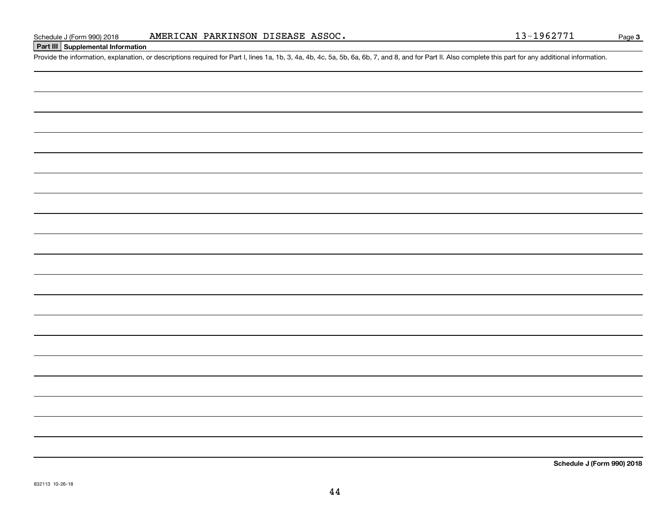### **Part III Supplemental Information**

Schedule J (Form 990) 2018 **AMERICAN PARKINSON DISEASE ASSOC.** 13-1962771<br>Part III Supplemental Information<br>Provide the information, explanation, or descriptions required for Part I, lines 1a, 1b, 3, 4a, 4b, 4c, 5a, 5b, 6a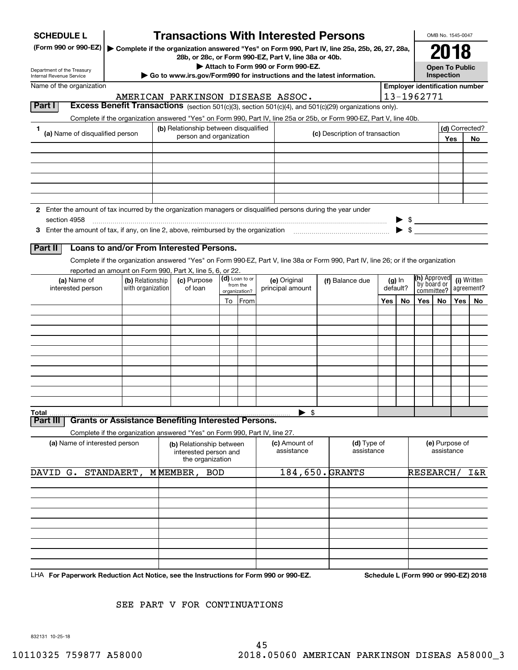| <b>SCHEDULE L</b>                                                                                             |                   | <b>Transactions With Interested Persons</b>                                                            |                            |                                    |                                                                                                                                    |     |          |                                       | OMB No. 1545-0047     |     |                                      |
|---------------------------------------------------------------------------------------------------------------|-------------------|--------------------------------------------------------------------------------------------------------|----------------------------|------------------------------------|------------------------------------------------------------------------------------------------------------------------------------|-----|----------|---------------------------------------|-----------------------|-----|--------------------------------------|
| (Form 990 or 990-EZ)                                                                                          |                   |                                                                                                        |                            |                                    | Complete if the organization answered "Yes" on Form 990, Part IV, line 25a, 25b, 26, 27, 28a,                                      |     |          |                                       | 2018                  |     |                                      |
|                                                                                                               |                   | 28b, or 28c, or Form 990-EZ, Part V, line 38a or 40b.                                                  |                            | Attach to Form 990 or Form 990-EZ. |                                                                                                                                    |     |          |                                       | <b>Open To Public</b> |     |                                      |
| Department of the Treasury<br>Internal Revenue Service                                                        |                   | ► Go to www.irs.gov/Form990 for instructions and the latest information.                               |                            |                                    |                                                                                                                                    |     |          |                                       | Inspection            |     |                                      |
| Name of the organization                                                                                      |                   |                                                                                                        |                            |                                    |                                                                                                                                    |     |          | <b>Employer identification number</b> |                       |     |                                      |
|                                                                                                               |                   | AMERICAN PARKINSON DISEASE ASSOC.                                                                      |                            |                                    |                                                                                                                                    |     |          | 13-1962771                            |                       |     |                                      |
| Part I                                                                                                        |                   |                                                                                                        |                            |                                    | Excess Benefit Transactions (section 501(c)(3), section 501(c)(4), and 501(c)(29) organizations only).                             |     |          |                                       |                       |     |                                      |
| 1                                                                                                             |                   | (b) Relationship between disqualified                                                                  |                            |                                    | Complete if the organization answered "Yes" on Form 990, Part IV, line 25a or 25b, or Form 990-EZ, Part V, line 40b.               |     |          |                                       |                       |     | (d) Corrected?                       |
| (a) Name of disqualified person                                                                               |                   | person and organization                                                                                |                            |                                    | (c) Description of transaction                                                                                                     |     |          |                                       |                       | Yes | No.                                  |
|                                                                                                               |                   |                                                                                                        |                            |                                    |                                                                                                                                    |     |          |                                       |                       |     |                                      |
|                                                                                                               |                   |                                                                                                        |                            |                                    |                                                                                                                                    |     |          |                                       |                       |     |                                      |
|                                                                                                               |                   |                                                                                                        |                            |                                    |                                                                                                                                    |     |          |                                       |                       |     |                                      |
|                                                                                                               |                   |                                                                                                        |                            |                                    |                                                                                                                                    |     |          |                                       |                       |     |                                      |
|                                                                                                               |                   |                                                                                                        |                            |                                    |                                                                                                                                    |     |          |                                       |                       |     |                                      |
| 2 Enter the amount of tax incurred by the organization managers or disqualified persons during the year under |                   |                                                                                                        |                            |                                    |                                                                                                                                    |     |          |                                       |                       |     |                                      |
| section 4958                                                                                                  |                   |                                                                                                        |                            |                                    |                                                                                                                                    |     |          | $\triangleright$ \$                   |                       |     |                                      |
|                                                                                                               |                   |                                                                                                        |                            |                                    |                                                                                                                                    |     |          | $\blacktriangleright$ \$              |                       |     |                                      |
| Part II                                                                                                       |                   | Loans to and/or From Interested Persons.                                                               |                            |                                    |                                                                                                                                    |     |          |                                       |                       |     |                                      |
|                                                                                                               |                   |                                                                                                        |                            |                                    | Complete if the organization answered "Yes" on Form 990-EZ, Part V, line 38a or Form 990, Part IV, line 26; or if the organization |     |          |                                       |                       |     |                                      |
|                                                                                                               |                   | reported an amount on Form 990, Part X, line 5, 6, or 22.                                              |                            |                                    |                                                                                                                                    |     |          |                                       |                       |     |                                      |
| (a) Name of                                                                                                   | (b) Relationship  | (c) Purpose                                                                                            | (d) Loan to or<br>from the | (e) Original                       | (f) Balance due                                                                                                                    |     | $(g)$ In | (h) Approved                          | by board or           |     | (i) Written<br>agreement?            |
| interested person                                                                                             | with organization | of loan                                                                                                | organization?              | principal amount                   |                                                                                                                                    |     | default? | committee?                            |                       |     |                                      |
|                                                                                                               |                   |                                                                                                        | To From                    |                                    |                                                                                                                                    | Yes | No.      | Yes                                   | No.                   | Yes | No                                   |
|                                                                                                               |                   |                                                                                                        |                            |                                    |                                                                                                                                    |     |          |                                       |                       |     |                                      |
|                                                                                                               |                   |                                                                                                        |                            |                                    |                                                                                                                                    |     |          |                                       |                       |     |                                      |
|                                                                                                               |                   |                                                                                                        |                            |                                    |                                                                                                                                    |     |          |                                       |                       |     |                                      |
|                                                                                                               |                   |                                                                                                        |                            |                                    |                                                                                                                                    |     |          |                                       |                       |     |                                      |
|                                                                                                               |                   |                                                                                                        |                            |                                    |                                                                                                                                    |     |          |                                       |                       |     |                                      |
|                                                                                                               |                   |                                                                                                        |                            |                                    |                                                                                                                                    |     |          |                                       |                       |     |                                      |
|                                                                                                               |                   |                                                                                                        |                            |                                    |                                                                                                                                    |     |          |                                       |                       |     |                                      |
|                                                                                                               |                   |                                                                                                        |                            |                                    |                                                                                                                                    |     |          |                                       |                       |     |                                      |
| Total                                                                                                         |                   | <b>Grants or Assistance Benefiting Interested Persons.</b>                                             |                            | \$                                 |                                                                                                                                    |     |          |                                       |                       |     |                                      |
| Part II                                                                                                       |                   |                                                                                                        |                            |                                    |                                                                                                                                    |     |          |                                       |                       |     |                                      |
| (a) Name of interested person                                                                                 |                   | Complete if the organization answered "Yes" on Form 990, Part IV, line 27.<br>(b) Relationship between |                            | (c) Amount of                      | (d) Type of                                                                                                                        |     |          |                                       | (e) Purpose of        |     |                                      |
|                                                                                                               |                   | interested person and<br>the organization                                                              |                            | assistance                         | assistance                                                                                                                         |     |          |                                       | assistance            |     |                                      |
| DAVID<br>G.                                                                                                   | STANDAERT,        | MMEMBER,<br><b>BOD</b>                                                                                 |                            | 184,650. GRANTS                    |                                                                                                                                    |     |          | RESEARCH/                             |                       |     | I&R                                  |
|                                                                                                               |                   |                                                                                                        |                            |                                    |                                                                                                                                    |     |          |                                       |                       |     |                                      |
|                                                                                                               |                   |                                                                                                        |                            |                                    |                                                                                                                                    |     |          |                                       |                       |     |                                      |
|                                                                                                               |                   |                                                                                                        |                            |                                    |                                                                                                                                    |     |          |                                       |                       |     |                                      |
|                                                                                                               |                   |                                                                                                        |                            |                                    |                                                                                                                                    |     |          |                                       |                       |     |                                      |
|                                                                                                               |                   |                                                                                                        |                            |                                    |                                                                                                                                    |     |          |                                       |                       |     |                                      |
|                                                                                                               |                   |                                                                                                        |                            |                                    |                                                                                                                                    |     |          |                                       |                       |     |                                      |
|                                                                                                               |                   |                                                                                                        |                            |                                    |                                                                                                                                    |     |          |                                       |                       |     |                                      |
|                                                                                                               |                   |                                                                                                        |                            |                                    |                                                                                                                                    |     |          |                                       |                       |     |                                      |
| LHA For Paperwork Reduction Act Notice, see the Instructions for Form 990 or 990-EZ.                          |                   |                                                                                                        |                            |                                    |                                                                                                                                    |     |          |                                       |                       |     | Schedule L (Form 990 or 990-EZ) 2018 |

SEE PART V FOR CONTINUATIONS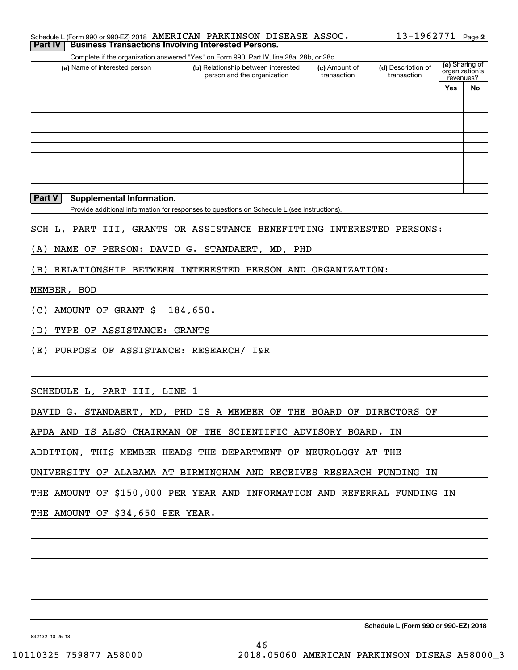| Schedule L (Form 990 or 990-EZ) 2018 AMERICAN PARKINSON DISEASE ASSOC. |  |  | $13 - 1962771$ Page 2 |  |
|------------------------------------------------------------------------|--|--|-----------------------|--|
| <b>Part IV Business Transactions Involving Interested Persons.</b>     |  |  |                       |  |

Complete if the organization answered "Yes" on Form 990, Part IV, line 28a, 28b, or 28c.

| (a) Name of interested person | (b) Relationship between interested<br>person and the organization | (c) Amount of<br>transaction | (d) Description of<br>transaction | revenues? | (e) Sharing of<br>organization's |
|-------------------------------|--------------------------------------------------------------------|------------------------------|-----------------------------------|-----------|----------------------------------|
|                               |                                                                    |                              |                                   | Yes       | No                               |
|                               |                                                                    |                              |                                   |           |                                  |
|                               |                                                                    |                              |                                   |           |                                  |
|                               |                                                                    |                              |                                   |           |                                  |
|                               |                                                                    |                              |                                   |           |                                  |
|                               |                                                                    |                              |                                   |           |                                  |
|                               |                                                                    |                              |                                   |           |                                  |
|                               |                                                                    |                              |                                   |           |                                  |
|                               |                                                                    |                              |                                   |           |                                  |
|                               |                                                                    |                              |                                   |           |                                  |
|                               |                                                                    |                              |                                   |           |                                  |

#### **Part V Supplemental Information.**

Provide additional information for responses to questions on Schedule L (see instructions).

SCH L, PART III, GRANTS OR ASSISTANCE BENEFITTING INTERESTED PERSONS:

(A) NAME OF PERSON: DAVID G. STANDAERT, MD, PHD

(B) RELATIONSHIP BETWEEN INTERESTED PERSON AND ORGANIZATION:

#### MEMBER, BOD

(C) AMOUNT OF GRANT \$ 184,650.

(D) TYPE OF ASSISTANCE: GRANTS

(E) PURPOSE OF ASSISTANCE: RESEARCH/ I&R

SCHEDULE L, PART III, LINE 1

DAVID G. STANDAERT, MD, PHD IS A MEMBER OF THE BOARD OF DIRECTORS OF

APDA AND IS ALSO CHAIRMAN OF THE SCIENTIFIC ADVISORY BOARD. IN

ADDITION, THIS MEMBER HEADS THE DEPARTMENT OF NEUROLOGY AT THE

UNIVERSITY OF ALABAMA AT BIRMINGHAM AND RECEIVES RESEARCH FUNDING IN

THE AMOUNT OF \$150,000 PER YEAR AND INFORMATION AND REFERRAL FUNDING IN

THE AMOUNT OF \$34,650 PER YEAR.

**Schedule L (Form 990 or 990-EZ) 2018**

832132 10-25-18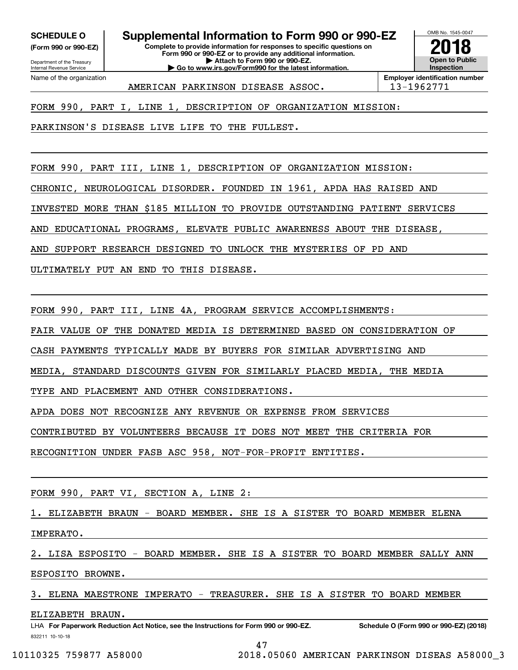**(Form 990 or 990-EZ)**

Department of the Treasury Internal Revenue Service Name of the organization

### **SCHEDULE O Supplemental Information to Form 990 or 990-EZ**

**Complete to provide information for responses to specific questions on Form 990 or 990-EZ or to provide any additional information. | Attach to Form 990 or 990-EZ. | Go to www.irs.gov/Form990 for the latest information.**



AMERICAN PARKINSON DISEASE ASSOC. 13-1962771

**Employer identification number**

FORM 990, PART I, LINE 1, DESCRIPTION OF ORGANIZATION MISSION:

PARKINSON'S DISEASE LIVE LIFE TO THE FULLEST.

FORM 990, PART III, LINE 1, DESCRIPTION OF ORGANIZATION MISSION:

CHRONIC, NEUROLOGICAL DISORDER. FOUNDED IN 1961, APDA HAS RAISED AND

INVESTED MORE THAN \$185 MILLION TO PROVIDE OUTSTANDING PATIENT SERVICES

AND EDUCATIONAL PROGRAMS, ELEVATE PUBLIC AWARENESS ABOUT THE DISEASE,

AND SUPPORT RESEARCH DESIGNED TO UNLOCK THE MYSTERIES OF PD AND

ULTIMATELY PUT AN END TO THIS DISEASE.

FORM 990, PART III, LINE 4A, PROGRAM SERVICE ACCOMPLISHMENTS:

FAIR VALUE OF THE DONATED MEDIA IS DETERMINED BASED ON CONSIDERATION OF

CASH PAYMENTS TYPICALLY MADE BY BUYERS FOR SIMILAR ADVERTISING AND

MEDIA, STANDARD DISCOUNTS GIVEN FOR SIMILARLY PLACED MEDIA, THE MEDIA

TYPE AND PLACEMENT AND OTHER CONSIDERATIONS.

APDA DOES NOT RECOGNIZE ANY REVENUE OR EXPENSE FROM SERVICES

CONTRIBUTED BY VOLUNTEERS BECAUSE IT DOES NOT MEET THE CRITERIA FOR

RECOGNITION UNDER FASB ASC 958, NOT-FOR-PROFIT ENTITIES.

FORM 990, PART VI, SECTION A, LINE 2:

1. ELIZABETH BRAUN - BOARD MEMBER. SHE IS A SISTER TO BOARD MEMBER ELENA

IMPERATO.

2. LISA ESPOSITO - BOARD MEMBER. SHE IS A SISTER TO BOARD MEMBER SALLY ANN

ESPOSITO BROWNE.

3. ELENA MAESTRONE IMPERATO - TREASURER. SHE IS A SISTER TO BOARD MEMBER

ELIZABETH BRAUN.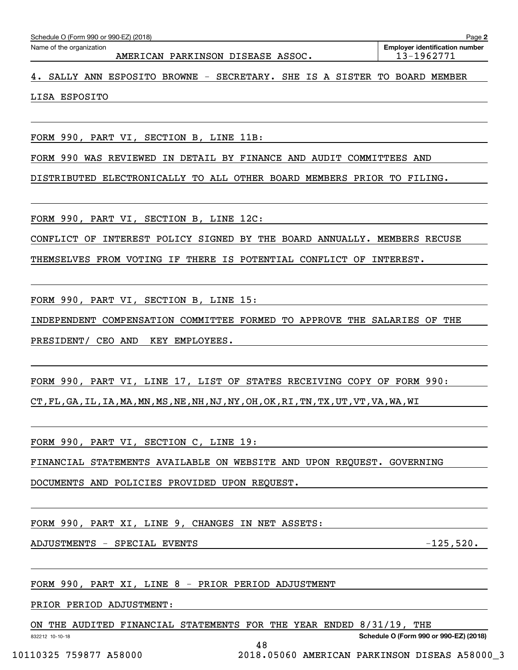| Schedule O (Form 990 or 990-EZ) (2018) |  |  |  |  |
|----------------------------------------|--|--|--|--|
|----------------------------------------|--|--|--|--|

**2**

4. SALLY ANN ESPOSITO BROWNE - SECRETARY. SHE IS A SISTER TO BOARD MEMBER

LISA ESPOSITO

FORM 990, PART VI, SECTION B, LINE 11B:

FORM 990 WAS REVIEWED IN DETAIL BY FINANCE AND AUDIT COMMITTEES AND

DISTRIBUTED ELECTRONICALLY TO ALL OTHER BOARD MEMBERS PRIOR TO FILING.

FORM 990, PART VI, SECTION B, LINE 12C:

CONFLICT OF INTEREST POLICY SIGNED BY THE BOARD ANNUALLY. MEMBERS RECUSE

THEMSELVES FROM VOTING IF THERE IS POTENTIAL CONFLICT OF INTEREST.

FORM 990, PART VI, SECTION B, LINE 15:

INDEPENDENT COMPENSATION COMMITTEE FORMED TO APPROVE THE SALARIES OF THE

PRESIDENT/ CEO AND KEY EMPLOYEES.

FORM 990, PART VI, LINE 17, LIST OF STATES RECEIVING COPY OF FORM 990: CT,FL,GA,IL,IA,MA,MN,MS,NE,NH,NJ,NY,OH,OK,RI,TN,TX,UT,VT,VA,WA,WI

FORM 990, PART VI, SECTION C, LINE 19:

FINANCIAL STATEMENTS AVAILABLE ON WEBSITE AND UPON REQUEST. GOVERNING

DOCUMENTS AND POLICIES PROVIDED UPON REQUEST.

FORM 990, PART XI, LINE 9, CHANGES IN NET ASSETS:

ADJUSTMENTS - SPECIAL EVENTS - 125,520.

FORM 990, PART XI, LINE 8 - PRIOR PERIOD ADJUSTMENT

PRIOR PERIOD ADJUSTMENT:

ON THE AUDITED FINANCIAL STATEMENTS FOR THE YEAR ENDED 8/31/19, THE

48

832212 10-10-18

**Schedule O (Form 990 or 990-EZ) (2018)**